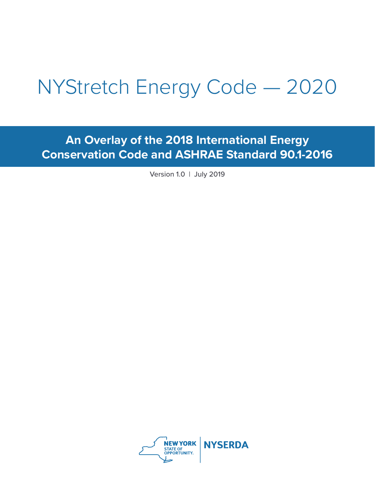# NYStretch Energy Code — 2020

**An Overlay of the 2018 International Energy Conservation Code and ASHRAE Standard 90.1-2016**

Version 1.0 | July 2019

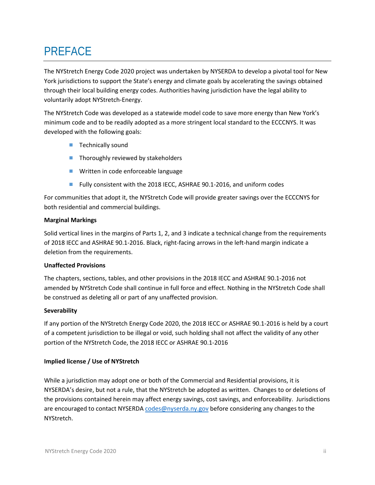# <span id="page-1-0"></span>PREFACE

The NYStretch Energy Code 2020 project was undertaken by NYSERDA to develop a pivotal tool for New York jurisdictions to support the State's energy and climate goals by accelerating the savings obtained through their local building energy codes. Authorities having jurisdiction have the legal ability to voluntarily adopt NYStretch-Energy.

The NYStretch Code was developed as a statewide model code to save more energy than New York's minimum code and to be readily adopted as a more stringent local standard to the ECCCNYS. It was developed with the following goals:

- $\blacksquare$  Technically sound
- Thoroughly reviewed by stakeholders
- **Written in code enforceable language**
- Fully consistent with the 2018 IECC, ASHRAE 90.1-2016, and uniform codes

For communities that adopt it, the NYStretch Code will provide greater savings over the ECCCNYS for both residential and commercial buildings.

#### **Marginal Markings**

Solid vertical lines in the margins of Parts 1, 2, and 3 indicate a technical change from the requirements of 2018 IECC and ASHRAE 90.1-2016. Black, right-facing arrows in the left-hand margin indicate a deletion from the requirements.

#### **Unaffected Provisions**

The chapters, sections, tables, and other provisions in the 2018 IECC and ASHRAE 90.1-2016 not amended by NYStretch Code shall continue in full force and effect. Nothing in the NYStretch Code shall be construed as deleting all or part of any unaffected provision.

#### **Severability**

If any portion of the NYStretch Energy Code 2020, the 2018 IECC or ASHRAE 90.1-2016 is held by a court of a competent jurisdiction to be illegal or void, such holding shall not affect the validity of any other portion of the NYStretch Code, the 2018 IECC or ASHRAE 90.1-2016

#### **Implied license / Use of NYStretch**

While a jurisdiction may adopt one or both of the Commercial and Residential provisions, it is NYSERDA's desire, but not a rule, that the NYStretch be adopted as written. Changes to or deletions of the provisions contained herein may affect energy savings, cost savings, and enforceability. Jurisdictions are encouraged to contact NYSERDA [codes@nyserda.ny.gov](mailto:codes@nyserda.ny.gov) before considering any changes to the NYStretch.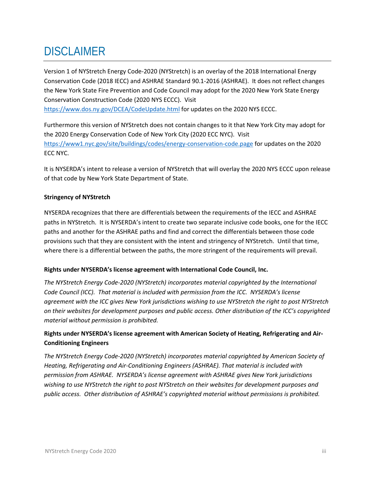## <span id="page-2-0"></span>**DISCLAIMER**

Version 1 of NYStretch Energy Code-2020 (NYStretch) is an overlay of the 2018 International Energy Conservation Code (2018 IECC) and ASHRAE Standard 90.1-2016 (ASHRAE). It does not reflect changes the New York State Fire Prevention and Code Council may adopt for the 2020 New York State Energy Conservation Construction Code (2020 NYS ECCC). Visit

<https://www.dos.ny.gov/DCEA/CodeUpdate.html> for updates on the 2020 NYS ECCC.

Furthermore this version of NYStretch does not contain changes to it that New York City may adopt for the 2020 Energy Conservation Code of New York City (2020 ECC NYC). Visit <https://www1.nyc.gov/site/buildings/codes/energy-conservation-code.page> for updates on the 2020 ECC NYC.

It is NYSERDA's intent to release a version of NYStretch that will overlay the 2020 NYS ECCC upon release of that code by New York State Department of State.

#### **Stringency of NYStretch**

NYSERDA recognizes that there are differentials between the requirements of the IECC and ASHRAE paths in NYStretch. It is NYSERDA's intent to create two separate inclusive code books, one for the IECC paths and another for the ASHRAE paths and find and correct the differentials between those code provisions such that they are consistent with the intent and stringency of NYStretch. Until that time, where there is a differential between the paths, the more stringent of the requirements will prevail.

#### **Rights under NYSERDA's license agreement with International Code Council, Inc.**

*The NYStretch Energy Code-2020 (NYStretch) incorporates material copyrighted by the International Code Council (ICC). That material is included with permission from the ICC. NYSERDA's license agreement with the ICC gives New York jurisdictions wishing to use NYStretch the right to post NYStretch on their websites for development purposes and public access. Other distribution of the ICC's copyrighted material without permission is prohibited.*

#### **Rights under NYSERDA's license agreement with American Society of Heating, Refrigerating and Air-Conditioning Engineers**

*The NYStretch Energy Code-2020 (NYStretch) incorporates material copyrighted by American Society of Heating, Refrigerating and Air-Conditioning Engineers (ASHRAE). That material is included with permission from ASHRAE. NYSERDA's license agreement with ASHRAE gives New York jurisdictions wishing to use NYStretch the right to post NYStretch on their websites for development purposes and public access. Other distribution of ASHRAE's copyrighted material without permissions is prohibited.*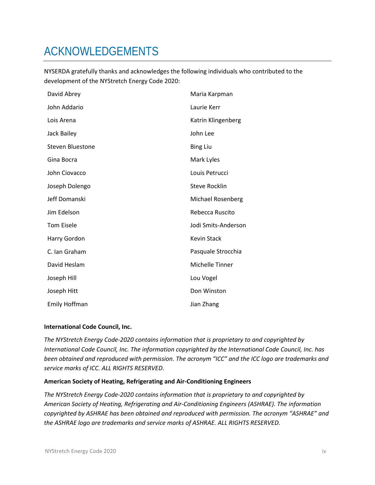# <span id="page-3-0"></span>ACKNOWLEDGEMENTS

NYSERDA gratefully thanks and acknowledges the following individuals who contributed to the development of the NYStretch Energy Code 2020:

| David Abrey             | Maria Karpman            |
|-------------------------|--------------------------|
| John Addario            | Laurie Kerr              |
| Lois Arena              | Katrin Klingenberg       |
| Jack Bailey             | John Lee                 |
| <b>Steven Bluestone</b> | <b>Bing Liu</b>          |
| Gina Bocra              | Mark Lyles               |
| John Ciovacco           | Louis Petrucci           |
| Joseph Dolengo          | <b>Steve Rocklin</b>     |
| Jeff Domanski           | <b>Michael Rosenberg</b> |
| Jim Edelson             | Rebecca Ruscito          |
| <b>Tom Eisele</b>       | Jodi Smits-Anderson      |
| Harry Gordon            | <b>Kevin Stack</b>       |
| C. Ian Graham           | Pasquale Strocchia       |
| David Heslam            | Michelle Tinner          |
| Joseph Hill             | Lou Vogel                |
| Joseph Hitt             | Don Winston              |
| Emily Hoffman           | Jian Zhang               |

#### **International Code Council, Inc.**

*The NYStretch Energy Code-2020 contains information that is proprietary to and copyrighted by International Code Council, Inc. The information copyrighted by the International Code Council, Inc. has been obtained and reproduced with permission. The acronym "ICC" and the ICC logo are trademarks and service marks of ICC. ALL RIGHTS RESERVED.*

#### **American Society of Heating, Refrigerating and Air-Conditioning Engineers**

*The NYStretch Energy Code-2020 contains information that is proprietary to and copyrighted by American Society of Heating, Refrigerating and Air-Conditioning Engineers (ASHRAE). The information copyrighted by ASHRAE has been obtained and reproduced with permission. The acronym "ASHRAE" and the ASHRAE logo are trademarks and service marks of ASHRAE. ALL RIGHTS RESERVED.*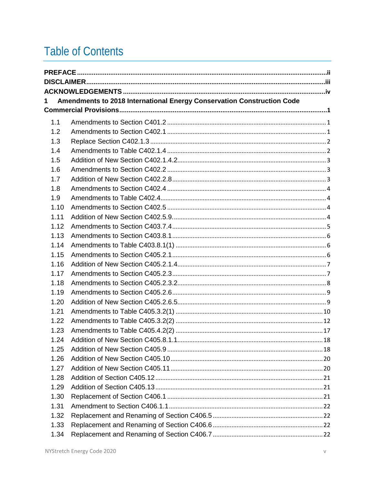# **Table of Contents**

| 1    | Amendments to 2018 International Energy Conservation Construction Code |  |
|------|------------------------------------------------------------------------|--|
|      |                                                                        |  |
| 1.1  |                                                                        |  |
| 1.2  |                                                                        |  |
| 1.3  |                                                                        |  |
| 1.4  |                                                                        |  |
| 1.5  |                                                                        |  |
| 1.6  |                                                                        |  |
| 1.7  |                                                                        |  |
| 1.8  |                                                                        |  |
| 1.9  |                                                                        |  |
| 1.10 |                                                                        |  |
| 1.11 |                                                                        |  |
| 1.12 |                                                                        |  |
| 1.13 |                                                                        |  |
| 1.14 |                                                                        |  |
| 1.15 |                                                                        |  |
| 1.16 |                                                                        |  |
| 1.17 |                                                                        |  |
| 1.18 |                                                                        |  |
| 1.19 |                                                                        |  |
| 1.20 |                                                                        |  |
| 1.21 |                                                                        |  |
| 1.22 |                                                                        |  |
| 1.23 |                                                                        |  |
| 1 24 |                                                                        |  |
| 1.25 |                                                                        |  |
| 1.26 |                                                                        |  |
| 1.27 |                                                                        |  |
| 1.28 |                                                                        |  |
| 1.29 |                                                                        |  |
| 1.30 |                                                                        |  |
| 1.31 |                                                                        |  |
| 1.32 |                                                                        |  |
| 1.33 |                                                                        |  |
| 1.34 |                                                                        |  |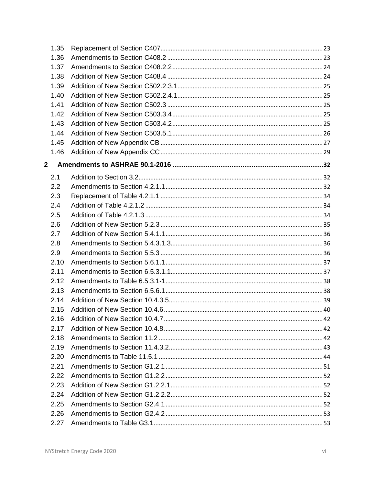|   | 1.35 |  |
|---|------|--|
|   | 1.36 |  |
|   | 1.37 |  |
|   | 1.38 |  |
|   | 1.39 |  |
|   | 1.40 |  |
|   | 1.41 |  |
|   | 1.42 |  |
|   | 1.43 |  |
|   | 1.44 |  |
|   | 1.45 |  |
|   | 1.46 |  |
| 2 |      |  |
|   | 2.1  |  |
|   | 2.2  |  |
|   | 2.3  |  |
|   | 2.4  |  |
|   | 2.5  |  |
|   | 2.6  |  |
|   | 2.7  |  |
|   | 2.8  |  |
|   | 2.9  |  |
|   | 2.10 |  |
|   | 2.11 |  |
|   | 2.12 |  |
|   | 2.13 |  |
|   | 2.14 |  |
|   | 2.15 |  |
|   | 2.16 |  |
|   | 2.17 |  |
|   | 2.18 |  |
|   | 2.19 |  |
|   | 2.20 |  |
|   | 2.21 |  |
|   | 2.22 |  |
|   | 2.23 |  |
|   | 2.24 |  |
|   | 2.25 |  |
|   | 2.26 |  |
|   | 2.27 |  |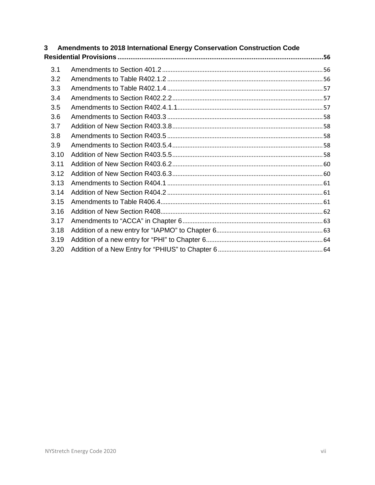| 3    | Amendments to 2018 International Energy Conservation Construction Code |  |  |  |  |
|------|------------------------------------------------------------------------|--|--|--|--|
|      |                                                                        |  |  |  |  |
| 3.1  |                                                                        |  |  |  |  |
| 3.2  |                                                                        |  |  |  |  |
| 3.3  |                                                                        |  |  |  |  |
| 3.4  |                                                                        |  |  |  |  |
| 3.5  |                                                                        |  |  |  |  |
| 3.6  |                                                                        |  |  |  |  |
| 3.7  |                                                                        |  |  |  |  |
| 3.8  |                                                                        |  |  |  |  |
| 3.9  |                                                                        |  |  |  |  |
| 3.10 |                                                                        |  |  |  |  |
| 3.11 |                                                                        |  |  |  |  |
| 3.12 |                                                                        |  |  |  |  |
| 3.13 |                                                                        |  |  |  |  |
| 3.14 |                                                                        |  |  |  |  |
| 3.15 |                                                                        |  |  |  |  |
| 3.16 |                                                                        |  |  |  |  |
| 3.17 |                                                                        |  |  |  |  |
| 3.18 |                                                                        |  |  |  |  |
| 3.19 |                                                                        |  |  |  |  |
| 3.20 |                                                                        |  |  |  |  |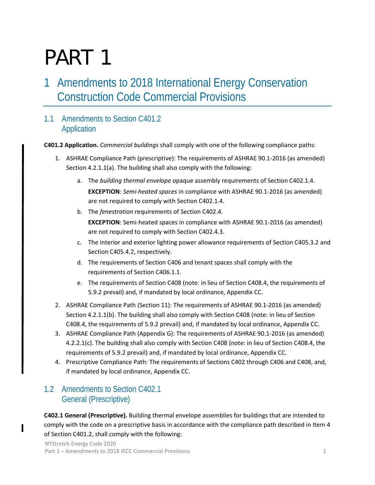# PART 1

## <span id="page-7-0"></span>Amendments to 2018 International Energy Conservation Construction Code Commercial Provisions

## <span id="page-7-1"></span>1.1 Amendments to Section C401.2 Application

**C401.2 Application.** *Commercial buildings* shall comply with one of the following compliance paths:

- 1. ASHRAE Compliance Path (prescriptive): The requirements of ASHRAE 90.1-2016 (as amended) Section 4.2.1.1(a). The building shall also comply with the following:
	- a. The *building thermal envelope* opaque assembly requirements of Section C402.1.4. **EXCEPTION**: *Semi-heated spaces* in compliance with ASHRAE 90.1-2016 (as amended) are not required to comply with Section C402.1.4.
	- b. The *fenestration* requirements of Section C402.4. **EXCEPTION**: Semi-heated spaces in compliance with ASHRAE 90.1-2016 (as amended) are not required to comply with Section C402.4.3.
	- c. The interior and exterior lighting power allowance requirements of Section C405.3.2 and Section C405.4.2, respectively.
	- d. The requirements of Section C406 and tenant spaces shall comply with the requirements of Section C406.1.1.
	- e. The requirements of Section C408 (note: in lieu of Section C408.4, the requirements of 5.9.2 prevail) and, if mandated by local ordinance, Appendix CC.
- 2. ASHRAE Compliance Path (Section 11): The requirements of ASHRAE 90.1-2016 (as amended) Section 4.2.1.1(b). The building shall also comply with Section C408 (note: in lieu of Section C408.4, the requirements of 5.9.2 prevail) and, if mandated by local ordinance, Appendix CC.
- 3. ASHRAE Compliance Path (Appendix G): The requirements of ASHRAE 90.1-2016 (as amended) 4.2.2.1(c). The building shall also comply with Section C408 (note: in lieu of Section C408.4, the requirements of 5.9.2 prevail) and, if mandated by local ordinance, Appendix CC.
- 4. Prescriptive Compliance Path: The requirements of Sections C402 through C406 and C408, and, if mandated by local ordinance, Appendix CC.

## <span id="page-7-2"></span>1.2 Amendments to Section C402.1 General (Prescriptive)

**C402.1 General (Prescriptive).** Building thermal envelope assemblies for buildings that are intended to comply with the code on a prescriptive basis in accordance with the compliance path described in Item 4 of Section C401.2, shall comply with the following: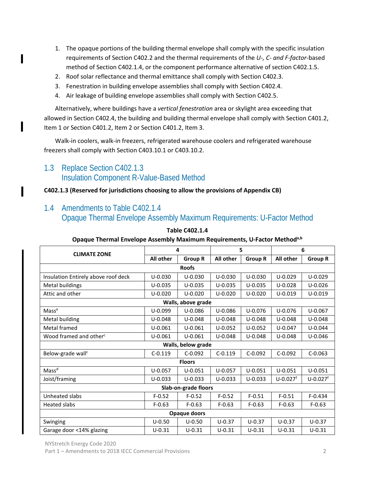- 1. The opaque portions of the building thermal envelope shall comply with the specific insulation requirements of Section C402.2 and the thermal requirements of the *U-, C- and F-factor*-based method of Section C402.1.4, or the component performance alternative of section C402.1.5.
- 2. Roof solar reflectance and thermal emittance shall comply with Section C402.3.
- 3. Fenestration in building envelope assemblies shall comply with Section C402.4.
- 4. Air leakage of building envelope assemblies shall comply with Section C402.5.

Alternatively, where buildings have a *vertical fenestration* area or skylight area exceeding that allowed in Section C402.4, the building and building thermal envelope shall comply with Section C401.2, Item 1 or Section C401.2, Item 2 or Section C401.2, Item 3.

Walk-in coolers, walk-in freezers, refrigerated warehouse coolers and refrigerated warehouse freezers shall comply with Section C403.10.1 or C403.10.2.

## <span id="page-8-0"></span>1.3 Replace Section C402.1.3 Insulation Component R-Value-Based Method

#### **C402.1.3 (Reserved for jurisdictions choosing to allow the provisions of Appendix CB)**

## <span id="page-8-1"></span>1.4 Amendments to Table C402.1.4

## Opaque Thermal Envelope Assembly Maximum Requirements: U-Factor Method

| <b>CLIMATE ZONE</b>                 | 4           |                    | 5           |                | 6                        |                          |
|-------------------------------------|-------------|--------------------|-------------|----------------|--------------------------|--------------------------|
|                                     | All other   | <b>Group R</b>     | All other   | <b>Group R</b> | All other                | <b>Group R</b>           |
|                                     |             | <b>Roofs</b>       |             |                |                          |                          |
| Insulation Entirely above roof deck | $U - 0.030$ | $U - 0.030$        | $U - 0.030$ | $U - 0.030$    | $U - 0.029$              | $U - 0.029$              |
| Metal buildings                     | $U - 0.035$ | $U - 0.035$        | $U - 0.035$ | $U - 0.035$    | $U - 0.028$              | $U - 0.026$              |
| Attic and other                     | $U - 0.020$ | $U - 0.020$        | $U - 0.020$ | $U - 0.020$    | $U - 0.019$              | $U - 0.019$              |
|                                     |             | Walls, above grade |             |                |                          |                          |
| Masse                               | $U - 0.099$ | $U - 0.086$        | $U - 0.086$ | $U - 0.076$    | $U - 0.076$              | $U - 0.067$              |
| Metal building                      | $U - 0.048$ | $U - 0.048$        | $U - 0.048$ | $U - 0.048$    | $U - 0.048$              | $U - 0.048$              |
| Metal framed                        | $U - 0.061$ | $U - 0.061$        | $U - 0.052$ | $U - 0.052$    | $U - 0.047$              | $U - 0.044$              |
| Wood framed and other <sup>c</sup>  | $U - 0.061$ | $U - 0.061$        | $U - 0.048$ | $U - 0.048$    | $U - 0.048$              | $U - 0.046$              |
|                                     |             | Walls, below grade |             |                |                          |                          |
| Below-grade wall <sup>c</sup>       | $C-0.119$   | $C-0.092$          | $C-0.119$   | $C-0.092$      | $C-0.092$                | $C-0.063$                |
|                                     |             | <b>Floors</b>      |             |                |                          |                          |
| Mass <sup>d</sup>                   | $U - 0.057$ | $U - 0.051$        | $U - 0.057$ | $U - 0.051$    | $U - 0.051$              | $U - 0.051$              |
| Joist/framing                       | $U - 0.033$ | $U - 0.033$        | $U - 0.033$ | $U - 0.033$    | $U - 0.027$ <sup>f</sup> | $U - 0.027$ <sup>f</sup> |
| Slab-on-grade floors                |             |                    |             |                |                          |                          |
| Unheated slabs                      | $F-0.52$    | $F - 0.52$         | $F - 0.52$  | $F - 0.51$     | $F - 0.51$               | $F - 0.434$              |
| <b>Heated slabs</b>                 | $F-0.63$    | $F - 0.63$         | $F-0.63$    | $F - 0.63$     | $F - 0.63$               | $F-0.63$                 |
| Opaque doors                        |             |                    |             |                |                          |                          |
| Swinging                            | $U - 0.50$  | $U - 0.50$         | $U - 0.37$  | $U - 0.37$     | $U - 0.37$               | $U - 0.37$               |
| Garage door <14% glazing            | $U - 0.31$  | $U - 0.31$         | $U - 0.31$  | $U - 0.31$     | $U - 0.31$               | $U - 0.31$               |

#### **Table C402.1.4**

#### **Opaque Thermal Envelope Assembly Maximum Requirements, U-Factor Methoda,b**

NYStretch Energy Code 2020

Part 1 – Amendments to 2018 IECC Commercial Provisions 2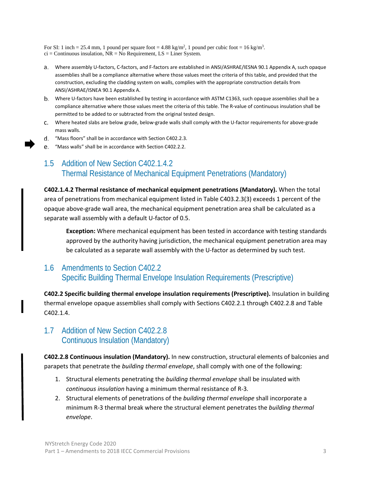For SI: 1 inch = 25.4 mm, 1 pound per square foot =  $4.88 \text{ kg/m}^2$ , 1 pound per cubic foot =  $16 \text{ kg/m}^3$ .  $ci =$  Continuous insulation, NR = No Requirement, LS = Liner System.

- Where assembly U-factors, C-factors, and F-factors are established in ANSI/ASHRAE/IESNA 90.1 Appendix A, such opaque assemblies shall be a compliance alternative where those values meet the criteria of this table, and provided that the construction, excluding the cladding system on walls, complies with the appropriate construction details from ANSI/ASHRAE/ISNEA 90.1 Appendix A.
- Where U-factors have been established by testing in accordance with ASTM C1363, such opaque assemblies shall be a compliance alternative where those values meet the criteria of this table. The R-value of continuous insulation shall be permitted to be added to or subtracted from the original tested design.
- Where heated slabs are below grade, below-grade walls shall comply with the U-factor requirements for above-grade mass walls.
- "Mass floors" shall be in accordance with Section C402.2.3.
- "Mass walls" shall be in accordance with Section C402.2.2.

## <span id="page-9-0"></span>1.5 Addition of New Section C402.1.4.2 Thermal Resistance of Mechanical Equipment Penetrations (Mandatory)

**C402.1.4.2 Thermal resistance of mechanical equipment penetrations (Mandatory).** When the total area of penetrations from mechanical equipment listed in Table C403.2.3(3) exceeds 1 percent of the opaque above-grade wall area, the mechanical equipment penetration area shall be calculated as a separate wall assembly with a default U-factor of 0.5.

**Exception:** Where mechanical equipment has been tested in accordance with testing standards approved by the authority having jurisdiction, the mechanical equipment penetration area may be calculated as a separate wall assembly with the U-factor as determined by such test.

## <span id="page-9-1"></span>1.6 Amendments to Section C402.2 Specific Building Thermal Envelope Insulation Requirements (Prescriptive)

**C402.2 Specific building thermal envelope insulation requirements (Prescriptive).** Insulation in building thermal envelope opaque assemblies shall comply with Sections C402.2.1 through C402.2.8 and Table C402.1.4.

## <span id="page-9-2"></span>1.7 Addition of New Section C402.2.8 Continuous Insulation (Mandatory)

**C402.2.8 Continuous insulation (Mandatory).** In new construction, structural elements of balconies and parapets that penetrate the *building thermal envelope*, shall comply with one of the following:

- 1. Structural elements penetrating the *building thermal envelope* shall be insulated with *continuous insulation* having a minimum thermal resistance of R-3*.*
- 2. Structural elements of penetrations of the *building thermal envelope* shall incorporate a minimum R-3 thermal break where the structural element penetrates the *building thermal envelope*.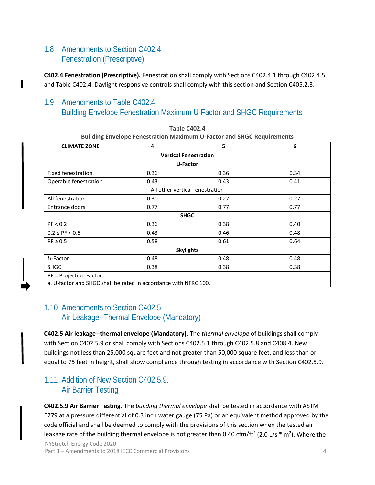## <span id="page-10-0"></span>1.8 Amendments to Section C402.4 Fenestration (Prescriptive)

**C402.4 Fenestration (Prescriptive).** Fenestration shall comply with Sections C402.4.1 through C402.4.5 and Table C402.4. Daylight responsive controls shall comply with this section and Section C405.2.3.

## <span id="page-10-1"></span>1.9 Amendments to Table C402.4 Building Envelope Fenestration Maximum U-Factor and SHGC Requirements

| <b>CLIMATE ZONE</b>                                              | 4                               | 5    | 6    |  |
|------------------------------------------------------------------|---------------------------------|------|------|--|
|                                                                  | <b>Vertical Fenestration</b>    |      |      |  |
|                                                                  | U-Factor                        |      |      |  |
| <b>Fixed fenestration</b>                                        | 0.36                            | 0.36 | 0.34 |  |
| Operable fenestration                                            | 0.43                            | 0.43 | 0.41 |  |
|                                                                  | All other vertical fenestration |      |      |  |
| All fenestration                                                 | 0.30                            | 0.27 | 0.27 |  |
| Entrance doors                                                   | 0.77                            | 0.77 | 0.77 |  |
|                                                                  | <b>SHGC</b>                     |      |      |  |
| PF < 0.2                                                         | 0.36                            | 0.38 | 0.40 |  |
| $0.2 \le PF < 0.5$                                               | 0.43                            | 0.46 | 0.48 |  |
| $PF \geq 0.5$                                                    | 0.58                            | 0.61 | 0.64 |  |
| <b>Skylights</b>                                                 |                                 |      |      |  |
| U-Factor                                                         | 0.48                            | 0.48 | 0.48 |  |
| <b>SHGC</b>                                                      | 0.38                            | 0.38 | 0.38 |  |
| PF = Projection Factor.                                          |                                 |      |      |  |
| a. U-factor and SHGC shall be rated in accordance with NFRC 100. |                                 |      |      |  |

| <b>Table C402.4</b>                                                          |
|------------------------------------------------------------------------------|
| <b>Building Envelope Fenestration Maximum U-Factor and SHGC Requirements</b> |

### <span id="page-10-2"></span>1.10 Amendments to Section C402.5 Air Leakage--Thermal Envelope (Mandatory)

**C402.5 Air leakage--thermal envelope (Mandatory).** The *thermal envelope* of buildings shall comply with Section C402.5.9 or shall comply with Sections C402.5.1 through C402.5.8 and C408.4. New buildings not less than 25,000 square feet and not greater than 50,000 square feet, and less than or equal to 75 feet in height, shall show compliance through testing in accordance with Section C402.5.9.

## <span id="page-10-3"></span>1.11 Addition of New Section C402.5.9. Air Barrier Testing

**C402.5.9 Air Barrier Testing.** The *building thermal envelope* shall be tested in accordance with ASTM E779 at a pressure differential of 0.3 inch water gauge (75 Pa) or an equivalent method approved by the code official and shall be deemed to comply with the provisions of this section when the tested air leakage rate of the building thermal envelope is not greater than 0.40 cfm/ft<sup>2</sup> (2.0 L/s  $*$  m<sup>2</sup>). Where the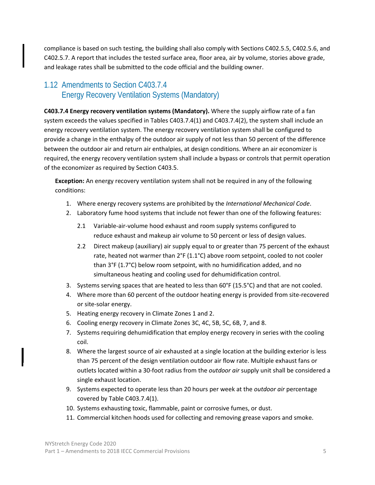compliance is based on such testing, the building shall also comply with Sections C402.5.5, C402.5.6, and C402.5.7. A report that includes the tested surface area, floor area, air by volume, stories above grade, and leakage rates shall be submitted to the code official and the building owner.

## <span id="page-11-0"></span>1.12 Amendments to Section C403.7.4 Energy Recovery Ventilation Systems (Mandatory)

**C403.7.4 Energy recovery ventilation systems (Mandatory).** Where the supply airflow rate of a fan system exceeds the values specified in Tables C403.7.4(1) and C403.7.4(2), the system shall include an energy recovery ventilation system. The energy recovery ventilation system shall be configured to provide a change in the enthalpy of the outdoor air supply of not less than 50 percent of the difference between the outdoor air and return air enthalpies, at design conditions. Where an air economizer is required, the energy recovery ventilation system shall include a bypass or controls that permit operation of the economizer as required by Section C403.5.

**Exception:** An energy recovery ventilation system shall not be required in any of the following conditions:

- 1. Where energy recovery systems are prohibited by the *International Mechanical Code*.
- 2. Laboratory fume hood systems that include not fewer than one of the following features:
	- 2.1 Variable-air-volume hood exhaust and room supply systems configured to reduce exhaust and makeup air volume to 50 percent or less of design values.
	- 2.2 Direct makeup (auxiliary) air supply equal to or greater than 75 percent of the exhaust rate, heated not warmer than 2°F (1.1°C) above room setpoint, cooled to not cooler than 3°F (1.7°C) below room setpoint, with no humidification added, and no simultaneous heating and cooling used for dehumidification control.
- 3. Systems serving spaces that are heated to less than 60°F (15.5°C) and that are not cooled.
- 4. Where more than 60 percent of the outdoor heating energy is provided from site-recovered or site-solar energy.
- 5. Heating energy recovery in Climate Zones 1 and 2.
- 6. Cooling energy recovery in Climate Zones 3C, 4C, 5B, 5C, 6B, 7, and 8.
- 7. Systems requiring dehumidification that employ energy recovery in series with the cooling coil.
- 8. Where the largest source of air exhausted at a single location at the building exterior is less than 75 percent of the design ventilation outdoor air flow rate. Multiple exhaust fans or outlets located within a 30-foot radius from the *outdoor air* supply unit shall be considered a single exhaust location.
- 9. Systems expected to operate less than 20 hours per week at the *outdoor air* percentage covered by Table C403.7.4(1).
- 10. Systems exhausting toxic, flammable, paint or corrosive fumes, or dust.
- 11. Commercial kitchen hoods used for collecting and removing grease vapors and smoke.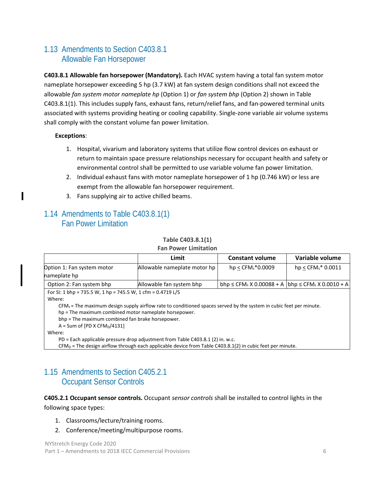## <span id="page-12-0"></span>1.13 Amendments to Section C403.8.1 Allowable Fan Horsepower

**C403.8.1 Allowable fan horsepower (Mandatory).** Each HVAC system having a total fan system motor nameplate horsepower exceeding 5 hp (3.7 kW) at fan system design conditions shall not exceed the allowable *fan system motor nameplate hp* (Option 1) or *fan system bhp* (Option 2) shown in Table C403.8.1(1). This includes supply fans, exhaust fans, return/relief fans, and fan-powered terminal units associated with systems providing heating or cooling capability. Single-zone variable air volume systems shall comply with the constant volume fan power limitation.

#### **Exceptions**:

- 1. Hospital, vivarium and laboratory systems that utilize flow control devices on exhaust or return to maintain space pressure relationships necessary for occupant health and safety or environmental control shall be permitted to use variable volume fan power limitation.
- 2. Individual exhaust fans with motor nameplate horsepower of 1 hp (0.746 kW) or less are exempt from the allowable fan horsepower requirement.
- 3. Fans supplying air to active chilled beams.

### <span id="page-12-1"></span>1.14 Amendments to Table C403.8.1(1) Fan Power Limitation

#### **Table C403.8.1(1)**

| <b>Fan Power Limitation</b> |  |
|-----------------------------|--|
|-----------------------------|--|

| Limit                    | <b>Constant volume</b>                                                                                                                                                                                                                                                                                                                                                                                                                                                                     | Variable volume                                                                                                    |
|--------------------------|--------------------------------------------------------------------------------------------------------------------------------------------------------------------------------------------------------------------------------------------------------------------------------------------------------------------------------------------------------------------------------------------------------------------------------------------------------------------------------------------|--------------------------------------------------------------------------------------------------------------------|
|                          | $hp < CFM_s * 0.0009$                                                                                                                                                                                                                                                                                                                                                                                                                                                                      | $hp <$ CFM $s$ <sup>*</sup> 0.0011                                                                                 |
| Allowable fan system bhp |                                                                                                                                                                                                                                                                                                                                                                                                                                                                                            |                                                                                                                    |
|                          | $\blacksquare$ $\blacksquare$ $\blacksquare$ $\blacksquare$ $\blacksquare$ $\blacksquare$ $\blacksquare$ $\blacksquare$ $\blacksquare$ $\blacksquare$ $\blacksquare$ $\blacksquare$ $\blacksquare$ $\blacksquare$ $\blacksquare$ $\blacksquare$ $\blacksquare$ $\blacksquare$ $\blacksquare$ $\blacksquare$ $\blacksquare$ $\blacksquare$ $\blacksquare$ $\blacksquare$ $\blacksquare$ $\blacksquare$ $\blacksquare$ $\blacksquare$ $\blacksquare$ $\blacksquare$ $\blacksquare$ $\blacks$ | Allowable nameplate motor hp<br>bhp $\leq$ CFM <sub>s</sub> X 0.00088 + A bhp $\leq$ CFM <sub>s</sub> X 0.0010 + A |

For SI: 1 bhp = 735.5 W, 1 hp = 745.5 W, 1 cfm = 0.4719 L/S

Where:

 $CFM<sub>s</sub>$  = The maximum design supply airflow rate to conditioned spaces served by the system in cubic feet per minute.

hp = The maximum combined motor nameplate horsepower.

bhp = The maximum combined fan brake horsepower.

 $A = Sum of [PD X CFM<sub>D</sub>/4131]$ 

Where:

PD = Each applicable pressure drop adjustment from Table C403.8.1 (2) in. w.c.

 $CFM<sub>D</sub>$  = The design airflow through each applicable device from Table C403.8.1(2) in cubic feet per minute.

## <span id="page-12-2"></span>1.15 Amendments to Section C405.2.1 Occupant Sensor Controls

#### **C405.2.1 Occupant sensor controls.** Occupant *sensor controls* shall be installed to control lights in the following space types:

- 1. Classrooms/lecture/training rooms.
- 2. Conference/meeting/multipurpose rooms.

NYStretch Energy Code 2020 Part 1 – Amendments to 2018 IECC Commercial Provisions 6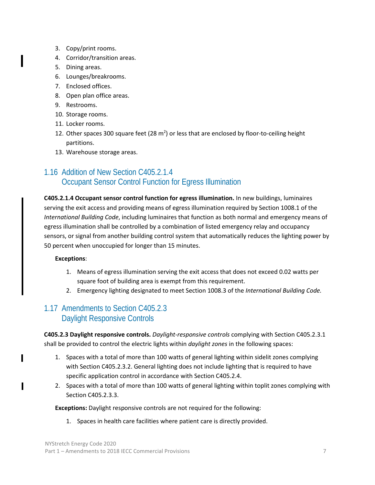- 3. Copy/print rooms.
- 4. Corridor/transition areas.
- 5. Dining areas.
- 6. Lounges/breakrooms.
- 7. Enclosed offices.
- 8. Open plan office areas.
- 9. Restrooms.
- 10. Storage rooms.
- 11. Locker rooms.
- 12. Other spaces 300 square feet (28  $m<sup>2</sup>$ ) or less that are enclosed by floor-to-ceiling height partitions.
- 13. Warehouse storage areas.

## <span id="page-13-0"></span>1.16 Addition of New Section C405.2.1.4 Occupant Sensor Control Function for Egress Illumination

**C405.2.1.4 Occupant sensor control function for egress illumination.** In new buildings, luminaires serving the exit access and providing means of egress illumination required by Section 1008.1 of the *International Building Code*, including luminaires that function as both normal and emergency means of egress illumination shall be controlled by a combination of listed emergency relay and occupancy sensors, or signal from another building control system that automatically reduces the lighting power by 50 percent when unoccupied for longer than 15 minutes.

#### **Exceptions**:

L

- 1. Means of egress illumination serving the exit access that does not exceed 0.02 watts per square foot of building area is exempt from this requirement.
- 2. Emergency lighting designated to meet Section 1008.3 of the *International Building Code.*

## <span id="page-13-1"></span>1.17 Amendments to Section C405.2.3 Daylight Responsive Controls

**C405.2.3 Daylight responsive controls.** *Daylight-responsive controls* complying with Section C405.2.3.1 shall be provided to control the electric lights within *daylight zones* in the following spaces:

- 1. Spaces with a total of more than 100 watts of general lighting within sidelit zones complying with Section C405.2.3.2. General lighting does not include lighting that is required to have specific application control in accordance with Section C405.2.4.
- 2. Spaces with a total of more than 100 watts of general lighting within toplit zones complying with Section C405.2.3.3.

#### **Exceptions:** Daylight responsive controls are not required for the following:

1. Spaces in health care facilities where patient care is directly provided.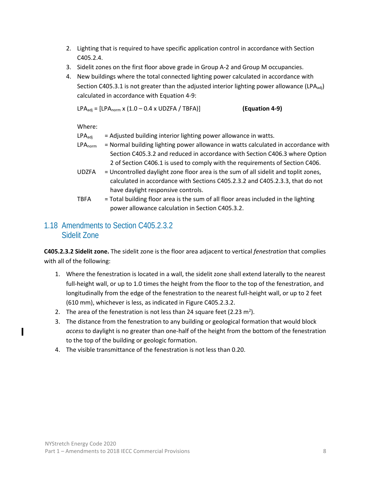- 2. Lighting that is required to have specific application control in accordance with Section C405.2.4.
- 3. Sidelit zones on the first floor above grade in Group A-2 and Group M occupancies.
- 4. New buildings where the total connected lighting power calculated in accordance with Section C405.3.1 is not greater than the adjusted interior lighting power allowance (LPA<sub>adj</sub>) calculated in accordance with Equation 4-9:

LPAadj = [LPAnorm x (1.0 – 0.4 x UDZFA / TBFA)] **(Equation 4-9)**

Where:

 $LPA<sub>adi</sub>$  = Adjusted building interior lighting power allowance in watts.

- LPA<sub>norm</sub> = Normal building lighting power allowance in watts calculated in accordance with Section C405.3.2 and reduced in accordance with Section C406.3 where Option 2 of Section C406.1 is used to comply with the requirements of Section C406.
- UDZFA = Uncontrolled daylight zone floor area is the sum of all sidelit and toplit zones, calculated in accordance with Sections C405.2.3.2 and C405.2.3.3, that do not have daylight responsive controls.
- TBFA = Total building floor area is the sum of all floor areas included in the lighting power allowance calculation in Section C405.3.2.

## <span id="page-14-0"></span>1.18 Amendments to Section C405.2.3.2 Sidelit Zone

**C405.2.3.2 Sidelit zone.** The sidelit zone is the floor area adjacent to vertical *fenestration* that complies with all of the following:

- 1. Where the fenestration is located in a wall, the sidelit zone shall extend laterally to the nearest full-height wall, or up to 1.0 times the height from the floor to the top of the fenestration, and longitudinally from the edge of the fenestration to the nearest full-height wall, or up to 2 feet (610 mm), whichever is less, as indicated in Figure C405.2.3.2.
- 2. The area of the fenestration is not less than 24 square feet (2.23  $m^2$ ).
- 3. The distance from the fenestration to any building or geological formation that would block *access* to daylight is no greater than one-half of the height from the bottom of the fenestration to the top of the building or geologic formation.
- <span id="page-14-1"></span>4. The visible transmittance of the fenestration is not less than 0.20.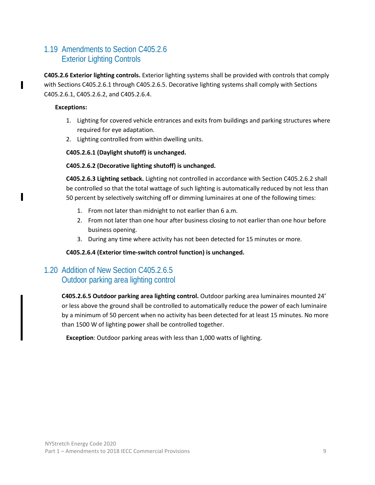## 1.19 Amendments to Section C405.2.6 Exterior Lighting Controls

**C405.2.6 Exterior lighting controls.** Exterior lighting systems shall be provided with controls that comply with Sections C405.2.6.1 through C405.2.6.5. Decorative lighting systems shall comply with Sections C405.2.6.1, C405.2.6.2, and C405.2.6.4.

#### **Exceptions:**

- 1. Lighting for covered vehicle entrances and exits from buildings and parking structures where required for eye adaptation.
- 2. Lighting controlled from within dwelling units.

#### **C405.2.6.1 (Daylight shutoff) is unchanged.**

#### **C405.2.6.2 (Decorative lighting shutoff) is unchanged.**

**C405.2.6.3 Lighting setback.** Lighting not controlled in accordance with Section C405.2.6.2 shall be controlled so that the total wattage of such lighting is automatically reduced by not less than 50 percent by selectively switching off or dimming luminaires at one of the following times:

- 1. From not later than midnight to not earlier than 6 a.m.
- 2. From not later than one hour after business closing to not earlier than one hour before business opening.
- 3. During any time where activity has not been detected for 15 minutes or more.

#### **C405.2.6.4 (Exterior time-switch control function) is unchanged.**

## <span id="page-15-0"></span>1.20 Addition of New Section C405.2.6.5 Outdoor parking area lighting control

**C405.2.6.5 Outdoor parking area lighting control.** Outdoor parking area luminaires mounted 24' or less above the ground shall be controlled to automatically reduce the power of each luminaire by a minimum of 50 percent when no activity has been detected for at least 15 minutes. No more than 1500 W of lighting power shall be controlled together.

**Exception**: Outdoor parking areas with less than 1,000 watts of lighting.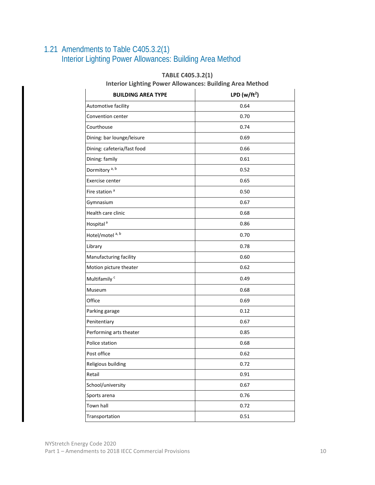## <span id="page-16-0"></span>1.21 Amendments to Table C405.3.2(1) Interior Lighting Power Allowances: Building Area Method

| <b>BUILDING AREA TYPE</b>   | LPD ( $w/ft^2$ ) |  |
|-----------------------------|------------------|--|
| Automotive facility         | 0.64             |  |
| Convention center           | 0.70             |  |
| Courthouse                  | 0.74             |  |
| Dining: bar lounge/leisure  | 0.69             |  |
| Dining: cafeteria/fast food | 0.66             |  |
| Dining: family              | 0.61             |  |
| Dormitory <sup>a, b</sup>   | 0.52             |  |
| Exercise center             | 0.65             |  |
| Fire station <sup>a</sup>   | 0.50             |  |
| Gymnasium                   | 0.67             |  |
| Health care clinic          | 0.68             |  |
| Hospital <sup>a</sup>       | 0.86             |  |
| Hotel/motel <sup>a, b</sup> | 0.70             |  |
| Library                     | 0.78             |  |
| Manufacturing facility      | 0.60             |  |
| Motion picture theater      | 0.62             |  |
| Multifamily <sup>c</sup>    | 0.49             |  |
| Museum                      | 0.68             |  |
| Office                      | 0.69             |  |
| Parking garage              | 0.12             |  |
| Penitentiary                | 0.67             |  |
| Performing arts theater     | 0.85             |  |
| Police station              | 0.68             |  |
| Post office                 | 0.62             |  |
| Religious building          | 0.72             |  |
| Retail                      | 0.91             |  |
| School/university           | 0.67             |  |
| Sports arena                | 0.76             |  |
| Town hall                   | 0.72             |  |
| Transportation              | 0.51             |  |

#### **TABLE C405.3.2(1)**

**Interior Lighting Power Allowances: Building Area Method**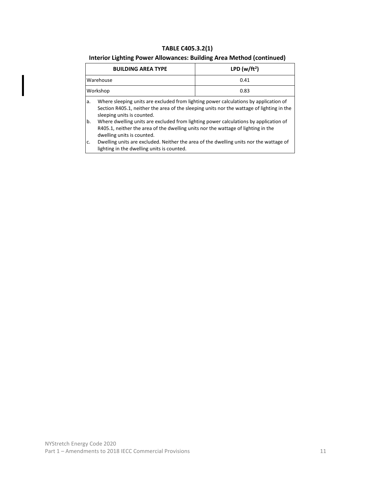#### **TABLE C405.3.2(1)**

#### **Interior Lighting Power Allowances: Building Area Method (continued)**

|                | <b>BUILDING AREA TYPE</b>                                                                                                                                                                                       | LPD (w/ft <sup>2</sup> ) |  |
|----------------|-----------------------------------------------------------------------------------------------------------------------------------------------------------------------------------------------------------------|--------------------------|--|
|                | Warehouse                                                                                                                                                                                                       | 0.41                     |  |
|                | Workshop                                                                                                                                                                                                        | 0.83                     |  |
| a.             | Where sleeping units are excluded from lighting power calculations by application of<br>Section R405.1, neither the area of the sleeping units nor the wattage of lighting in the<br>sleeping units is counted. |                          |  |
| b.             | Where dwelling units are excluded from lighting power calculations by application of<br>R405.1, neither the area of the dwelling units nor the wattage of lighting in the<br>dwelling units is counted.         |                          |  |
| C <sub>1</sub> | Dwelling units are excluded. Neither the area of the dwelling units nor the wattage of<br>lighting in the dwelling units is counted.                                                                            |                          |  |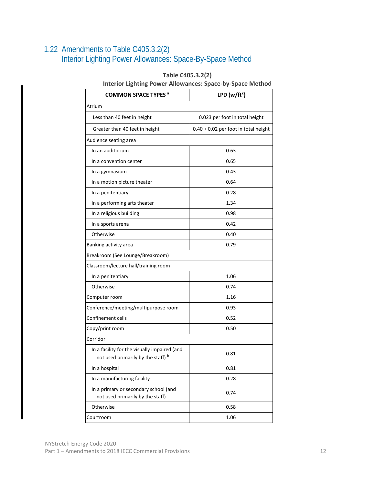## <span id="page-18-0"></span>1.22 Amendments to Table C405.3.2(2) Interior Lighting Power Allowances: Space-By-Space Method

#### **Table C405.3.2(2)**

#### **Interior Lighting Power Allowances: Space-by-Space Method**

| <b>COMMON SPACE TYPES a</b>                                                        | LPD ( $w/ft^2$ )                       |  |  |  |
|------------------------------------------------------------------------------------|----------------------------------------|--|--|--|
| Atrium                                                                             |                                        |  |  |  |
| Less than 40 feet in height                                                        | 0.023 per foot in total height         |  |  |  |
| Greater than 40 feet in height                                                     | $0.40 + 0.02$ per foot in total height |  |  |  |
| Audience seating area                                                              |                                        |  |  |  |
| In an auditorium                                                                   | 0.63                                   |  |  |  |
| In a convention center                                                             | 0.65                                   |  |  |  |
| In a gymnasium                                                                     | 0.43                                   |  |  |  |
| In a motion picture theater                                                        | 0.64                                   |  |  |  |
| In a penitentiary                                                                  | 0.28                                   |  |  |  |
| In a performing arts theater                                                       | 1.34                                   |  |  |  |
| In a religious building                                                            | 0.98                                   |  |  |  |
| In a sports arena                                                                  | 0.42                                   |  |  |  |
| Otherwise                                                                          | 0.40                                   |  |  |  |
| Banking activity area                                                              | 0.79                                   |  |  |  |
| Breakroom (See Lounge/Breakroom)                                                   |                                        |  |  |  |
| Classroom/lecture hall/training room                                               |                                        |  |  |  |
| In a penitentiary                                                                  | 1.06                                   |  |  |  |
| Otherwise                                                                          | 0.74                                   |  |  |  |
| Computer room                                                                      | 1.16                                   |  |  |  |
| Conference/meeting/multipurpose room                                               | 0.93                                   |  |  |  |
| Confinement cells                                                                  | 0.52                                   |  |  |  |
| Copy/print room                                                                    | 0.50                                   |  |  |  |
| Corridor                                                                           |                                        |  |  |  |
| In a facility for the visually impaired (and<br>not used primarily by the staff) b | 0.81                                   |  |  |  |
| In a hospital                                                                      | 0.81                                   |  |  |  |
| In a manufacturing facility                                                        | 0.28                                   |  |  |  |
| In a primary or secondary school (and<br>not used primarily by the staff)          | 0.74                                   |  |  |  |
| Otherwise                                                                          | 0.58                                   |  |  |  |
| Courtroom                                                                          | 1.06                                   |  |  |  |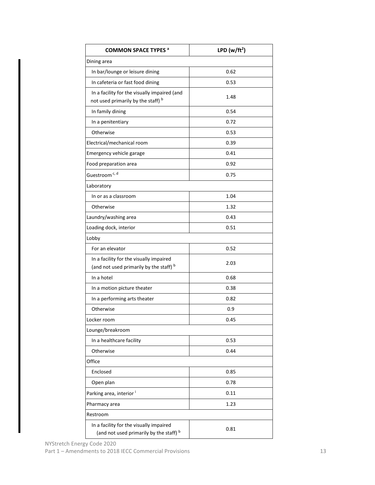| <b>COMMON SPACE TYPES a</b>                                                        | LPD ( $w/ft^2$ ) |  |  |  |
|------------------------------------------------------------------------------------|------------------|--|--|--|
| Dining area                                                                        |                  |  |  |  |
| In bar/lounge or leisure dining                                                    | 0.62             |  |  |  |
| In cafeteria or fast food dining                                                   | 0.53             |  |  |  |
| In a facility for the visually impaired (and<br>not used primarily by the staff) b | 1.48             |  |  |  |
| In family dining                                                                   | 0.54             |  |  |  |
| In a penitentiary                                                                  | 0.72             |  |  |  |
| Otherwise                                                                          | 0.53             |  |  |  |
| Electrical/mechanical room                                                         | 0.39             |  |  |  |
| Emergency vehicle garage                                                           | 0.41             |  |  |  |
| Food preparation area                                                              | 0.92             |  |  |  |
| Guestroom <sup>c, d</sup>                                                          | 0.75             |  |  |  |
| Laboratory                                                                         |                  |  |  |  |
| In or as a classroom                                                               | 1.04             |  |  |  |
| Otherwise                                                                          | 1.32             |  |  |  |
| Laundry/washing area                                                               | 0.43             |  |  |  |
| Loading dock, interior                                                             | 0.51             |  |  |  |
| Lobby                                                                              |                  |  |  |  |
| For an elevator                                                                    | 0.52             |  |  |  |
| In a facility for the visually impaired<br>(and not used primarily by the staff) b | 2.03             |  |  |  |
| In a hotel                                                                         | 0.68             |  |  |  |
| In a motion picture theater                                                        | 0.38             |  |  |  |
| In a performing arts theater                                                       | 0.82             |  |  |  |
| Otherwise                                                                          | 0.9              |  |  |  |
| Locker room                                                                        | 0.45             |  |  |  |
| Lounge/breakroom                                                                   |                  |  |  |  |
| In a healthcare facility                                                           | 0.53             |  |  |  |
| Otherwise                                                                          | 0.44             |  |  |  |
| Office                                                                             |                  |  |  |  |
| Enclosed                                                                           | 0.85             |  |  |  |
| Open plan                                                                          | 0.78             |  |  |  |
| Parking area, interior i                                                           | 0.11             |  |  |  |
| Pharmacy area                                                                      | 1.23             |  |  |  |
| Restroom                                                                           |                  |  |  |  |
| In a facility for the visually impaired<br>(and not used primarily by the staff) b | 0.81             |  |  |  |

NYStretch Energy Code 2020 Part 1 – Amendments to 2018 IECC Commercial Provisions 13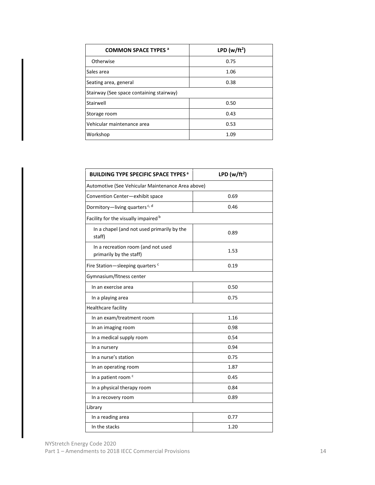| <b>COMMON SPACE TYPES a</b>              | LPD ( $w/ft^2$ ) |
|------------------------------------------|------------------|
| Otherwise                                | 0.75             |
| Sales area                               | 1.06             |
| Seating area, general                    | 0.38             |
| Stairway (See space containing stairway) |                  |
| Stairwell                                | 0.50             |
| Storage room                             | 0.43             |
| Vehicular maintenance area               | 0.53             |
| Workshop                                 | 1.09             |

| <b>BUILDING TYPE SPECIFIC SPACE TYPES<sup>a</sup></b>         | LPD (w/ft <sup>2</sup> ) |
|---------------------------------------------------------------|--------------------------|
| Automotive (See Vehicular Maintenance Area above)             |                          |
| Convention Center-exhibit space                               | 0.69                     |
| Dormitory-living quarters <sup>c, d</sup>                     | 0.46                     |
| Facility for the visually impaired b                          |                          |
| In a chapel (and not used primarily by the<br>staff)          | 0.89                     |
| In a recreation room (and not used<br>primarily by the staff) | 1.53                     |
| Fire Station-sleeping quarters <sup>c</sup>                   | 0.19                     |
| Gymnasium/fitness center                                      |                          |
| In an exercise area                                           | 0.50                     |
| In a playing area                                             | 0.75                     |
| Healthcare facility                                           |                          |
| In an exam/treatment room                                     | 1.16                     |
| In an imaging room                                            | 0.98                     |
| In a medical supply room                                      | 0.54                     |
| In a nursery                                                  | 0.94                     |
| In a nurse's station                                          | 0.75                     |
| In an operating room                                          | 1.87                     |
| In a patient room <sup>c</sup>                                | 0.45                     |
| In a physical therapy room                                    | 0.84                     |
| In a recovery room                                            | 0.89                     |
| Library                                                       |                          |
| In a reading area                                             | 0.77                     |
| In the stacks                                                 | 1.20                     |

NYStretch Energy Code 2020 Part 1 – Amendments to 2018 IECC Commercial Provisions 14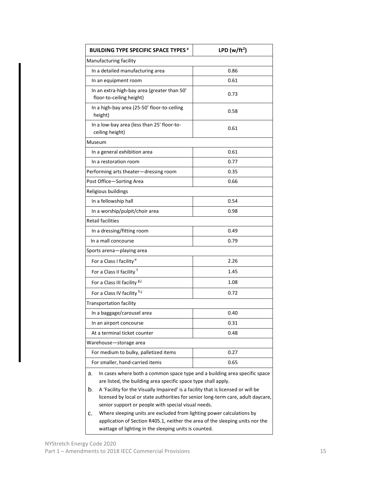| <b>BUILDING TYPE SPECIFIC SPACE TYPES<sup>a</sup></b>                                                                                              | LPD ( $w/ft^2$ ) |  |  |  |  |
|----------------------------------------------------------------------------------------------------------------------------------------------------|------------------|--|--|--|--|
| Manufacturing facility                                                                                                                             |                  |  |  |  |  |
| In a detailed manufacturing area                                                                                                                   | 0.86             |  |  |  |  |
| In an equipment room                                                                                                                               | 0.61             |  |  |  |  |
| In an extra-high-bay area (greater than 50'<br>floor-to-ceiling height)                                                                            | 0.73             |  |  |  |  |
| In a high-bay area (25-50' floor-to-ceiling<br>height)                                                                                             | 0.58             |  |  |  |  |
| In a low-bay area (less than 25' floor-to-<br>ceiling height)                                                                                      | 0.61             |  |  |  |  |
| Museum                                                                                                                                             |                  |  |  |  |  |
| In a general exhibition area                                                                                                                       | 0.61             |  |  |  |  |
| In a restoration room                                                                                                                              | 0.77             |  |  |  |  |
| Performing arts theater-dressing room                                                                                                              | 0.35             |  |  |  |  |
| Post Office-Sorting Area                                                                                                                           | 0.66             |  |  |  |  |
| Religious buildings                                                                                                                                |                  |  |  |  |  |
| In a fellowship hall                                                                                                                               | 0.54             |  |  |  |  |
| In a worship/pulpit/choir area                                                                                                                     | 0.98             |  |  |  |  |
| <b>Retail facilities</b>                                                                                                                           |                  |  |  |  |  |
| In a dressing/fitting room                                                                                                                         | 0.49             |  |  |  |  |
| In a mall concourse                                                                                                                                | 0.79             |  |  |  |  |
| Sports arena—playing area                                                                                                                          |                  |  |  |  |  |
| For a Class I facility <sup>e</sup>                                                                                                                | 2.26             |  |  |  |  |
| For a Class II facility f                                                                                                                          | 1.45             |  |  |  |  |
| For a Class III facility 8,J                                                                                                                       | 1.08             |  |  |  |  |
| For a Class IV facility h,j                                                                                                                        | 0.72             |  |  |  |  |
| <b>Transportation facility</b>                                                                                                                     |                  |  |  |  |  |
| In a baggage/carousel area                                                                                                                         | 0.40             |  |  |  |  |
| In an airport concourse                                                                                                                            | 0.31             |  |  |  |  |
| At a terminal ticket counter                                                                                                                       | 0.48             |  |  |  |  |
| Warehouse-storage area                                                                                                                             |                  |  |  |  |  |
| For medium to bulky, palletized items<br>0.27                                                                                                      |                  |  |  |  |  |
| For smaller, hand-carried items<br>0.65                                                                                                            |                  |  |  |  |  |
| In cases where both a common space type and a building area specific space<br>а.<br>are listed, the building area specific space type shall apply. |                  |  |  |  |  |

- $\vert$  b. A 'Facility for the Visually Impaired' is a facility that is licensed or will be licensed by local or state authorities for senior long-term care, adult daycare, senior support or people with special visual needs.
- Where sleeping units are excluded from lighting power calculations by application of Section R405.1, neither the area of the sleeping units nor the wattage of lighting in the sleeping units is counted.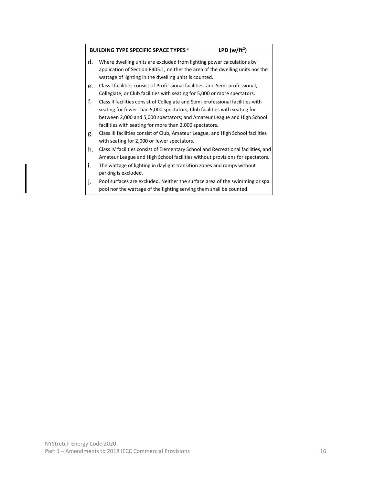|    | LPD ( $w/ft^2$ )<br><b>BUILDING TYPE SPECIFIC SPACE TYPES<sup>a</sup></b>                                                                                                                                                                                                                         |  |  |  |  |  |
|----|---------------------------------------------------------------------------------------------------------------------------------------------------------------------------------------------------------------------------------------------------------------------------------------------------|--|--|--|--|--|
| d. | Where dwelling units are excluded from lighting power calculations by<br>application of Section R405.1, neither the area of the dwelling units nor the<br>wattage of lighting in the dwelling units is counted.                                                                                   |  |  |  |  |  |
| е. | Class I facilities consist of Professional facilities; and Semi-professional,<br>Collegiate, or Club facilities with seating for 5,000 or more spectators.                                                                                                                                        |  |  |  |  |  |
| f. | Class II facilities consist of Collegiate and Semi-professional facilities with<br>seating for fewer than 5,000 spectators; Club facilities with seating for<br>between 2,000 and 5,000 spectators; and Amateur League and High School<br>facilities with seating for more than 2,000 spectators. |  |  |  |  |  |
| g. | Class III facilities consist of Club, Amateur League, and High School facilities<br>with seating for 2,000 or fewer spectators.                                                                                                                                                                   |  |  |  |  |  |
| h. | Class IV facilities consist of Elementary School and Recreational facilities, and<br>Amateur League and High School facilities without provisions for spectators.                                                                                                                                 |  |  |  |  |  |
| i. | The wattage of lighting in daylight transition zones and ramps without<br>parking is excluded.                                                                                                                                                                                                    |  |  |  |  |  |
| j. | Pool surfaces are excluded. Neither the surface area of the swimming or spa<br>pool nor the wattage of the lighting serving them shall be counted.                                                                                                                                                |  |  |  |  |  |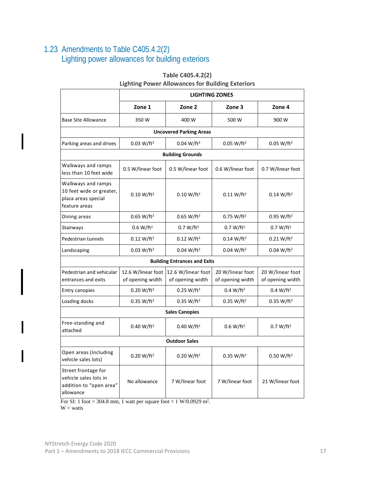## <span id="page-23-0"></span>1.23 Amendments to Table C405.4.2(2) Lighting power allowances for building exteriors

|                                                                                                      | <b>LIGHTING ZONES</b>                  |                                                  |                                                  |                                      |  |
|------------------------------------------------------------------------------------------------------|----------------------------------------|--------------------------------------------------|--------------------------------------------------|--------------------------------------|--|
|                                                                                                      | Zone 1                                 | Zone 2                                           | Zone 3                                           | Zone 4                               |  |
| <b>Base Site Allowance</b><br>350W                                                                   |                                        | 400 W                                            | 500 W                                            | 900 W                                |  |
|                                                                                                      |                                        | <b>Uncovered Parking Areas</b>                   |                                                  |                                      |  |
| Parking areas and drives                                                                             | 0.03 W/ft <sup>2</sup>                 | 0.04 W/ft <sup>2</sup>                           | 0.05 W/ft <sup>2</sup>                           | 0.05 W/ft <sup>2</sup>               |  |
|                                                                                                      |                                        | <b>Building Grounds</b>                          |                                                  |                                      |  |
| Walkways and ramps<br>less than 10 feet wide                                                         | 0.5 W/linear foot                      | 0.5 W/linear foot                                | 0.6 W/linear foot                                | 0.7 W/linear foot                    |  |
| Walkways and ramps<br>10 feet wide or greater,<br>plaza areas special<br>feature areas               | $0.10 W/ft^2$                          | $0.10 W/ft^2$                                    | $0.11 W/ft^2$                                    | $0.14 W/ft^2$                        |  |
| Dining areas                                                                                         | 0.65 W/ft <sup>2</sup>                 | 0.65 W/ft <sup>2</sup><br>0.75 W/ft <sup>2</sup> |                                                  | 0.95 W/ft <sup>2</sup>               |  |
| Stairways                                                                                            | 0.6 W/ft <sup>2</sup>                  | 0.7 W/ft <sup>2</sup><br>0.7 W/ft <sup>2</sup>   |                                                  | 0.7 W/ft <sup>2</sup>                |  |
| Pedestrian tunnels                                                                                   | 0.12 W/ft <sup>2</sup>                 | 0.12 W/ft <sup>2</sup><br>0.14 W/ft <sup>2</sup> |                                                  | 0.21 W/ft <sup>2</sup>               |  |
| 0.03 W/ft <sup>2</sup><br>Landscaping                                                                |                                        | 0.04 W/ft <sup>2</sup>                           | 0.04 W/ft <sup>2</sup><br>0.04 W/ft <sup>2</sup> |                                      |  |
|                                                                                                      |                                        | <b>Building Entrances and Exits</b>              |                                                  |                                      |  |
| Pedestrian and vehicular<br>entrances and exits                                                      | 12.6 W/linear foot<br>of opening width | 12.6 W/linear foot<br>of opening width           | 20 W/linear foot<br>of opening width             | 20 W/linear foot<br>of opening width |  |
| <b>Entry canopies</b>                                                                                | 0.20 W/ft <sup>2</sup>                 | 0.25 W/ft <sup>2</sup>                           | 0.4 W/ft <sup>2</sup>                            | 0.4 W/ft <sup>2</sup>                |  |
| Loading docks                                                                                        | 0.35 W/ft <sup>2</sup>                 | 0.35 W/ft <sup>2</sup>                           | 0.35 W/ft <sup>2</sup>                           | 0.35 W/ft <sup>2</sup>               |  |
|                                                                                                      |                                        | <b>Sales Canopies</b>                            |                                                  |                                      |  |
| Free-standing and<br>0.40 W/ft <sup>2</sup><br>attached                                              |                                        | 0.40 W/ft <sup>2</sup>                           | 0.6 W/ft <sup>2</sup>                            | 0.7 W/ft <sup>2</sup>                |  |
|                                                                                                      |                                        | <b>Outdoor Sales</b>                             |                                                  |                                      |  |
| Open areas (including<br>0.20 W/ft <sup>2</sup><br>vehicle sales lots)                               |                                        | 0.20 W/ft <sup>2</sup>                           | 0.35 W/ft <sup>2</sup>                           | 0.50 W/ft <sup>2</sup>               |  |
| Street frontage for<br>vehicle sales lots in<br>No allowance<br>addition to "open area"<br>allowance |                                        | 7 W/linear foot                                  | 7 W/linear foot                                  | 21 W/linear foot                     |  |

#### **Table C405.4.2(2)**

#### **Lighting Power Allowances for Building Exteriors**

For SI: 1 foot = 304.8 mm, 1 watt per square foot = 1 W/0.0929 m<sup>2</sup>.

 $W = watts$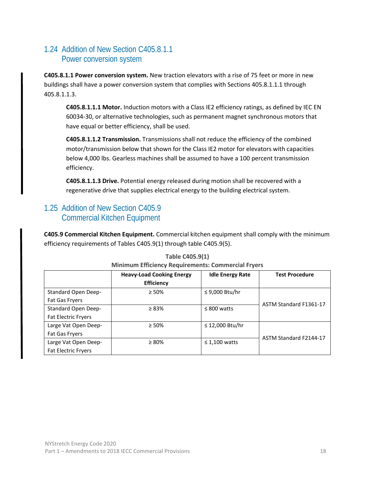## <span id="page-24-0"></span>1.24 Addition of New Section C405.8.1.1 Power conversion system

**C405.8.1.1 Power conversion system.** New traction elevators with a rise of 75 feet or more in new buildings shall have a power conversion system that complies with Sections 405.8.1.1.1 through 405.8.1.1.3.

**C405.8.1.1.1 Motor.** Induction motors with a Class IE2 efficiency ratings, as defined by IEC EN 60034-30, or alternative technologies, such as permanent magnet synchronous motors that have equal or better efficiency, shall be used.

**C405.8.1.1.2 Transmission.** Transmissions shall not reduce the efficiency of the combined motor/transmission below that shown for the Class IE2 motor for elevators with capacities below 4,000 lbs. Gearless machines shall be assumed to have a 100 percent transmission efficiency.

**C405.8.1.1.3 Drive.** Potential energy released during motion shall be recovered with a regenerative drive that supplies electrical energy to the building electrical system.

## <span id="page-24-1"></span>1.25 Addition of New Section C405.9 Commercial Kitchen Equipment

**C405.9 Commercial Kitchen Equipment.** Commercial kitchen equipment shall comply with the minimum efficiency requirements of Tables C405.9(1) through table C405.9(5).

|                            | <b>Heavy-Load Cooking Energy</b> | <b>Idle Energy Rate</b> | <b>Test Procedure</b>  |  |  |  |
|----------------------------|----------------------------------|-------------------------|------------------------|--|--|--|
|                            | <b>Efficiency</b>                |                         |                        |  |  |  |
| <b>Standard Open Deep-</b> | $\geq 50\%$                      | ≤ 9,000 Btu/hr          |                        |  |  |  |
| <b>Fat Gas Fryers</b>      |                                  |                         | ASTM Standard F1361-17 |  |  |  |
| <b>Standard Open Deep-</b> | $\geq 83\%$                      | $\leq 800$ watts        |                        |  |  |  |
| <b>Fat Electric Fryers</b> |                                  |                         |                        |  |  |  |
| Large Vat Open Deep-       | $\geq 50\%$                      | ≤ 12,000 Btu/hr         |                        |  |  |  |
| Fat Gas Fryers             |                                  |                         | ASTM Standard F2144-17 |  |  |  |
| Large Vat Open Deep-       | $\geq 80\%$                      | $\leq 1,100$ watts      |                        |  |  |  |
| <b>Fat Electric Fryers</b> |                                  |                         |                        |  |  |  |

#### **Table C405.9(1)**

#### **Minimum Efficiency Requirements: Commercial Fryers**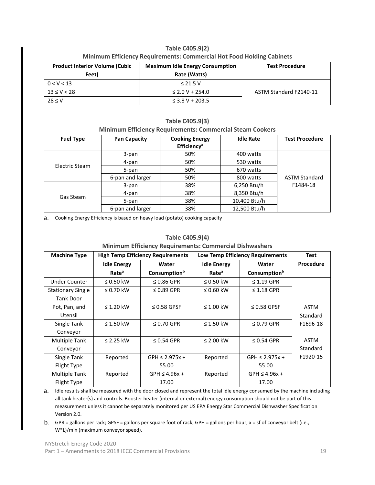| Minimum Efficiency Requirements: Commercial Hot Food Holding Cabinets |                                        |                        |  |  |
|-----------------------------------------------------------------------|----------------------------------------|------------------------|--|--|
| <b>Product Interior Volume (Cubic)</b>                                | <b>Maximum Idle Energy Consumption</b> | <b>Test Procedure</b>  |  |  |
| Feet)                                                                 | Rate (Watts)                           |                        |  |  |
| 0 < V < 13                                                            | $\leq$ 21.5 V                          |                        |  |  |
| $13 \le V < 28$                                                       | $\leq$ 2.0 V + 254.0                   | ASTM Standard F2140-11 |  |  |
| $28 \le V$                                                            | $\leq$ 3.8 V + 203.5                   |                        |  |  |

# **Table C405.9(2)**

#### **Table C405.9(3) Minimum Efficiency Requirements: Commercial Steam Cookers**

| <b>Fuel Type</b> | <b>Pan Capacity</b> | <b>Cooking Energy</b><br>Efficiency <sup>a</sup> | <b>Idle Rate</b> | <b>Test Procedure</b> |
|------------------|---------------------|--------------------------------------------------|------------------|-----------------------|
|                  | 3-pan               | 50%                                              | 400 watts        |                       |
| Electric Steam   | 4-pan               | 50%                                              | 530 watts        |                       |
|                  | 5-pan               | 50%                                              | 670 watts        |                       |
|                  | 6-pan and larger    | 50%                                              | 800 watts        | <b>ASTM Standard</b>  |
|                  | 3-pan               | 38%                                              | 6,250 Btu/h      | F1484-18              |
| Gas Steam        | 4-pan               | 38%                                              | 8,350 Btu/h      |                       |
|                  | 5-pan               | 38%                                              | 10,400 Btu/h     |                       |
|                  | 6-pan and larger    | 38%                                              | 12,500 Btu/h     |                       |

Cooking Energy Efficiency is based on heavy load (potato) cooking capacity

#### **Machine Type High Temp Efficiency Requirements Low Temp Efficiency Requirements Test Idle Energy | Water | Idle Energy | Water | Procedure Ratea Water**  Consumption<sup>b</sup> **Idle Energy Ratea Water**  Consumption<sup>b</sup> Under Counter  $\vert$  ≤ 0.50 kW  $\vert$  ≤ 0.86 GPR  $\vert$  ≤ 0.50 kW  $\vert$  ≤ 1.19 GPR ASTM **Standard** F1696-18 ASTM **Standard** F1920-15 Stationary Single Tank Door  $≤ 0.70$  kW  $\Big|$   $≤ 0.89$  GPR  $\Big|$   $≤ 0.60$  kW  $\Big|$   $≤ 1.18$  GPR Pot, Pan, and Utensil  $≤ 1.20$  kW  $\qquad$   $≤ 0.58$  GPSF  $\qquad$   $≤ 1.00$  kW  $\qquad$   $≤ 0.58$  GPSF Single Tank Conveyor  $≤ 1.50$  kW  $\Big|$   $≤ 0.70$  GPR  $\Big|$   $≤ 1.50$  kW  $\Big|$   $≤ 0.79$  GPR Multiple Tank Conveyor ≤ 2.25 kW  $\leq$  3.054 GPR  $\leq$  2.00 kW  $\leq$  0.54 GPR Single Tank Flight Type Reported  $\vert$  GPH  $\leq$  2.975x + 55.00 Reported  $\vert$  GPH  $\leq$  2.975x + 55.00 Multiple Tank Flight Type Reported  $\vert$  GPH  $\leq$  4.96x + 17.00 Reported  $\vert$  GPH  $\leq$  4.96x + 17.00

#### **Table C405.9(4)**

#### **Minimum Efficiency Requirements: Commercial Dishwashers**

Idle results shall be measured with the door closed and represent the total idle energy consumed by the machine including a. all tank heater(s) and controls. Booster heater (internal or external) energy consumption should not be part of this measurement unless it cannot be separately monitored per US EPA Energy Star Commercial Dishwasher Specification Version 2.0.

b. GPR = gallons per rack; GPSF = gallons per square foot of rack; GPH = gallons per hour; x = sf of conveyor belt (i.e., W\*L)/min (maximum conveyor speed).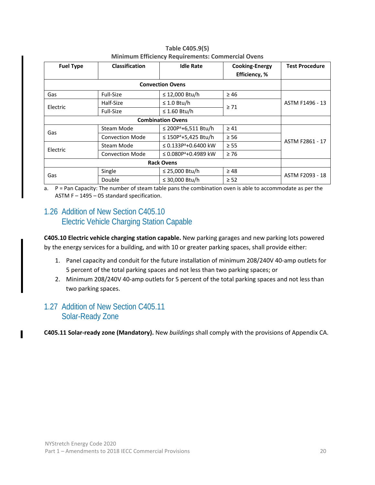| <b>Fuel Type</b> | <b>Classification</b>                       | <b>Idle Rate</b>                    | <b>Cooking-Energy</b><br>Efficiency, % | <b>Test Procedure</b> |
|------------------|---------------------------------------------|-------------------------------------|----------------------------------------|-----------------------|
|                  |                                             | <b>Convection Ovens</b>             |                                        |                       |
| Gas              | Full-Size                                   | ≤ 12,000 Btu/h                      | $\geq 46$                              |                       |
|                  | Half-Size                                   | $\leq 1.0$ Btu/h                    |                                        | ASTM F1496 - 13       |
| Electric         | $\geq 71$<br>$\leq$ 1.60 Btu/h<br>Full-Size |                                     |                                        |                       |
|                  |                                             |                                     |                                        |                       |
| Gas              | Steam Mode                                  | ≤ 200P <sup>a</sup> +6,511 Btu/h    | $\geq 41$                              |                       |
|                  | <b>Convection Mode</b>                      | ≤ 150 $P$ <sup>a</sup> +5,425 Btu/h | $\geq 56$                              | ASTM F2861 - 17       |
| Electric         | Steam Mode                                  | ≤ 0.133P <sup>a</sup> +0.6400 kW    | $\geq$ 55                              |                       |
|                  | <b>Convection Mode</b>                      | ≤ 0.080P <sup>a</sup> +0.4989 kW    | $\geq 76$                              |                       |
|                  |                                             |                                     |                                        |                       |
| Gas              | Single                                      | ≤ 25,000 Btu/h                      | $\geq 48$                              |                       |
|                  | Double                                      | ≤ 30,000 Btu/h                      | $\geq$ 52                              | ASTM F2093 - 18       |

**Table C405.9(5) Minimum Efficiency Requirements: Commercial Ovens**

a. P = Pan Capacity: The number of steam table pans the combination oven is able to accommodate as per the ASTM F – 1495 – 05 standard specification.

## <span id="page-26-0"></span>1.26 Addition of New Section C405.10 Electric Vehicle Charging Station Capable

**C405.10 Electric vehicle charging station capable.** New parking garages and new parking lots powered by the energy services for a building, and with 10 or greater parking spaces, shall provide either:

- 1. Panel capacity and conduit for the future installation of minimum 208/240V 40-amp outlets for 5 percent of the total parking spaces and not less than two parking spaces; or
- 2. Minimum 208/240V 40-amp outlets for 5 percent of the total parking spaces and not less than two parking spaces.

#### <span id="page-26-1"></span>1.27 Addition of New Section C405.11 Solar-Ready Zone

**C405.11 Solar-ready zone (Mandatory).** New *buildings* shall comply with the provisions of Appendix CA.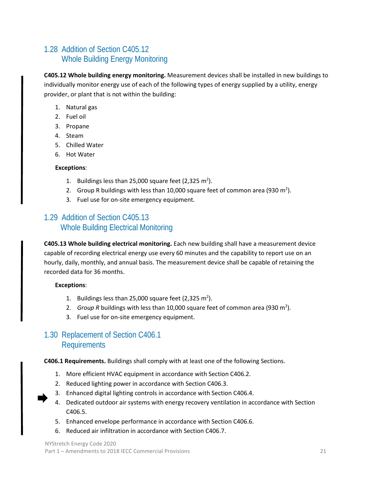## <span id="page-27-0"></span>1.28 Addition of Section C405.12 Whole Building Energy Monitoring

**C405.12 Whole building energy monitoring.** Measurement devices shall be installed in new buildings to individually monitor energy use of each of the following types of energy supplied by a utility, energy provider, or plant that is not within the building:

- 1. Natural gas
- 2. Fuel oil
- 3. Propane
- 4. Steam
- 5. Chilled Water
- 6. Hot Water

#### **Exceptions**:

- 1. Buildings less than 25,000 square feet  $(2,325 \text{ m}^2)$ .
- 2. Group R buildings with less than 10,000 square feet of common area (930 m<sup>2</sup>).
- 3. Fuel use for on-site emergency equipment.

### <span id="page-27-1"></span>1.29 Addition of Section C405.13 Whole Building Electrical Monitoring

**C405.13 Whole building electrical monitoring.** Each new building shall have a measurement device capable of recording electrical energy use every 60 minutes and the capability to report use on an hourly, daily, monthly, and annual basis. The measurement device shall be capable of retaining the recorded data for 36 months.

#### **Exceptions**:

- 1. Buildings less than 25,000 square feet  $(2,325 \text{ m}^2)$ .
- 2.  $Group R$  buildings with less than 10,000 square feet of common area (930 m<sup>2</sup>).
- 3. Fuel use for on-site emergency equipment.

### <span id="page-27-2"></span>1.30 Replacement of Section C406.1 Requirements

**C406.1 Requirements.** Buildings shall comply with at least one of the following Sections.

- 1. More efficient HVAC equipment in accordance with Section C406.2.
- 2. Reduced lighting power in accordance with Section C406.3.
- 3. Enhanced digital lighting controls in accordance with Section C406.4.
- 4. Dedicated outdoor air systems with energy recovery ventilation in accordance with Section C406.5.
- 5. Enhanced envelope performance in accordance with Section C406.6.
- 6. Reduced air infiltration in accordance with Section C406.7.

NYStretch Energy Code 2020 Part 1 – Amendments to 2018 IECC Commercial Provisions 21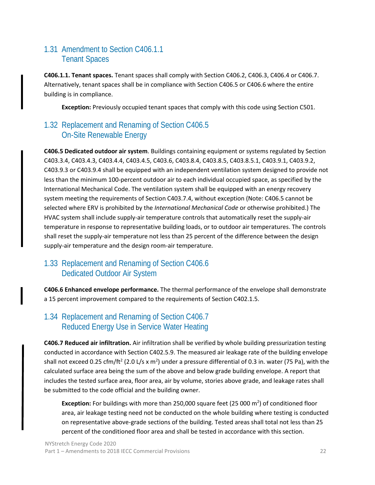## <span id="page-28-0"></span>1.31 Amendment to Section C406.1.1 Tenant Spaces

**C406.1.1. Tenant spaces.** Tenant spaces shall comply with Section C406.2, C406.3, C406.4 or C406.7. Alternatively, tenant spaces shall be in compliance with Section C406.5 or C406.6 where the entire building is in compliance.

**Exception:** Previously occupied tenant spaces that comply with this code using Section C501.

## <span id="page-28-1"></span>1.32 Replacement and Renaming of Section C406.5 On-Site Renewable Energy

**C406.5 Dedicated outdoor air system**. Buildings containing equipment or systems regulated by Section C403.3.4, C403.4.3, C403.4.4, C403.4.5, C403.6, C403.8.4, C403.8.5, C403.8.5.1, C403.9.1, C403.9.2, C403.9.3 or C403.9.4 shall be equipped with an independent ventilation system designed to provide not less than the minimum 100-percent outdoor air to each individual occupied space, as specified by the International Mechanical Code. The ventilation system shall be equipped with an energy recovery system meeting the requirements of Section C403.7.4, without exception (Note: C406.5 cannot be selected where ERV is prohibited by the *International Mechanical Code* or otherwise prohibited.) The HVAC system shall include supply-air temperature controls that automatically reset the supply-air temperature in response to representative building loads, or to outdoor air temperatures. The controls shall reset the supply-air temperature not less than 25 percent of the difference between the design supply-air temperature and the design room-air temperature.

## <span id="page-28-2"></span>1.33 Replacement and Renaming of Section C406.6 Dedicated Outdoor Air System

**C406.6 Enhanced envelope performance.** The thermal performance of the envelope shall demonstrate a 15 percent improvement compared to the requirements of Section C402.1.5.

#### <span id="page-28-3"></span>1.34 Replacement and Renaming of Section C406.7 Reduced Energy Use in Service Water Heating

**C406.7 Reduced air infiltration.** Air infiltration shall be verified by whole building pressurization testing conducted in accordance with Section C402.5.9. The measured air leakage rate of the building envelope shall not exceed 0.25 cfm/ft<sup>2</sup> (2.0 L/s x m<sup>2</sup>) under a pressure differential of 0.3 in. water (75 Pa), with the calculated surface area being the sum of the above and below grade building envelope. A report that includes the tested surface area, floor area, air by volume, stories above grade, and leakage rates shall be submitted to the code official and the building owner.

Exception: For buildings with more than 250,000 square feet (25 000 m<sup>2</sup>) of conditioned floor area, air leakage testing need not be conducted on the whole building where testing is conducted on representative above-grade sections of the building. Tested areas shall total not less than 25 percent of the conditioned floor area and shall be tested in accordance with this section.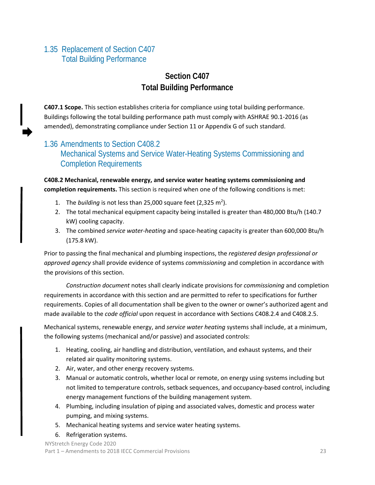## <span id="page-29-0"></span>1.35 Replacement of Section C407 Total Building Performance

## **Section C407 Total Building Performance**

**C407.1 Scope.** This section establishes criteria for compliance using total building performance. Buildings following the total building performance path must comply with ASHRAE 90.1-2016 (as amended), demonstrating compliance under Section 11 or Appendix G of such standard.

## <span id="page-29-1"></span>1.36 Amendments to Section C408.2 Mechanical Systems and Service Water-Heating Systems Commissioning and Completion Requirements

**C408.2 Mechanical, renewable energy, and service water heating systems commissioning and completion requirements.** This section is required when one of the following conditions is met:

- 1. The *building* is not less than 25,000 square feet  $(2,325 \text{ m}^2)$ .
- 2. The total mechanical equipment capacity being installed is greater than 480,000 Btu/h (140.7 kW) cooling capacity.
- 3. The combined *service water-heating* and space-heating capacity is greater than 600,000 Btu/h (175.8 kW).

Prior to passing the final mechanical and plumbing inspections, the *registered design professional or approved agency* shall provide evidence of systems *commissioning* and completion in accordance with the provisions of this section.

*Construction document* notes shall clearly indicate provisions for *commissioning* and completion requirements in accordance with this section and are permitted to refer to specifications for further requirements. Copies of all documentation shall be given to the owner or owner's authorized agent and made available to the *code official* upon request in accordance with Sections C408.2.4 and C408.2.5.

Mechanical systems, renewable energy, and *service water heating* systems shall include, at a minimum, the following systems (mechanical and/or passive) and associated controls:

- 1. Heating, cooling, air handling and distribution, ventilation, and exhaust systems, and their related air quality monitoring systems.
- 2. Air, water, and other energy recovery systems.
- 3. Manual or automatic controls, whether local or remote, on energy using systems including but not limited to temperature controls, setback sequences, and occupancy-based control, including energy management functions of the building management system.
- 4. Plumbing, including insulation of piping and associated valves, domestic and process water pumping, and mixing systems.
- 5. Mechanical heating systems and service water heating systems.
- 6. Refrigeration systems.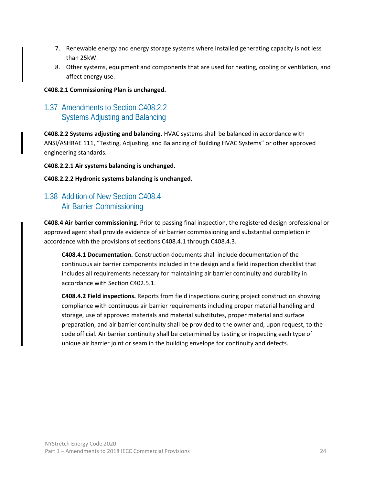- 7. Renewable energy and energy storage systems where installed generating capacity is not less than 25kW.
- 8. Other systems, equipment and components that are used for heating, cooling or ventilation, and affect energy use.

#### **C408.2.1 Commissioning Plan is unchanged.**

## <span id="page-30-0"></span>1.37 Amendments to Section C408.2.2 Systems Adjusting and Balancing

**C408.2.2 Systems adjusting and balancing.** HVAC systems shall be balanced in accordance with ANSI/ASHRAE 111, "Testing, Adjusting, and Balancing of Building HVAC Systems" or other approved engineering standards.

**C408.2.2.1 Air systems balancing is unchanged.**

**C408.2.2.2 Hydronic systems balancing is unchanged.**

## <span id="page-30-1"></span>1.38 Addition of New Section C408.4 Air Barrier Commissioning

**C408.4 Air barrier commissioning.** Prior to passing final inspection, the registered design professional or approved agent shall provide evidence of air barrier commissioning and substantial completion in accordance with the provisions of sections C408.4.1 through C408.4.3.

**C408.4.1 Documentation.** Construction documents shall include documentation of the continuous air barrier components included in the design and a field inspection checklist that includes all requirements necessary for maintaining air barrier continuity and durability in accordance with Section C402.5.1.

**C408.4.2 Field inspections.** Reports from field inspections during project construction showing compliance with continuous air barrier requirements including proper material handling and storage, use of approved materials and material substitutes, proper material and surface preparation, and air barrier continuity shall be provided to the owner and, upon request, to the code official. Air barrier continuity shall be determined by testing or inspecting each type of unique air barrier joint or seam in the building envelope for continuity and defects.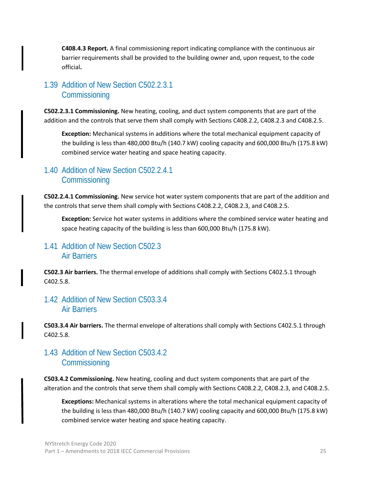**C408.4.3 Report.** A final commissioning report indicating compliance with the continuous air barrier requirements shall be provided to the building owner and, upon request, to the code official**.** 

## <span id="page-31-0"></span>1.39 Addition of New Section C502.2.3.1 **Commissioning**

**C502.2.3.1 Commissioning.** New heating, cooling, and duct system components that are part of the addition and the controls that serve them shall comply with Sections C408.2.2, C408.2.3 and C408.2.5.

**Exception:** Mechanical systems in additions where the total mechanical equipment capacity of the building is less than 480,000 Btu/h (140.7 kW) cooling capacity and 600,000 Btu/h (175.8 kW) combined service water heating and space heating capacity.

### <span id="page-31-1"></span>1.40 Addition of New Section C502.2.4.1 **Commissioning**

**C502.2.4.1 Commissioning.** New service hot water system components that are part of the addition and the controls that serve them shall comply with Sections C408.2.2, C408.2.3, and C408.2.5.

**Exception:** Service hot water systems in additions where the combined service water heating and space heating capacity of the building is less than 600,000 Btu/h (175.8 kW).

#### <span id="page-31-2"></span>1.41 Addition of New Section C502.3 Air Barriers

**C502.3 Air barriers.** The thermal envelope of additions shall comply with Sections C402.5.1 through C402.5.8.

#### <span id="page-31-3"></span>1.42 Addition of New Section C503.3.4 Air Barriers

**C503.3.4 Air barriers.** The thermal envelope of alterations shall comply with Sections C402.5.1 through C402.5.8.

## <span id="page-31-4"></span>1.43 Addition of New Section C503.4.2 **Commissioning**

**C503.4.2 Commissioning.** New heating, cooling and duct system components that are part of the alteration and the controls that serve them shall comply with Sections C408.2.2, C408.2.3, and C408.2.5.

**Exceptions:** Mechanical systems in alterations where the total mechanical equipment capacity of the building is less than 480,000 Btu/h (140.7 kW) cooling capacity and 600,000 Btu/h (175.8 kW) combined service water heating and space heating capacity.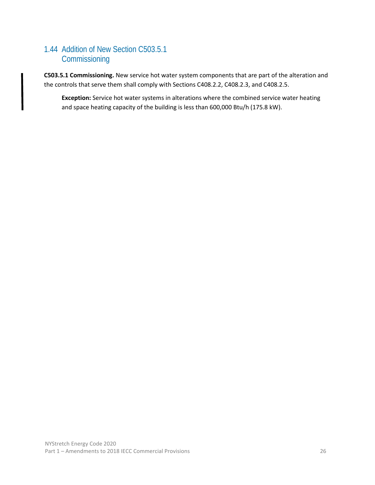## <span id="page-32-0"></span>1.44 Addition of New Section C503.5.1 **Commissioning**

**C503.5.1 Commissioning.** New service hot water system components that are part of the alteration and the controls that serve them shall comply with Sections C408.2.2, C408.2.3, and C408.2.5.

**Exception:** Service hot water systems in alterations where the combined service water heating and space heating capacity of the building is less than 600,000 Btu/h (175.8 kW).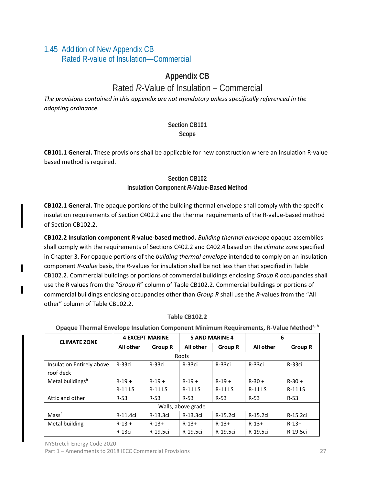## <span id="page-33-0"></span>1.45 Addition of New Appendix CB Rated R-value of Insulation—Commercial

## **Appendix CB**

## Rated *R*-Value of Insulation – Commercial

*The provisions contained in this appendix are not mandatory unless specifically referenced in the adopting ordinance.*

#### **Section CB101 Scope**

**CB101.1 General.** These provisions shall be applicable for new construction where an Insulation R-value based method is required.

#### **Section CB102 Insulation Component** *R***-Value-Based Method**

**CB102.1 General.** The opaque portions of the building thermal envelope shall comply with the specific insulation requirements of Section C402.2 and the thermal requirements of the R-value-based method of Section CB102.2.

**CB102.2 Insulation component** *R***-value-based method.** *Building thermal envelope* opaque assemblies shall comply with the requirements of Sections C402.2 and C402.4 based on the *climate zone* specified in Chapter 3. For opaque portions of the *building thermal envelope* intended to comply on an insulation component *R-value* basis, the *R*-values for insulation shall be not less than that specified in Table CB102.2. Commercial buildings or portions of commercial buildings enclosing *Group R* occupancies shall use the R values from the "*Group R*" column of Table CB102.2. Commercial buildings or portions of commercial buildings enclosing occupancies other than *Group R* shall use the *R*-values from the "All other" column of Table CB102.2.

#### **Table CB102.2**

**Opaque Thermal Envelope Insulation Component Minimum Requirements, R-Value Methoda, h**

| <b>CLIMATE ZONE</b>          | <b>4 EXCEPT MARINE</b> |                | <b>5 AND MARINE 4</b> |                | 6                |                |
|------------------------------|------------------------|----------------|-----------------------|----------------|------------------|----------------|
|                              | All other              | <b>Group R</b> | All other             | <b>Group R</b> | <b>All other</b> | <b>Group R</b> |
|                              |                        |                | Roofs                 |                |                  |                |
| Insulation Entirely above    | $R-33ci$               | R-33ci         | R-33ci                | $R-33ci$       | $R-33ci$         | $R-33ci$       |
| roof deck                    |                        |                |                       |                |                  |                |
| Metal buildings <sup>b</sup> | $R-19+$                | $R-19+$        | $R-19+$               | $R-19+$        | $R - 30 +$       | $R - 30 +$     |
|                              | <b>R-11LS</b>          | <b>R-11LS</b>  | <b>R-11LS</b>         | <b>R-11LS</b>  | <b>R-11LS</b>    | <b>R-11LS</b>  |
| Attic and other              | $R-53$                 | $R-53$         | $R-53$                | $R-53$         | $R-53$           | $R-53$         |
|                              | Walls, above grade     |                |                       |                |                  |                |
| Mass <sup>f</sup>            | R-11.4ci               | R-13.3ci       | R-13.3ci              | R-15.2ci       | R-15.2ci         | R-15.2ci       |
| Metal building               | $R-13 +$               | $R - 13 +$     | $R - 13 +$            | $R-13+$        | $R - 13 +$       | $R - 13 +$     |
|                              | R-13ci                 | R-19.5ci       | R-19.5ci              | R-19.5ci       | R-19.5ci         | R-19.5ci       |

NYStretch Energy Code 2020

Part 1 – Amendments to 2018 IECC Commercial Provisions 27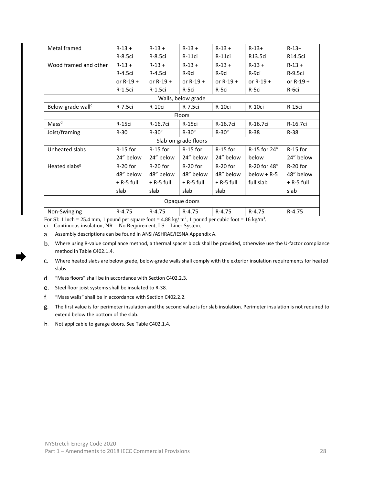| Metal framed                  | $R-13 +$     | $R-13 +$     | $R-13 +$             | $R-13 +$      | $R - 13 +$    | $R - 13 +$   |
|-------------------------------|--------------|--------------|----------------------|---------------|---------------|--------------|
|                               | R-8.5ci      | R-8.5ci      | <b>R-11ci</b>        | <b>R-11ci</b> | R13.5ci       | R14.5ci      |
| Wood framed and other         | $R-13 +$     | $R-13 +$     | $R-13 +$             | $R-13 +$      | $R-13 +$      | $R-13 +$     |
|                               | R-4.5ci      | R-4.5ci      | R-9ci                | R-9ci         | R-9ci         | R-9.5ci      |
|                               | or $R-19 +$  | or $R-19 +$  | or $R-19$ +          | or $R-19 +$   | or $R-19$ +   | or $R-19 +$  |
|                               | R-1.5ci      | R-1.5ci      | R-5ci                | R-5ci         | R-5ci         | R-6ci        |
|                               |              |              | Walls, below grade   |               |               |              |
| Below-grade wall <sup>c</sup> | R-7.5ci      | R-10ci       | R-7.5ci              | R-10ci        | R-10ci        | R-15ci       |
|                               |              |              | Floors               |               |               |              |
| Mass <sup>d</sup>             | R-15ci       | R-16.7ci     | R-15ci               | R-16.7ci      | R-16.7ci      | R-16.7ci     |
| Joist/framing                 | $R-30$       | $R-30e$      | $R-30e$              | $R-30e$       | $R-38$        | $R-38$       |
|                               |              |              | Slab-on-grade floors |               |               |              |
| Unheated slabs                | R-15 for     | R-15 for     | $R-15$ for           | $R-15$ for    | R-15 for 24"  | $R-15$ for   |
|                               | 24" below    | 24" below    | 24" below            | 24" below     | below         | 24" below    |
| Heated slabs <sup>g</sup>     | R-20 for     | R-20 for     | R-20 for             | R-20 for      | R-20 for 48"  | R-20 for     |
|                               | 48" below    | 48" below    | 48" below            | 48" below     | $below + R-5$ | 48" below    |
|                               | $+$ R-5 full | $+$ R-5 full | $+$ R-5 full         | $+$ R-5 full  | full slab     | $+$ R-5 full |
|                               | slab         | slab         | slab                 | slab          |               | slab         |
| Opaque doors                  |              |              |                      |               |               |              |
| Non-Swinging                  | $R-4.75$     | $R-4.75$     | $R-4.75$             | $R-4.75$      | $R-4.75$      | $R-4.75$     |

For SI: 1 inch = 25.4 mm, 1 pound per square foot = 4.88 kg/  $m^2$ , 1 pound per cubic foot = 16 kg/m<sup>3</sup>.

 $ci =$  Continuous insulation, NR = No Requirement, LS = Liner System.

Assembly descriptions can be found in ANSI/ASHRAE/IESNA Appendix A.

- Where using R-value compliance method, a thermal spacer block shall be provided, otherwise use the U-factor compliance method in Table C402.1.4.
- Where heated slabs are below grade, below-grade walls shall comply with the exterior insulation requirements for heated slabs.
- d. "Mass floors" shall be in accordance with Section C402.2.3.
- Steel floor joist systems shall be insulated to R-38.
- f. "Mass walls" shall be in accordance with Section C402.2.2.
- The first value is for perimeter insulation and the second value is for slab insulation. Perimeter insulation is not required to extend below the bottom of the slab.
- h. Not applicable to garage doors. See Table C402.1.4.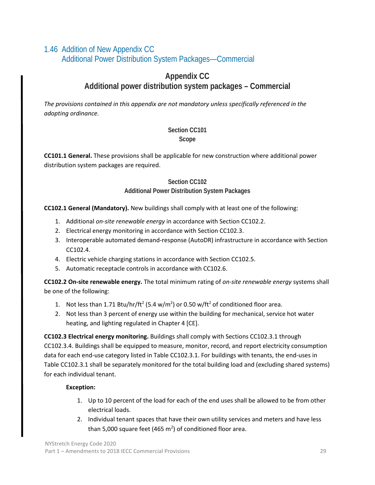## <span id="page-35-0"></span>1.46 Addition of New Appendix CC Additional Power Distribution System Packages—Commercial

## **Appendix CC Additional power distribution system packages – Commercial**

*The provisions contained in this appendix are not mandatory unless specifically referenced in the adopting ordinance.*

#### **Section CC101 Scope**

**CC101.1 General.** These provisions shall be applicable for new construction where additional power distribution system packages are required.

#### **Section CC102**

#### **Additional Power Distribution System Packages**

**CC102.1 General (Mandatory).** New buildings shall comply with at least one of the following:

- 1. Additional *on-site renewable energy* in accordance with Section CC102.2.
- 2. Electrical energy monitoring in accordance with Section CC102.3.
- 3. Interoperable automated demand-response (AutoDR) infrastructure in accordance with Section CC102.4.
- 4. Electric vehicle charging stations in accordance with Section CC102.5.
- 5. Automatic receptacle controls in accordance with CC102.6.

**CC102.2 On-site renewable energy.** The total minimum rating of *on-site renewable energy* systems shall be one of the following:

- 1. Not less than 1.71 Btu/hr/ft<sup>2</sup> (5.4 w/m<sup>2</sup>) or 0.50 w/ft<sup>2</sup> of conditioned floor area.
- 2. Not less than 3 percent of energy use within the building for mechanical, service hot water heating, and lighting regulated in Chapter 4 [CE].

**CC102.3 Electrical energy monitoring.** Buildings shall comply with Sections CC102.3.1 through CC102.3.4. Buildings shall be equipped to measure, monitor, record, and report electricity consumption data for each end-use category listed in Table CC102.3.1. For buildings with tenants, the end-uses in Table CC102.3.1 shall be separately monitored for the total building load and (excluding shared systems) for each individual tenant.

#### **Exception:**

- 1. Up to 10 percent of the load for each of the end uses shall be allowed to be from other electrical loads.
- 2. Individual tenant spaces that have their own utility services and meters and have less than 5,000 square feet (465  $m^2$ ) of conditioned floor area.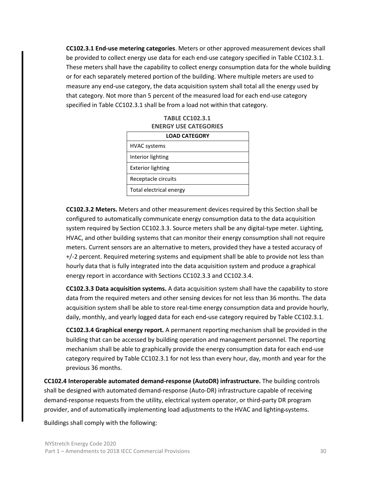**CC102.3.1 End-use metering categories**. Meters or other approved measurement devices shall be provided to collect energy use data for each end-use category specified in Table CC102.3.1. These meters shall have the capability to collect energy consumption data for the whole building or for each separately metered portion of the building. Where multiple meters are used to measure any end-use category, the data acquisition system shall total all the energy used by that category. Not more than 5 percent of the measured load for each end-use category specified in Table CC102.3.1 shall be from a load not within that category.

| <b>ENERGY USE CATEGORIES</b> |  |  |
|------------------------------|--|--|
| <b>LOAD CATEGORY</b>         |  |  |
| <b>HVAC</b> systems          |  |  |
| Interior lighting            |  |  |
| <b>Exterior lighting</b>     |  |  |
| Receptacle circuits          |  |  |
| Total electrical energy      |  |  |

**TABLE CC102.3.1**

**CC102.3.2 Meters.** Meters and other measurement devices required by this Section shall be configured to automatically communicate energy consumption data to the data acquisition system required by Section CC102.3.3. Source meters shall be any digital-type meter. Lighting, HVAC, and other building systems that can monitor their energy consumption shall not require meters. Current sensors are an alternative to meters, provided they have a tested accuracy of +/-2 percent. Required metering systems and equipment shall be able to provide not less than hourly data that is fully integrated into the data acquisition system and produce a graphical energy report in accordance with Sections CC102.3.3 and CC102.3.4.

**CC102.3.3 Data acquisition systems.** A data acquisition system shall have the capability to store data from the required meters and other sensing devices for not less than 36 months. The data acquisition system shall be able to store real-time energy consumption data and provide hourly, daily, monthly, and yearly logged data for each end-use category required by Table CC102.3.1.

**CC102.3.4 Graphical energy report.** A permanent reporting mechanism shall be provided in the building that can be accessed by building operation and management personnel. The reporting mechanism shall be able to graphically provide the energy consumption data for each end-use category required by Table CC102.3.1 for not less than every hour, day, month and year for the previous 36 months.

**CC102.4 Interoperable automated demand-response (AutoDR) infrastructure.** The building controls shall be designed with automated demand-response (Auto-DR) infrastructure capable of receiving demand-response requests from the utility, electrical system operator, or third-party DR program provider, and of automatically implementing load adjustments to the HVAC and lighting systems.

Buildings shall comply with the following: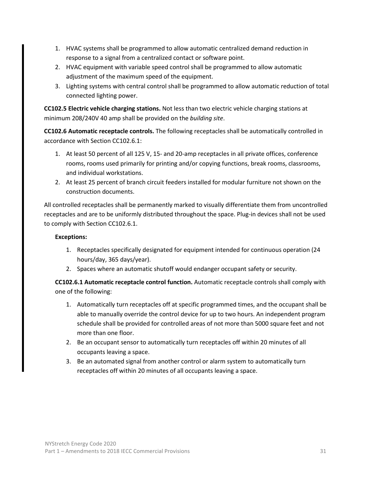- 1. HVAC systems shall be programmed to allow automatic centralized demand reduction in response to a signal from a centralized contact or software point.
- 2. HVAC equipment with variable speed control shall be programmed to allow automatic adjustment of the maximum speed of the equipment.
- 3. Lighting systems with central control shall be programmed to allow automatic reduction of total connected lighting power.

**CC102.5 Electric vehicle charging stations.** Not less than two electric vehicle charging stations at minimum 208/240V 40 amp shall be provided on the *building site*.

**CC102.6 Automatic receptacle controls.** The following receptacles shall be automatically controlled in accordance with Section CC102.6.1:

- 1. At least 50 percent of all 125 V, 15- and 20-amp receptacles in all private offices, conference rooms, rooms used primarily for printing and/or copying functions, break rooms, classrooms, and individual workstations.
- 2. At least 25 percent of branch circuit feeders installed for modular furniture not shown on the construction documents.

All controlled receptacles shall be permanently marked to visually differentiate them from uncontrolled receptacles and are to be uniformly distributed throughout the space. Plug-in devices shall not be used to comply with Section CC102.6.1.

#### **Exceptions:**

- 1. Receptacles specifically designated for equipment intended for continuous operation (24 hours/day, 365 days/year).
- 2. Spaces where an automatic shutoff would endanger occupant safety or security.

**CC102.6.1 Automatic receptacle control function.** Automatic receptacle controls shall comply with one of the following:

- 1. Automatically turn receptacles off at specific programmed times, and the occupant shall be able to manually override the control device for up to two hours. An independent program schedule shall be provided for controlled areas of not more than 5000 square feet and not more than one floor.
- 2. Be an occupant sensor to automatically turn receptacles off within 20 minutes of all occupants leaving a space.
- 3. Be an automated signal from another control or alarm system to automatically turn receptacles off within 20 minutes of all occupants leaving a space.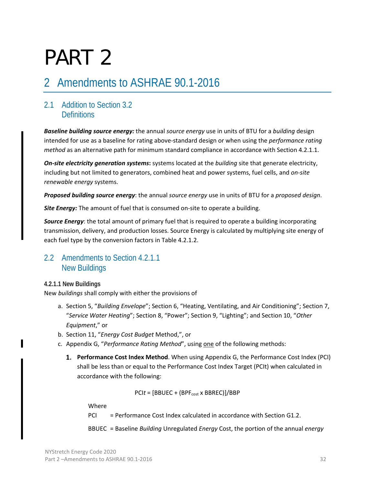# PART 2

# 2 Amendments to ASHRAE 90.1-2016

# 2.1 Addition to Section 3.2 **Definitions**

*Baseline building source energy:* the annual *source energy* use in units of BTU for a *building* design intended for use as a baseline for rating above-standard design or when using the *performance rating method* as an alternative path for minimum standard compliance in accordance with Section 4.2.1.1.

*On-site electricity generation systems***:** systems located at the *building* site that generate electricity, including but not limited to generators, combined heat and power systems, fuel cells, and *on-site renewable energy* systems.

*Proposed building source energy*: the annual *source energy* use in units of BTU for a *proposed design*.

**Site Energy:** The amount of fuel that is consumed on-site to operate a building.

*Source Energy*: the total amount of primary fuel that is required to operate a building incorporating transmission, delivery, and production losses. Source Energy is calculated by multiplying site energy of each fuel type by the conversion factors in Table 4.2.1.2.

# 2.2 Amendments to Section 4.2.1.1 New Buildings

#### **4.2.1.1 New Buildings**

New *buildings* shall comply with either the provisions of

- a. Section 5, "*Building Envelope*"; Section 6, "Heating, Ventilating, and Air Conditioning"; Section 7, "*Service Water Heating*"; Section 8, "Power"; Section 9, "Lighting"; and Section 10, "*Other Equipment*," or
- b. Section 11, "*Energy Cost Budget* Method,", or
- c. Appendix G, "*Performance Rating Method*", using one of the following methods:
	- **Performance Cost Index Method**. When using Appendix G, the Performance Cost Index (PCI) shall be less than or equal to the Performance Cost Index Target (PCIt) when calculated in accordance with the following:

 $PClt = [BBUEC + (BPF<sub>cost</sub> × BBREC)]/BBP$ 

Where

 $PCI = Performance Cost Index calculated in accordance with Section G1.2.$ 

BBUEC = Baseline *Building* Unregulated *Energy* Cost, the portion of the annual *energy*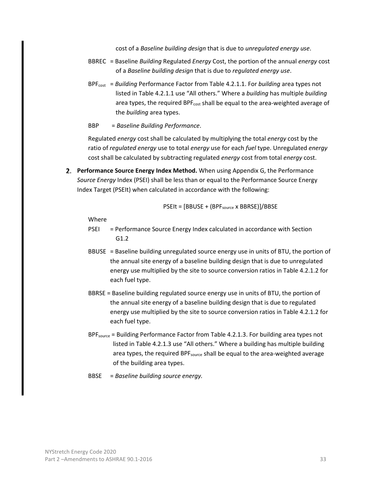cost of a *Baseline building design* that is due to *unregulated energy use*.

- BBREC = Baseline *Building* Regulated *Energy* Cost, the portion of the annual *energy* cost of a *Baseline building design* that is due to *regulated energy use*.
- BPFcost = *Building* Performance Factor from Table 4.2.1.1. For *building* area types not listed in Table 4.2.1.1 use "All others." Where a *building* has multiple *building* area types, the required  $BPF_{cost}$  shall be equal to the area-weighted average of the *building* area types.
- BBP = *Baseline Building Performance*.

Regulated *energy* cost shall be calculated by multiplying the total *energy* cost by the ratio of *regulated energy* use to total *energy* use for each *fuel* type. Unregulated *energy* cost shall be calculated by subtracting regulated *energy* cost from total *energy* cost.

**Performance Source Energy Index Method.** When using Appendix G, the Performance *Source Energy* Index (PSEI) shall be less than or equal to the Performance Source Energy Index Target (PSEIt) when calculated in accordance with the following:

$$
\sf{PSElt} = [\sf{BBUSE} + (\sf{BPF}_{\sf{source}} \times \sf{BBRSE})]/ \sf{BBSE}
$$

Where

- PSEI = Performance Source Energy Index calculated in accordance with Section G1.2
- BBUSE = Baseline building unregulated source energy use in units of BTU, the portion of the annual site energy of a baseline building design that is due to unregulated energy use multiplied by the site to source conversion ratios in Table 4.2.1.2 for each fuel type.
- BBRSE = Baseline building regulated source energy use in units of BTU, the portion of the annual site energy of a baseline building design that is due to regulated energy use multiplied by the site to source conversion ratios in Table 4.2.1.2 for each fuel type.
- BPF<sub>source</sub> = Building Performance Factor from Table 4.2.1.3. For building area types not listed in Table 4.2.1.3 use "All others." Where a building has multiple building area types, the required BPF<sub>source</sub> shall be equal to the area-weighted average of the building area types.
- BBSE = *Baseline building source energy.*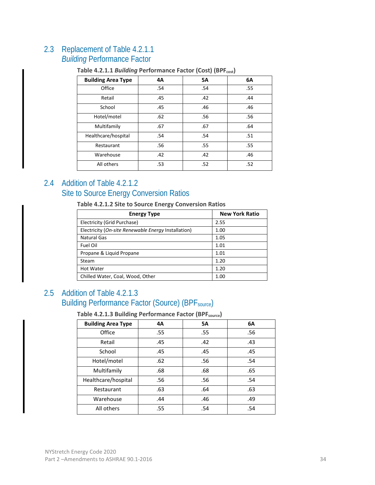# 2.3 Replacement of Table 4.2.1.1

# *Building* Performance Factor

| <b>Building Area Type</b> | 4A  | <b>5A</b> | 6A  |
|---------------------------|-----|-----------|-----|
| Office                    | .54 | .54       | .55 |
| Retail                    | .45 | .42       | .44 |
| School                    | .45 | .46       | .46 |
| Hotel/motel               | .62 | .56       | .56 |
| Multifamily               | .67 | .67       | .64 |
| Healthcare/hospital       | .54 | .54       | .51 |
| Restaurant                | .56 | .55       | .55 |
| Warehouse                 | .42 | .42       | .46 |
| All others                | .53 | .52       | .52 |

#### **Table 4.2.1.1** *Building* **Performance Factor (Cost) (BPFcost)**

# 2.4 Addition of Table 4.2.1.2 Site to Source Energy Conversion Ratios

**Table 4.2.1.2 Site to Source Energy Conversion Ratios**

| <b>Energy Type</b>                                  | <b>New York Ratio</b> |
|-----------------------------------------------------|-----------------------|
| Electricity (Grid Purchase)                         | 2.55                  |
| Electricity (On-site Renewable Energy Installation) | 1.00                  |
| <b>Natural Gas</b>                                  | 1.05                  |
| Fuel Oil                                            | 1.01                  |
| Propane & Liquid Propane                            | 1.01                  |
| Steam                                               | 1.20                  |
| <b>Hot Water</b>                                    | 1.20                  |
| Chilled Water, Coal, Wood, Other                    | 1.00                  |

# 2.5 Addition of Table 4.2.1.3 Building Performance Factor (Source) (BPF<sub>source</sub>)

**Table 4.2.1.3 Building Performance Factor (BPFsource)** 

| <b>Building Area Type</b> | 4A  | <b>5A</b> | 6A  |
|---------------------------|-----|-----------|-----|
| Office                    | .55 | .55       | .56 |
| Retail                    | .45 | .42       | .43 |
| School                    | .45 | .45       | .45 |
| Hotel/motel               | .62 | .56       | .54 |
| Multifamily               | .68 | .68       | .65 |
| Healthcare/hospital       | .56 | .56       | .54 |
| Restaurant                | .63 | .64       | .63 |
| Warehouse                 | .44 | .46       | .49 |
| All others                | .55 | .54       | .54 |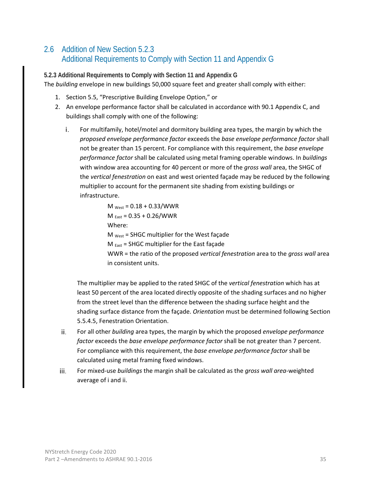# 2.6 Addition of New Section 5.2.3 Additional Requirements to Comply with Section 11 and Appendix G

**5.2.3 Additional Requirements to Comply with Section 11 and Appendix G**  The *building* envelope in new buildings 50,000 square feet and greater shall comply with either:

- 1. Section 5.5, "Prescriptive Building Envelope Option," or
- 2. An envelope performance factor shall be calculated in accordance with 90.1 Appendix C, and buildings shall comply with one of the following:
	- For multifamily, hotel/motel and dormitory building area types, the margin by which the i. *proposed envelope performance factor* exceeds the *base envelope performance factor* shall not be greater than 15 percent. For compliance with this requirement, the *base envelope performance factor* shall be calculated using metal framing operable windows. In *buildings* with window area accounting for 40 percent or more of the *gross wall* area, the SHGC of the *vertical fenestration* on east and west oriented façade may be reduced by the following multiplier to account for the permanent site shading from existing buildings or infrastructure.

 $M_{\text{West}} = 0.18 + 0.33 / \text{WWR}$  $M_{\text{East}} = 0.35 + 0.26 / \text{WWR}$ Where:  $M<sub>west</sub>$  = SHGC multiplier for the West façade  $M_{East}$  = SHGC multiplier for the East façade WWR = the ratio of the proposed *vertical fenestration* area to the *gross wall* area in consistent units.

The multiplier may be applied to the rated SHGC of the *vertical fenestration* which has at least 50 percent of the area located directly opposite of the shading surfaces and no higher from the street level than the difference between the shading surface height and the shading surface distance from the façade. *Orientation* must be determined following Section 5.5.4.5, Fenestration Orientation.

- For all other *building* area types, the margin by which the proposed *envelope performance*  ii. *factor* exceeds the *base envelope performance factor* shall be not greater than 7 percent. For compliance with this requirement, the *base envelope performance factor* shall be calculated using metal framing fixed windows.
- For mixed-use *buildings* the margin shall be calculated as the *gross wall area*-weighted iii. average of i and ii.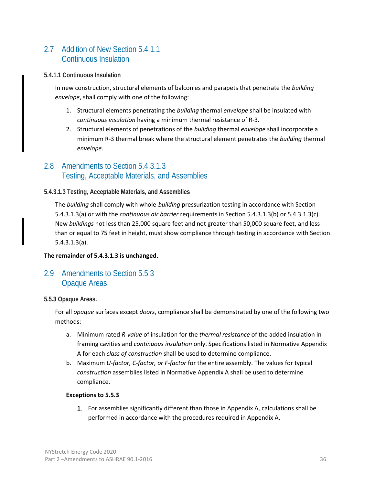# 2.7 Addition of New Section 5.4.1.1 Continuous Insulation

#### **5.4.1.1 Continuous Insulation**

In new construction, structural elements of balconies and parapets that penetrate the *building envelope*, shall comply with one of the following:

- 1. Structural elements penetrating the *building* thermal *envelope* shall be insulated with *continuous insulation* having a minimum thermal resistance of R-3*.*
- 2. Structural elements of penetrations of the *building* thermal *envelope* shall incorporate a minimum R-3 thermal break where the structural element penetrates the *building* thermal *envelope*.

### 2.8 Amendments to Section 5.4.3.1.3 Testing, Acceptable Materials, and Assemblies

#### **5.4.3.1.3 Testing, Acceptable Materials, and Assemblies**

The *building* shall comply with whole-*building* pressurization testing in accordance with Section 5.4.3.1.3(a) or with the *continuous air barrier* requirements in Section 5.4.3.1.3(b) or 5.4.3.1.3(c). New *buildings* not less than 25,000 square feet and not greater than 50,000 square feet, and less than or equal to 75 feet in height, must show compliance through testing in accordance with Section 5.4.3.1.3(a).

#### **The remainder of 5.4.3.1.3 is unchanged.**

# 2.9 Amendments to Section 5.5.3 Opaque Areas

#### **5.5.3 Opaque Areas.**

For all *opaque* surfaces except *doors*, compliance shall be demonstrated by one of the following two methods:

- a. Minimum rated *R-value* of insulation for the *thermal resistance* of the added insulation in framing cavities and *continuous insulation* only. Specifications listed in Normative Appendix A for each *class of construction* shall be used to determine compliance.
- b. Maximum *U-factor, C-factor, or F-factor* for the entire assembly. The values for typical *construction* assemblies listed in Normative Appendix A shall be used to determine compliance.

#### **Exceptions to 5.5.3**

For assemblies significantly different than those in Appendix A, calculations shall be performed in accordance with the procedures required in Appendix A.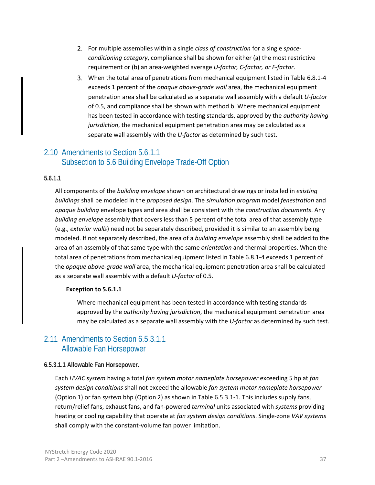- For multiple assemblies within a single *class of construction* for a single *spaceconditioning category*, compliance shall be shown for either (a) the most restrictive requirement or (b) an area-weighted average *U-factor, C-factor, or F-factor*.
- When the total area of penetrations from mechanical equipment listed in Table 6.8.1-4 exceeds 1 percent of the *opaque above-grade wall* area, the mechanical equipment penetration area shall be calculated as a separate wall assembly with a default *U-factor* of 0.5, and compliance shall be shown with method b. Where mechanical equipment has been tested in accordance with testing standards, approved by the *authority having jurisdiction*, the mechanical equipment penetration area may be calculated as a separate wall assembly with the *U-factor* as determined by such test.

# 2.10 Amendments to Section 5.6.1.1 Subsection to 5.6 Building Envelope Trade-Off Option

#### **5.6.1.1**

All components of the *building envelope* shown on architectural drawings or installed in *existing buildings* shall be modeled in the *proposed design*. The *simulation program* model *fenestration* and *opaque building* envelope types and area shall be consistent with the *construction documents*. Any *building envelope* assembly that covers less than 5 percent of the total area of that assembly type (e.g., *exterior walls*) need not be separately described, provided it is similar to an assembly being modeled. If not separately described, the area of a *building envelope* assembly shall be added to the area of an assembly of that same type with the same *orientation* and thermal properties. When the total area of penetrations from mechanical equipment listed in Table 6.8.1-4 exceeds 1 percent of the *opaque above-grade wall* area, the mechanical equipment penetration area shall be calculated as a separate wall assembly with a default *U-factor* of 0.5.

#### **Exception to 5.6.1.1**

Where mechanical equipment has been tested in accordance with testing standards approved by the *authority having jurisdiction*, the mechanical equipment penetration area may be calculated as a separate wall assembly with the *U-factor* as determined by such test.

#### 2.11 Amendments to Section 6.5.3.1.1 Allowable Fan Horsepower

#### **6.5.3.1.1 Allowable Fan Horsepower.**

Each *HVAC system* having a total *fan system motor nameplate horsepower* exceeding 5 hp at *fan system design conditions* shall not exceed the allowable *fan system motor nameplate horsepower* (Option 1) or fan *system* bhp (Option 2) as shown in Table 6.5.3.1-1. This includes supply fans, return/relief fans, exhaust fans, and fan-powered *terminal* units associated with *systems* providing heating or cooling capability that operate at *fan system design conditions*. Single-zone *VAV systems* shall comply with the constant-volume fan power limitation.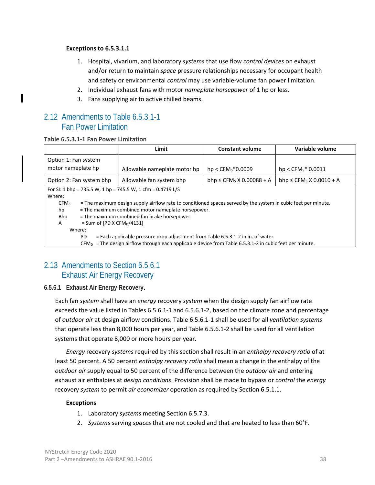#### **Exceptions to 6.5.3.1.1**

- 1. Hospital, vivarium, and laboratory *systems* that use flow *control devices* on exhaust and/or return to maintain *space* pressure relationships necessary for occupant health and safety or environmental *control* may use variable-volume fan power limitation.
- 2. Individual exhaust fans with motor *nameplate horsepower* of 1 hp or less.
- 3. Fans supplying air to active chilled beams.

### 2.12 Amendments to Table 6.5.3.1-1 Fan Power Limitation

#### **Table 6.5.3.1-1 Fan Power Limitation**

|                                             |                                                                                                           | Limit                                                                                                         | <b>Constant volume</b>                    | Variable volume                          |
|---------------------------------------------|-----------------------------------------------------------------------------------------------------------|---------------------------------------------------------------------------------------------------------------|-------------------------------------------|------------------------------------------|
| Option 1: Fan system                        |                                                                                                           |                                                                                                               |                                           |                                          |
| motor nameplate hp                          |                                                                                                           | Allowable nameplate motor hp                                                                                  | $hp < CFMS*0.0009$                        | $hp < CFMS* 0.0011$                      |
|                                             | Option 2: Fan system bhp                                                                                  | Allowable fan system bhp                                                                                      | bhp $\leq$ CFM <sub>s</sub> X 0.00088 + A | bhp $\leq$ CFM <sub>s</sub> X 0.0010 + A |
|                                             |                                                                                                           | For SI: 1 bhp = 735.5 W, 1 hp = 745.5 W, 1 cfm = $0.4719$ L/S                                                 |                                           |                                          |
| Where:                                      |                                                                                                           |                                                                                                               |                                           |                                          |
| CFM <sub>S</sub>                            |                                                                                                           | = The maximum design supply airflow rate to conditioned spaces served by the system in cubic feet per minute. |                                           |                                          |
| hp                                          |                                                                                                           | = The maximum combined motor nameplate horsepower.                                                            |                                           |                                          |
| Bhp                                         |                                                                                                           | = The maximum combined fan brake horsepower.                                                                  |                                           |                                          |
| = Sum of [PD X CFM <sub>D</sub> /4131]<br>A |                                                                                                           |                                                                                                               |                                           |                                          |
| Where:                                      |                                                                                                           |                                                                                                               |                                           |                                          |
|                                             | = Each applicable pressure drop adjustment from Table 6.5.3.1-2 in in. of water<br>PD                     |                                                                                                               |                                           |                                          |
|                                             | $CFMD$ = The design airflow through each applicable device from Table 6.5.3.1-2 in cubic feet per minute. |                                                                                                               |                                           |                                          |

# 2.13 Amendments to Section 6.5.6.1 Exhaust Air Energy Recovery

#### **6.5.6.1 Exhaust Air Energy Recovery.**

Each fan *system* shall have an *energy* recovery *system* when the design supply fan airflow rate exceeds the value listed in Tables 6.5.6.1-1 and 6.5.6.1-2, based on the climate zone and percentage of *outdoor air* at design airflow conditions. Table 6.5.6.1-1 shall be used for all *ventilation systems* that operate less than 8,000 hours per year, and Table 6.5.6.1-2 shall be used for all ventilation systems that operate 8,000 or more hours per year.

*Energy* recovery *systems* required by this section shall result in an *enthalpy recovery ratio* of at least 50 percent. A 50 percent *enthalpy recovery ratio* shall mean a change in the enthalpy of the *outdoor air* supply equal to 50 percent of the difference between the *outdoor air* and entering exhaust air enthalpies at *design conditions*. Provision shall be made to bypass or *control* the *energy* recovery *system* to permit *air economizer* operation as required by Section 6.5.1.1.

#### **Exceptions**

- 1. Laboratory *systems* meeting Section 6.5.7.3.
- 2. *Systems* serving *spaces* that are not cooled and that are heated to less than 60°F.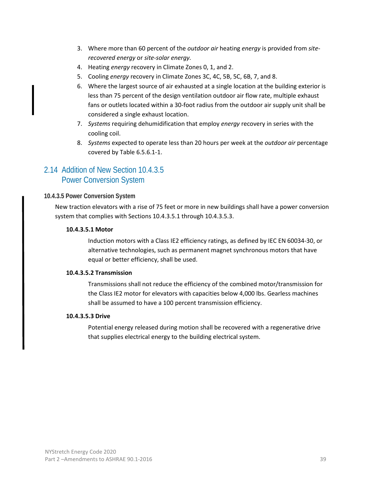- 3. Where more than 60 percent of the *outdoor air* heating *energy* is provided from *siterecovered energy* or *site-solar energy.*
- 4. Heating *energy* recovery in Climate Zones 0, 1, and 2.
- 5. Cooling *energy* recovery in Climate Zones 3C, 4C, 5B, 5C, 6B, 7, and 8.
- 6. Where the largest source of air exhausted at a single location at the building exterior is less than 75 percent of the design ventilation outdoor air flow rate, multiple exhaust fans or outlets located within a 30-foot radius from the outdoor air supply unit shall be considered a single exhaust location.
- 7. *Systems* requiring dehumidification that employ *energy* recovery in series with the cooling coil.
- 8. *Systems* expected to operate less than 20 hours per week at the *outdoor air* percentage covered by Table 6.5.6.1-1.

# 2.14 Addition of New Section 10.4.3.5 Power Conversion System

#### **10.4.3.5 Power Conversion System**

New traction elevators with a rise of 75 feet or more in new buildings shall have a power conversion system that complies with Sections 10.4.3.5.1 through 10.4.3.5.3.

#### **10.4.3.5.1 Motor**

Induction motors with a Class IE2 efficiency ratings, as defined by IEC EN 60034-30, or alternative technologies, such as permanent magnet synchronous motors that have equal or better efficiency, shall be used.

#### **10.4.3.5.2 Transmission**

Transmissions shall not reduce the efficiency of the combined motor/transmission for the Class IE2 motor for elevators with capacities below 4,000 lbs. Gearless machines shall be assumed to have a 100 percent transmission efficiency.

#### **10.4.3.5.3 Drive**

Potential energy released during motion shall be recovered with a regenerative drive that supplies electrical energy to the building electrical system.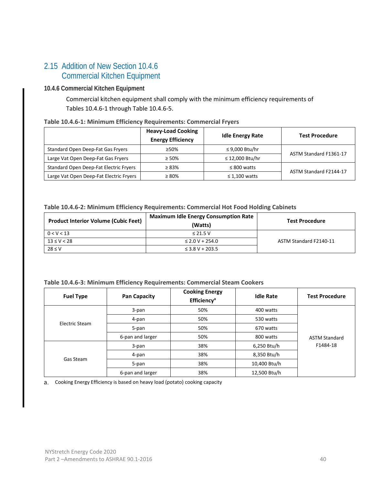# 2.15 Addition of New Section 10.4.6 Commercial Kitchen Equipment

#### **10.4.6 Commercial Kitchen Equipment**

Commercial kitchen equipment shall comply with the minimum efficiency requirements of Tables 10.4.6-1 through Table 10.4.6-5.

#### **Table 10.4.6-1: Minimum Efficiency Requirements: Commercial Fryers**

|                                                       | <b>Heavy-Load Cooking</b><br><b>Energy Efficiency</b> | <b>Idle Energy Rate</b> | <b>Test Procedure</b>  |
|-------------------------------------------------------|-------------------------------------------------------|-------------------------|------------------------|
| Standard Open Deep-Fat Gas Fryers                     | $>50\%$                                               | ≤ 9,000 Btu/hr          | ASTM Standard F1361-17 |
| Large Vat Open Deep-Fat Gas Fryers                    | $> 50\%$                                              | ≤ 12,000 Btu/hr         |                        |
| Standard Open Deep-Fat Electric Fryers<br>$\geq 83\%$ |                                                       | $\leq 800$ watts        |                        |
| Large Vat Open Deep-Fat Electric Fryers               | $\geq 80\%$                                           | $\leq 1,100$ watts      | ASTM Standard F2144-17 |

#### **Table 10.4.6-2: Minimum Efficiency Requirements: Commercial Hot Food Holding Cabinets**

| <b>Product Interior Volume (Cubic Feet)</b> | <b>Maximum Idle Energy Consumption Rate</b><br>(Watts) | <b>Test Procedure</b>  |
|---------------------------------------------|--------------------------------------------------------|------------------------|
| 0 < V < 13                                  | $\leq$ 21.5 V                                          |                        |
| $13 \le V < 28$                             | $\leq$ 2.0 V + 254.0                                   | ASTM Standard F2140-11 |
| $28 \leq V$                                 | $\leq$ 3.8 V + 203.5                                   |                        |

#### **Table 10.4.6-3: Minimum Efficiency Requirements: Commercial Steam Cookers**

| <b>Fuel Type</b>            | <b>Pan Capacity</b> | <b>Cooking Energy</b><br>Efficiency <sup>a</sup> | <b>Idle Rate</b> | <b>Test Procedure</b> |
|-----------------------------|---------------------|--------------------------------------------------|------------------|-----------------------|
|                             | 3-pan               | 50%                                              | 400 watts        |                       |
|                             | 4-pan               | 50%                                              | 530 watts        |                       |
| Electric Steam<br>Gas Steam | 5-pan               | 50%                                              | 670 watts        |                       |
|                             | 6-pan and larger    | 50%                                              | 800 watts        | <b>ASTM Standard</b>  |
|                             | 3-pan               | 38%                                              | 6,250 Btu/h      | F1484-18              |
|                             | 4-pan               | 38%                                              | 8,350 Btu/h      |                       |
|                             | 5-pan               | 38%                                              | 10,400 Btu/h     |                       |
|                             | 6-pan and larger    | 38%                                              | 12,500 Btu/h     |                       |

Cooking Energy Efficiency is based on heavy load (potato) cooking capacity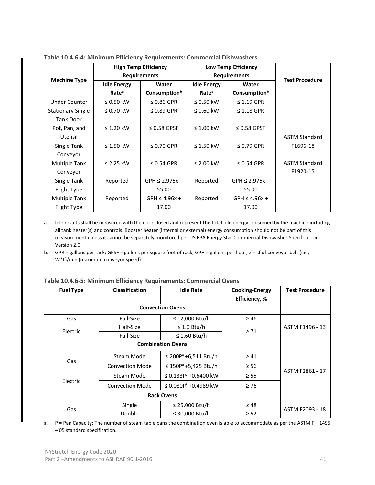|                          |                    | <b>High Temp Efficiency</b> | <b>Low Temp Efficiency</b> |                          |                       |
|--------------------------|--------------------|-----------------------------|----------------------------|--------------------------|-----------------------|
| <b>Machine Type</b>      |                    | <b>Requirements</b>         |                            | <b>Requirements</b>      | <b>Test Procedure</b> |
|                          | <b>Idle Energy</b> | Water                       | <b>Idle Energy</b>         | Water                    |                       |
|                          | Rate <sup>a</sup>  | Consumption <sup>b</sup>    | Rate <sup>a</sup>          | Consumption <sup>b</sup> |                       |
| <b>Under Counter</b>     | $\leq$ 0.50 kW     | $\leq$ 0.86 GPR             | $\leq$ 0.50 kW             | $\leq$ 1.19 GPR          |                       |
| <b>Stationary Single</b> | $\leq$ 0.70 kW     | $\leq$ 0.89 GPR             | $\leq 0.60$ kW             | $\leq$ 1.18 GPR          |                       |
| <b>Tank Door</b>         |                    |                             |                            |                          |                       |
| Pot, Pan, and            | $\leq$ 1.20 kW     | $\leq$ 0.58 GPSF            | $\leq 1.00$ kW             | $\leq$ 0.58 GPSF         |                       |
| Utensil                  |                    |                             |                            |                          | <b>ASTM Standard</b>  |
| Single Tank              | $\leq$ 1.50 kW     | $\leq$ 0.70 GPR             | $\leq$ 1.50 kW             | $\leq$ 0.79 GPR          | F1696-18              |
| Conveyor                 |                    |                             |                            |                          |                       |
| Multiple Tank            | $\leq$ 2.25 kW     | $\leq$ 0.54 GPR             | $\leq$ 2.00 kW             | $\leq$ 0.54 GPR          | <b>ASTM Standard</b>  |
| Conveyor                 |                    |                             |                            |                          | F1920-15              |
| Single Tank              | Reported           | $GPH \leq 2.975x +$         | Reported                   | $GPH \leq 2.975x +$      |                       |
| Flight Type              |                    | 55.00                       |                            | 55.00                    |                       |
| Multiple Tank            | Reported           | $GPH \leq 4.96x +$          | Reported                   | $GPH \leq 4.96x +$       |                       |
| Flight Type              |                    | 17.00                       |                            | 17.00                    |                       |

**Table 10.4.6-4: Minimum Efficiency Requirements: Commercial Dishwashers**

a. Idle results shall be measured with the door closed and represent the total idle energy consumed by the machine including all tank heater(s) and controls. Booster heater (internal or external) energy consumption should not be part of this measurement unless it cannot be separately monitored per US EPA Energy Star Commercial Dishwasher Specification Version 2.0

b. GPR = gallons per rack; GPSF = gallons per square foot of rack; GPH = gallons per hour; x = sf of conveyor belt (i.e., W\*L)/min (maximum conveyor speed).

| <b>Fuel Type</b> | <b>Classification</b>  | <b>Idle Rate</b>                    | <b>Cooking-Energy</b> | <b>Test Procedure</b> |
|------------------|------------------------|-------------------------------------|-----------------------|-----------------------|
|                  |                        |                                     | Efficiency, %         |                       |
|                  |                        | <b>Convection Ovens</b>             |                       |                       |
| Gas              | Full-Size              | ≤ 12,000 Btu/h                      | $\geq 46$             |                       |
| Electric         | Half-Size              | $\leq 1.0$ Btu/h                    | $\geq 71$             | ASTM F1496 - 13       |
|                  | Full-Size              | $\leq$ 1.60 Btu/h                   |                       |                       |
|                  |                        | <b>Combination Ovens</b>            |                       |                       |
| Gas              | Steam Mode             | ≤ 200P <sup>a</sup> +6,511 Btu/h    | $\geq 41$             | ASTM F2861 - 17       |
|                  | <b>Convection Mode</b> | ≤ 150 $P$ <sup>a</sup> +5,425 Btu/h | $\geq 56$             |                       |
| Electric         | Steam Mode             | ≤ 0.133P <sup>a</sup> +0.6400 kW    | $\geq$ 55             |                       |
|                  | <b>Convection Mode</b> | ≤ 0.080P <sup>a</sup> +0.4989 kW    | $\geq 76$             |                       |
|                  |                        |                                     |                       |                       |
| Gas              | Single                 | ≤ 25,000 Btu/h                      | $\geq 48$             | ASTM F2093 - 18       |
|                  | Double                 | ≤ 30,000 Btu/h                      | $\geq$ 52             |                       |

| Table 10.4.6-5: Minimum Efficiency Requirements: Commercial Ovens |  |  |
|-------------------------------------------------------------------|--|--|
|-------------------------------------------------------------------|--|--|

a. P = Pan Capacity: The number of steam table pans the combination oven is able to accommodate as per the ASTM F – 1495 – 05 standard specification.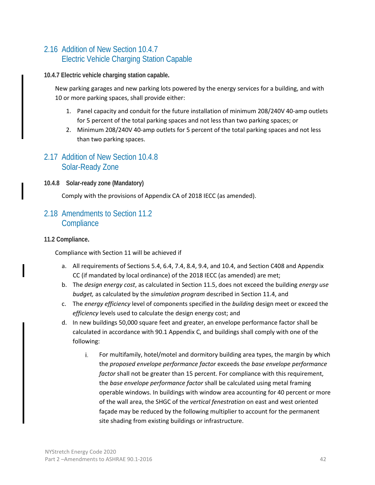# 2.16 Addition of New Section 10.4.7 Electric Vehicle Charging Station Capable

#### **10.4.7 Electric vehicle charging station capable.**

New parking garages and new parking lots powered by the energy services for a building, and with 10 or more parking spaces, shall provide either:

- 1. Panel capacity and conduit for the future installation of minimum 208/240V 40-amp outlets for 5 percent of the total parking spaces and not less than two parking spaces; or
- 2. Minimum 208/240V 40-amp outlets for 5 percent of the total parking spaces and not less than two parking spaces.

#### 2.17 Addition of New Section 10.4.8 Solar-Ready Zone

**10.4.8 Solar-ready zone (Mandatory)**

Comply with the provisions of Appendix CA of 2018 IECC (as amended).

# 2.18 Amendments to Section 11.2 **Compliance**

**11.2 Compliance.** 

Compliance with Section 11 will be achieved if

- a. All requirements of Sections 5.4, 6.4, 7.4, 8.4, 9.4, and 10.4, and Section C408 and Appendix CC (if mandated by local ordinance) of the 2018 IECC (as amended) are met;
- b. The *design energy cost*, as calculated in Section 11.5, does not exceed the building *energy use budget,* as calculated by the *simulation program* described in Section 11.4, and
- c. The *energy efficiency* level of components specified in the *building* design meet or exceed the *efficiency* levels used to calculate the design energy cost; and
- d. In new buildings 50,000 square feet and greater, an envelope performance factor shall be calculated in accordance with 90.1 Appendix C, and buildings shall comply with one of the following:
	- i. For multifamily, hotel/motel and dormitory building area types, the margin by which the *proposed envelope performance factor* exceeds the *base envelope performance factor* shall not be greater than 15 percent. For compliance with this requirement, the *base envelope performance factor* shall be calculated using metal framing operable windows. In buildings with window area accounting for 40 percent or more of the wall area, the SHGC of the *vertical fenestration* on east and west oriented façade may be reduced by the following multiplier to account for the permanent site shading from existing buildings or infrastructure.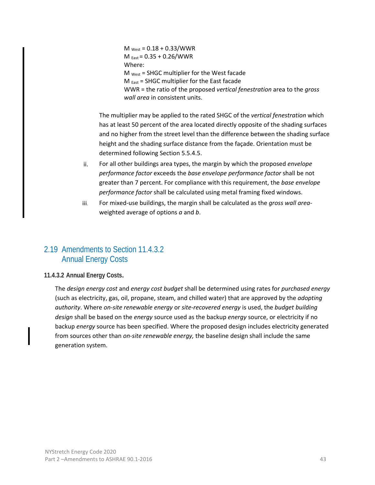$M_{\text{West}} = 0.18 + 0.33 / \text{WWR}$  $M_{\text{East}} = 0.35 + 0.26 / \text{WWR}$ Where:  $M_{\text{West}}$  = SHGC multiplier for the West facade  $M_{\text{East}}$  = SHGC multiplier for the East facade WWR = the ratio of the proposed *vertical fenestration* area to the *gross wall area* in consistent units.

The multiplier may be applied to the rated SHGC of the *vertical fenestration* which has at least 50 percent of the area located directly opposite of the shading surfaces and no higher from the street level than the difference between the shading surface height and the shading surface distance from the façade. Orientation must be determined following Section 5.5.4.5.

- For all other buildings area types, the margin by which the proposed *envelope*  ii. *performance factor* exceeds the *base envelope performance factor* shall be not greater than 7 percent. For compliance with this requirement, the *base envelope performance factor* shall be calculated using metal framing fixed windows.
- For mixed-use buildings, the margin shall be calculated as the *gross wall area*iii. weighted average of options *a* and *b*.

# 2.19 Amendments to Section 11.4.3.2 Annual Energy Costs

#### **11.4.3.2 Annual Energy Costs.**

The *design energy cost* and *energy cost budget* shall be determined using rates for *purchased energy*  (such as electricity, gas, oil, propane, steam, and chilled water) that are approved by the *adopting authority*. Where *on-site renewable energy* or *site-recovered energy* is used, the *budget building design* shall be based on the *energy* source used as the backup *energy* source, or electricity if no backup *energy* source has been specified. Where the proposed design includes electricity generated from sources other than *on-site renewable energy,* the baseline design shall include the same generation system.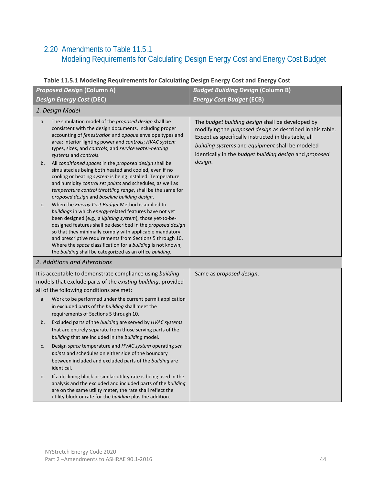# 2.20 Amendments to Table 11.5.1 Modeling Requirements for Calculating Design Energy Cost and Energy Cost Budget

|    | <b>Proposed Design (Column A)</b>                                                                                                                                                                                                                                                                                                                                                                                                                                                          | <b>Budget Building Design (Column B)</b>                                                                                                                                                                                                                                           |
|----|--------------------------------------------------------------------------------------------------------------------------------------------------------------------------------------------------------------------------------------------------------------------------------------------------------------------------------------------------------------------------------------------------------------------------------------------------------------------------------------------|------------------------------------------------------------------------------------------------------------------------------------------------------------------------------------------------------------------------------------------------------------------------------------|
|    | <b>Design Energy Cost (DEC)</b>                                                                                                                                                                                                                                                                                                                                                                                                                                                            | <b>Energy Cost Budget (ECB)</b>                                                                                                                                                                                                                                                    |
|    | 1. Design Model                                                                                                                                                                                                                                                                                                                                                                                                                                                                            |                                                                                                                                                                                                                                                                                    |
| a. | The simulation model of the proposed design shall be<br>consistent with the design documents, including proper<br>accounting of fenestration and opaque envelope types and<br>area; interior lighting power and controls; HVAC system<br>types, sizes, and controls; and service water-heating<br>systems and controls.                                                                                                                                                                    | The budget building design shall be developed by<br>modifying the proposed design as described in this table.<br>Except as specifically instructed in this table, all<br>building systems and equipment shall be modeled<br>identically in the budget building design and proposed |
| b. | All conditioned spaces in the proposed design shall be<br>simulated as being both heated and cooled, even if no<br>cooling or heating system is being installed. Temperature<br>and humidity control set points and schedules, as well as<br>temperature control throttling range, shall be the same for<br>proposed design and baseline building design.                                                                                                                                  | design.                                                                                                                                                                                                                                                                            |
| c. | When the Energy Cost Budget Method is applied to<br>buildings in which energy-related features have not yet<br>been designed (e.g., a lighting system), those yet-to-be-<br>designed features shall be described in the proposed design<br>so that they minimally comply with applicable mandatory<br>and prescriptive requirements from Sections 5 through 10.<br>Where the space classification for a building is not known,<br>the building shall be categorized as an office building. |                                                                                                                                                                                                                                                                                    |
|    | 2. Additions and Alterations                                                                                                                                                                                                                                                                                                                                                                                                                                                               |                                                                                                                                                                                                                                                                                    |
|    | It is acceptable to demonstrate compliance using building                                                                                                                                                                                                                                                                                                                                                                                                                                  | Same as proposed design.                                                                                                                                                                                                                                                           |
|    | models that exclude parts of the existing building, provided                                                                                                                                                                                                                                                                                                                                                                                                                               |                                                                                                                                                                                                                                                                                    |
|    | all of the following conditions are met:                                                                                                                                                                                                                                                                                                                                                                                                                                                   |                                                                                                                                                                                                                                                                                    |
| a. | Work to be performed under the current permit application<br>in excluded parts of the building shall meet the<br>requirements of Sections 5 through 10.                                                                                                                                                                                                                                                                                                                                    |                                                                                                                                                                                                                                                                                    |
| b. | Excluded parts of the building are served by HVAC systems<br>that are entirely separate from those serving parts of the<br>building that are included in the building model.                                                                                                                                                                                                                                                                                                               |                                                                                                                                                                                                                                                                                    |
| c. | Design space temperature and HVAC system operating set<br>points and schedules on either side of the boundary<br>between included and excluded parts of the building are<br>identical.                                                                                                                                                                                                                                                                                                     |                                                                                                                                                                                                                                                                                    |
| d. | If a declining block or similar utility rate is being used in the<br>analysis and the excluded and included parts of the building<br>are on the same utility meter, the rate shall reflect the<br>utility block or rate for the building plus the addition.                                                                                                                                                                                                                                |                                                                                                                                                                                                                                                                                    |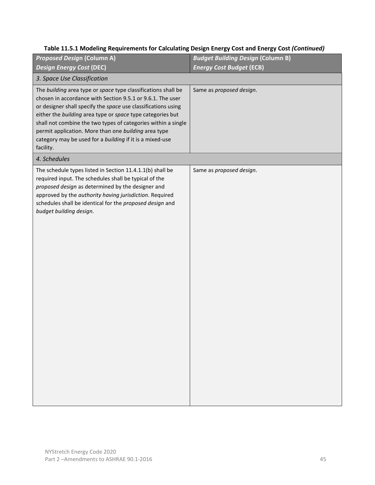| <b>Proposed Design (Column A)</b>                                                                                                                                                                                                                                                                                                                                                                                                                            | <b>Budget Building Design (Column B)</b> |
|--------------------------------------------------------------------------------------------------------------------------------------------------------------------------------------------------------------------------------------------------------------------------------------------------------------------------------------------------------------------------------------------------------------------------------------------------------------|------------------------------------------|
| <b>Design Energy Cost (DEC)</b>                                                                                                                                                                                                                                                                                                                                                                                                                              | <b>Energy Cost Budget (ECB)</b>          |
| 3. Space Use Classification                                                                                                                                                                                                                                                                                                                                                                                                                                  |                                          |
| The building area type or space type classifications shall be<br>chosen in accordance with Section 9.5.1 or 9.6.1. The user<br>or designer shall specify the space use classifications using<br>either the building area type or space type categories but<br>shall not combine the two types of categories within a single<br>permit application. More than one building area type<br>category may be used for a building if it is a mixed-use<br>facility. | Same as proposed design.                 |
| 4. Schedules                                                                                                                                                                                                                                                                                                                                                                                                                                                 |                                          |
| The schedule types listed in Section 11.4.1.1(b) shall be<br>required input. The schedules shall be typical of the<br>proposed design as determined by the designer and<br>approved by the authority having jurisdiction. Required<br>schedules shall be identical for the proposed design and<br>budget building design.                                                                                                                                    | Same as proposed design.                 |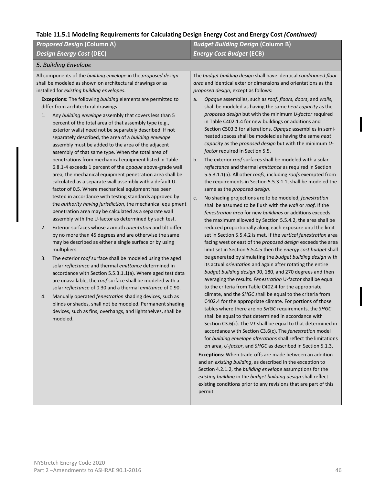| <b>Proposed Design (Column A)</b>                                                                                                                                                                                                                                                                                                                                                                                                                                                                                                                                                                                                                                                                                                                                                                                                                                                                                                                                                                                                                                                                                                                                                                                                                                                                                                                                                                                                                                                                                                                                                                                                                                                                                                                                                                                                                                                                                                    | <b>Budget Building Design (Column B)</b>                                                                                                                                                                                                                                                                                                                                                                                                                                                                                                                                                                                                                                                                                                                                                                                                                                                                                                                                                                                                                                                                                                                                                                                                                                                                                                                                                                                                                                         |  |  |  |
|--------------------------------------------------------------------------------------------------------------------------------------------------------------------------------------------------------------------------------------------------------------------------------------------------------------------------------------------------------------------------------------------------------------------------------------------------------------------------------------------------------------------------------------------------------------------------------------------------------------------------------------------------------------------------------------------------------------------------------------------------------------------------------------------------------------------------------------------------------------------------------------------------------------------------------------------------------------------------------------------------------------------------------------------------------------------------------------------------------------------------------------------------------------------------------------------------------------------------------------------------------------------------------------------------------------------------------------------------------------------------------------------------------------------------------------------------------------------------------------------------------------------------------------------------------------------------------------------------------------------------------------------------------------------------------------------------------------------------------------------------------------------------------------------------------------------------------------------------------------------------------------------------------------------------------------|----------------------------------------------------------------------------------------------------------------------------------------------------------------------------------------------------------------------------------------------------------------------------------------------------------------------------------------------------------------------------------------------------------------------------------------------------------------------------------------------------------------------------------------------------------------------------------------------------------------------------------------------------------------------------------------------------------------------------------------------------------------------------------------------------------------------------------------------------------------------------------------------------------------------------------------------------------------------------------------------------------------------------------------------------------------------------------------------------------------------------------------------------------------------------------------------------------------------------------------------------------------------------------------------------------------------------------------------------------------------------------------------------------------------------------------------------------------------------------|--|--|--|
| <b>Design Energy Cost (DEC)</b>                                                                                                                                                                                                                                                                                                                                                                                                                                                                                                                                                                                                                                                                                                                                                                                                                                                                                                                                                                                                                                                                                                                                                                                                                                                                                                                                                                                                                                                                                                                                                                                                                                                                                                                                                                                                                                                                                                      | rabic 11.3.1 modernig negan ements for calculating Design Energy cost and Energy cost (continued)<br><b>Energy Cost Budget (ECB)</b><br>The budget building design shall have identical conditioned floor<br>area and identical exterior dimensions and orientations as the<br>proposed design, except as follows:<br>Opaque assemblies, such as roof, floors, doors, and walls,<br>a.<br>shall be modeled as having the same heat capacity as the<br>proposed design but with the minimum U-factor required<br>in Table C402.1.4 for new buildings or additions and<br>Section C503.3 for alterations. Opaque assemblies in semi-<br>heated spaces shall be modeled as having the same heat<br>capacity as the proposed design but with the minimum U-<br>factor required in Section 5.5.<br>The exterior roof surfaces shall be modeled with a solar<br>b.<br>reflectance and thermal emittance as required in Section<br>5.5.3.1.1(a). All other roofs, including roofs exempted from<br>the requirements in Section 5.5.3.1.1, shall be modeled the<br>same as the proposed design.<br>No shading projections are to be modeled; fenestration<br>c.<br>shall be assumed to be flush with the wall or roof. If the<br>fenestration area for new buildings or additions exceeds<br>the maximum allowed by Section 5.5.4.2, the area shall be<br>reduced proportionally along each exposure until the limit<br>set in Section 5.5.4.2 is met. If the vertical fenestration area |  |  |  |
| 5. Building Envelope                                                                                                                                                                                                                                                                                                                                                                                                                                                                                                                                                                                                                                                                                                                                                                                                                                                                                                                                                                                                                                                                                                                                                                                                                                                                                                                                                                                                                                                                                                                                                                                                                                                                                                                                                                                                                                                                                                                 |                                                                                                                                                                                                                                                                                                                                                                                                                                                                                                                                                                                                                                                                                                                                                                                                                                                                                                                                                                                                                                                                                                                                                                                                                                                                                                                                                                                                                                                                                  |  |  |  |
| All components of the building envelope in the proposed design<br>shall be modeled as shown on architectural drawings or as<br>installed for existing building envelopes.<br>Exceptions: The following building elements are permitted to<br>differ from architectural drawings.<br>Any building envelope assembly that covers less than 5<br>1.<br>percent of the total area of that assembly type (e.g.,<br>exterior walls) need not be separately described. If not<br>separately described, the area of a building envelope<br>assembly must be added to the area of the adjacent<br>assembly of that same type. When the total area of<br>penetrations from mechanical equipment listed in Table<br>6.8.1-4 exceeds 1 percent of the opaque above-grade wall<br>area, the mechanical equipment penetration area shall be<br>calculated as a separate wall assembly with a default U-<br>factor of 0.5. Where mechanical equipment has been<br>tested in accordance with testing standards approved by<br>the authority having jurisdiction, the mechanical equipment<br>penetration area may be calculated as a separate wall<br>assembly with the U-factor as determined by such test.<br>Exterior surfaces whose azimuth orientation and tilt differ<br>2.<br>by no more than 45 degrees and are otherwise the same<br>may be described as either a single surface or by using<br>multipliers.<br>The exterior roof surface shall be modeled using the aged<br>3.<br>solar reflectance and thermal emittance determined in<br>accordance with Section 5.5.3.1.1(a). Where aged test data<br>are unavailable, the roof surface shall be modeled with a<br>solar reflectance of 0.30 and a thermal emittance of 0.90.<br>Manually operated fenestration shading devices, such as<br>4.<br>blinds or shades, shall not be modeled. Permanent shading<br>devices, such as fins, overhangs, and lightshelves, shall be<br>modeled. | facing west or east of the proposed design exceeds the area<br>limit set in Section 5.5.4.5 then the energy cost budget shall<br>be generated by simulating the budget building design with<br>its actual orientation and again after rotating the entire<br>budget building design 90, 180, and 270 degrees and then<br>averaging the results. Fenestration U-factor shall be equal<br>to the criteria from Table C402.4 for the appropriate<br>climate, and the SHGC shall be equal to the criteria from<br>C402.4 for the appropriate climate. For portions of those<br>tables where there are no SHGC requirements, the SHGC<br>shall be equal to that determined in accordance with<br>Section C3.6(c). The VT shall be equal to that determined in<br>accordance with Section C3.6(c). The fenestration model<br>for building envelope alterations shall reflect the limitations<br>on area, U-factor, and SHGC as described in Section 5.1.3.<br>Exceptions: When trade-offs are made between an addition<br>and an existing building, as described in the exception to<br>Section 4.2.1.2, the building envelope assumptions for the<br>existing building in the budget building design shall reflect                                                                                                                                                                                                                                                                    |  |  |  |

permit.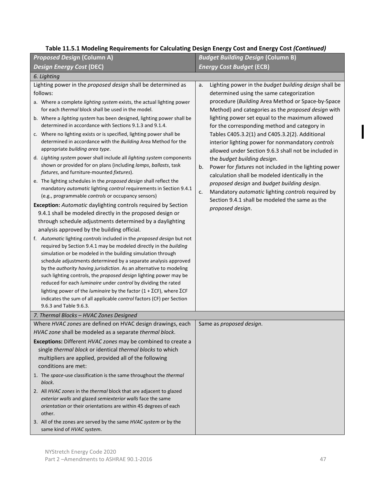| <b>Proposed Design (Column A)</b>                                                                                                                                                                                                                                                                                                                                                                                                                                                                                                                                                                                                                                                                                                                                                                                                                                                                                                                                                                                                                                                                                                                                                                                                                                                                                                                                                                                                                                                                                                                                                                                                                                                                                                                                                                                                                            | <b>Budget Building Design (Column B)</b>                                                                                                                                                                                                                                                                                                                                                                                                                                                                                                                                                                                                                                                                                                                                                                              |  |  |  |
|--------------------------------------------------------------------------------------------------------------------------------------------------------------------------------------------------------------------------------------------------------------------------------------------------------------------------------------------------------------------------------------------------------------------------------------------------------------------------------------------------------------------------------------------------------------------------------------------------------------------------------------------------------------------------------------------------------------------------------------------------------------------------------------------------------------------------------------------------------------------------------------------------------------------------------------------------------------------------------------------------------------------------------------------------------------------------------------------------------------------------------------------------------------------------------------------------------------------------------------------------------------------------------------------------------------------------------------------------------------------------------------------------------------------------------------------------------------------------------------------------------------------------------------------------------------------------------------------------------------------------------------------------------------------------------------------------------------------------------------------------------------------------------------------------------------------------------------------------------------|-----------------------------------------------------------------------------------------------------------------------------------------------------------------------------------------------------------------------------------------------------------------------------------------------------------------------------------------------------------------------------------------------------------------------------------------------------------------------------------------------------------------------------------------------------------------------------------------------------------------------------------------------------------------------------------------------------------------------------------------------------------------------------------------------------------------------|--|--|--|
| <b>Design Energy Cost (DEC)</b>                                                                                                                                                                                                                                                                                                                                                                                                                                                                                                                                                                                                                                                                                                                                                                                                                                                                                                                                                                                                                                                                                                                                                                                                                                                                                                                                                                                                                                                                                                                                                                                                                                                                                                                                                                                                                              | <b>Energy Cost Budget (ECB)</b>                                                                                                                                                                                                                                                                                                                                                                                                                                                                                                                                                                                                                                                                                                                                                                                       |  |  |  |
| 6. Lighting                                                                                                                                                                                                                                                                                                                                                                                                                                                                                                                                                                                                                                                                                                                                                                                                                                                                                                                                                                                                                                                                                                                                                                                                                                                                                                                                                                                                                                                                                                                                                                                                                                                                                                                                                                                                                                                  |                                                                                                                                                                                                                                                                                                                                                                                                                                                                                                                                                                                                                                                                                                                                                                                                                       |  |  |  |
| Lighting power in the proposed design shall be determined as<br>follows:<br>a. Where a complete lighting system exists, the actual lighting power<br>for each thermal block shall be used in the model.<br>b. Where a lighting system has been designed, lighting power shall be<br>determined in accordance with Sections 9.1.3 and 9.1.4.<br>c. Where no lighting exists or is specified, lighting power shall be<br>determined in accordance with the Building Area Method for the<br>appropriate building area type.<br>d. Lighting system power shall include all lighting system components<br>shown or provided for on plans (including lamps, ballasts, task<br>fixtures, and furniture-mounted fixtures).<br>e. The lighting schedules in the proposed design shall reflect the<br>mandatory automatic lighting control requirements in Section 9.4.1<br>(e.g., programmable controls or occupancy sensors)<br><b>Exception:</b> Automatic daylighting controls required by Section<br>9.4.1 shall be modeled directly in the proposed design or<br>through schedule adjustments determined by a daylighting<br>analysis approved by the building official.<br>f. Automatic lighting controls included in the proposed design but not<br>required by Section 9.4.1 may be modeled directly in the building<br>simulation or be modeled in the building simulation through<br>schedule adjustments determined by a separate analysis approved<br>by the authority having jurisdiction. As an alternative to modeling<br>such lighting controls, the proposed design lighting power may be<br>reduced for each luminaire under control by dividing the rated<br>lighting power of the luminaire by the factor $(1 + \Sigma CF)$ , where $\Sigma CF$<br>indicates the sum of all applicable control factors (CF) per Section<br>9.6.3 and Table 9.6.3. | Lighting power in the budget building design shall be<br>a.<br>determined using the same categorization<br>procedure (Building Area Method or Space-by-Space<br>Method) and categories as the proposed design with<br>lighting power set equal to the maximum allowed<br>for the corresponding method and category in<br>Tables C405.3.2(1) and C405.3.2(2). Additional<br>interior lighting power for nonmandatory controls<br>allowed under Section 9.6.3 shall not be included in<br>the budget building design.<br>Power for fixtures not included in the lighting power<br>b.<br>calculation shall be modeled identically in the<br>proposed design and budget building design.<br>Mandatory automatic lighting controls required by<br>c.<br>Section 9.4.1 shall be modeled the same as the<br>proposed design. |  |  |  |
| 7. Thermal Blocks - HVAC Zones Designed                                                                                                                                                                                                                                                                                                                                                                                                                                                                                                                                                                                                                                                                                                                                                                                                                                                                                                                                                                                                                                                                                                                                                                                                                                                                                                                                                                                                                                                                                                                                                                                                                                                                                                                                                                                                                      |                                                                                                                                                                                                                                                                                                                                                                                                                                                                                                                                                                                                                                                                                                                                                                                                                       |  |  |  |
| Where HVAC zones are defined on HVAC design drawings, each<br>HVAC zone shall be modeled as a separate thermal block.                                                                                                                                                                                                                                                                                                                                                                                                                                                                                                                                                                                                                                                                                                                                                                                                                                                                                                                                                                                                                                                                                                                                                                                                                                                                                                                                                                                                                                                                                                                                                                                                                                                                                                                                        | Same as proposed design.                                                                                                                                                                                                                                                                                                                                                                                                                                                                                                                                                                                                                                                                                                                                                                                              |  |  |  |
| Exceptions: Different HVAC zones may be combined to create a<br>single thermal block or identical thermal blocks to which<br>multipliers are applied, provided all of the following<br>conditions are met:<br>1. The space-use classification is the same throughout the thermal<br>block.<br>2. All HVAC zones in the thermal block that are adjacent to glazed<br>exterior walls and glazed semiexterior walls face the same<br>orientation or their orientations are within 45 degrees of each<br>other.<br>3. All of the zones are served by the same HVAC system or by the<br>same kind of HVAC system.                                                                                                                                                                                                                                                                                                                                                                                                                                                                                                                                                                                                                                                                                                                                                                                                                                                                                                                                                                                                                                                                                                                                                                                                                                                 |                                                                                                                                                                                                                                                                                                                                                                                                                                                                                                                                                                                                                                                                                                                                                                                                                       |  |  |  |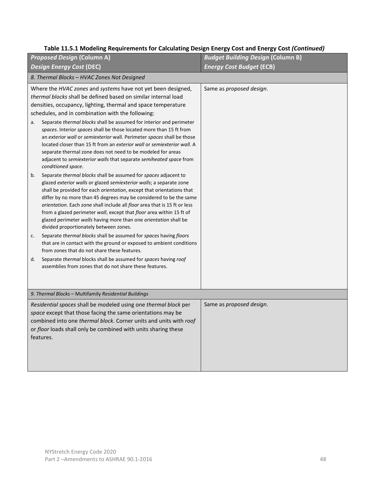| <b>Proposed Design (Column A)</b>                                                                                                                                                                                                                                                                                                                                                                                                                                                                                                                                                                                                                                                                                                                                                                                                                                                                                                                                                                                                                                                                                                                                                                                                                                                                                                                                                                                                                                                                                                                                                                                                 | <b>Budget Building Design (Column B)</b> |
|-----------------------------------------------------------------------------------------------------------------------------------------------------------------------------------------------------------------------------------------------------------------------------------------------------------------------------------------------------------------------------------------------------------------------------------------------------------------------------------------------------------------------------------------------------------------------------------------------------------------------------------------------------------------------------------------------------------------------------------------------------------------------------------------------------------------------------------------------------------------------------------------------------------------------------------------------------------------------------------------------------------------------------------------------------------------------------------------------------------------------------------------------------------------------------------------------------------------------------------------------------------------------------------------------------------------------------------------------------------------------------------------------------------------------------------------------------------------------------------------------------------------------------------------------------------------------------------------------------------------------------------|------------------------------------------|
| <b>Design Energy Cost (DEC)</b>                                                                                                                                                                                                                                                                                                                                                                                                                                                                                                                                                                                                                                                                                                                                                                                                                                                                                                                                                                                                                                                                                                                                                                                                                                                                                                                                                                                                                                                                                                                                                                                                   | <b>Energy Cost Budget (ECB)</b>          |
| 8. Thermal Blocks - HVAC Zones Not Designed                                                                                                                                                                                                                                                                                                                                                                                                                                                                                                                                                                                                                                                                                                                                                                                                                                                                                                                                                                                                                                                                                                                                                                                                                                                                                                                                                                                                                                                                                                                                                                                       |                                          |
| Where the HVAC zones and systems have not yet been designed,<br>thermal blocks shall be defined based on similar internal load<br>densities, occupancy, lighting, thermal and space temperature<br>schedules, and in combination with the following:<br>Separate thermal blocks shall be assumed for interior and perimeter<br>a.<br>spaces. Interior spaces shall be those located more than 15 ft from<br>an exterior wall or semiexterior wall. Perimeter spaces shall be those<br>located closer than 15 ft from an exterior wall or semiexterior wall. A<br>separate thermal zone does not need to be modeled for areas<br>adjacent to semiexterior walls that separate semiheated space from<br>conditioned space.<br>Separate thermal blocks shall be assumed for spaces adjacent to<br>b.<br>glazed exterior walls or glazed semiexterior walls; a separate zone<br>shall be provided for each orientation, except that orientations that<br>differ by no more than 45 degrees may be considered to be the same<br>orientation. Each zone shall include all floor area that is 15 ft or less<br>from a glazed perimeter wall, except that floor area within 15 ft of<br>glazed perimeter walls having more than one orientation shall be<br>divided proportionately between zones.<br>Separate thermal blocks shall be assumed for spaces having floors<br>c.<br>that are in contact with the ground or exposed to ambient conditions<br>from zones that do not share these features.<br>Separate thermal blocks shall be assumed for spaces having roof<br>d.<br>assemblies from zones that do not share these features. | Same as proposed design.                 |
| 9. Thermal Blocks - Multifamily Residential Buildings                                                                                                                                                                                                                                                                                                                                                                                                                                                                                                                                                                                                                                                                                                                                                                                                                                                                                                                                                                                                                                                                                                                                                                                                                                                                                                                                                                                                                                                                                                                                                                             |                                          |
| Residential spaces shall be modeled using one thermal block per<br>space except that those facing the same orientations may be<br>combined into one thermal block. Corner units and units with roof<br>or floor loads shall only be combined with units sharing these<br>features.                                                                                                                                                                                                                                                                                                                                                                                                                                                                                                                                                                                                                                                                                                                                                                                                                                                                                                                                                                                                                                                                                                                                                                                                                                                                                                                                                | Same as proposed design.                 |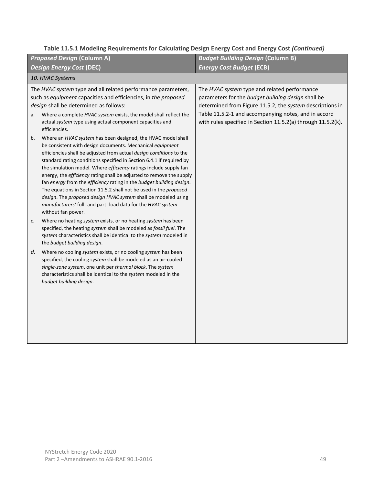| <b>Proposed Design (Column A)</b>                                                                                                                                                                                                                                                                                                                                                                                                                                                                                                                                                                                                                                                                                                | <b>Budget Building Design (Column B)</b>                                                                                                                                                                                                                                                |  |  |  |
|----------------------------------------------------------------------------------------------------------------------------------------------------------------------------------------------------------------------------------------------------------------------------------------------------------------------------------------------------------------------------------------------------------------------------------------------------------------------------------------------------------------------------------------------------------------------------------------------------------------------------------------------------------------------------------------------------------------------------------|-----------------------------------------------------------------------------------------------------------------------------------------------------------------------------------------------------------------------------------------------------------------------------------------|--|--|--|
| <b>Design Energy Cost (DEC)</b>                                                                                                                                                                                                                                                                                                                                                                                                                                                                                                                                                                                                                                                                                                  | <b>Energy Cost Budget (ECB)</b>                                                                                                                                                                                                                                                         |  |  |  |
| 10. HVAC Systems                                                                                                                                                                                                                                                                                                                                                                                                                                                                                                                                                                                                                                                                                                                 |                                                                                                                                                                                                                                                                                         |  |  |  |
| The HVAC system type and all related performance parameters,<br>such as equipment capacities and efficiencies, in the proposed<br>design shall be determined as follows:<br>Where a complete HVAC system exists, the model shall reflect the<br>a.<br>actual system type using actual component capacities and<br>efficiencies.                                                                                                                                                                                                                                                                                                                                                                                                  | The HVAC system type and related performance<br>parameters for the budget building design shall be<br>determined from Figure 11.5.2, the system descriptions in<br>Table 11.5.2-1 and accompanying notes, and in accord<br>with rules specified in Section 11.5.2(a) through 11.5.2(k). |  |  |  |
| Where an HVAC system has been designed, the HVAC model shall<br>b.<br>be consistent with design documents. Mechanical equipment<br>efficiencies shall be adjusted from actual design conditions to the<br>standard rating conditions specified in Section 6.4.1 if required by<br>the simulation model. Where efficiency ratings include supply fan<br>energy, the efficiency rating shall be adjusted to remove the supply<br>fan energy from the efficiency rating in the budget building design.<br>The equations in Section 11.5.2 shall not be used in the proposed<br>design. The proposed design HVAC system shall be modeled using<br>manufacturers' full- and part- load data for the HVAC system<br>without fan power. |                                                                                                                                                                                                                                                                                         |  |  |  |
| Where no heating system exists, or no heating system has been<br>c.<br>specified, the heating system shall be modeled as fossil fuel. The<br>system characteristics shall be identical to the system modeled in<br>the budget building design.                                                                                                                                                                                                                                                                                                                                                                                                                                                                                   |                                                                                                                                                                                                                                                                                         |  |  |  |
| d.<br>Where no cooling system exists, or no cooling system has been<br>specified, the cooling system shall be modeled as an air-cooled<br>single-zone system, one unit per thermal block. The system<br>characteristics shall be identical to the system modeled in the<br>budget building design.                                                                                                                                                                                                                                                                                                                                                                                                                               |                                                                                                                                                                                                                                                                                         |  |  |  |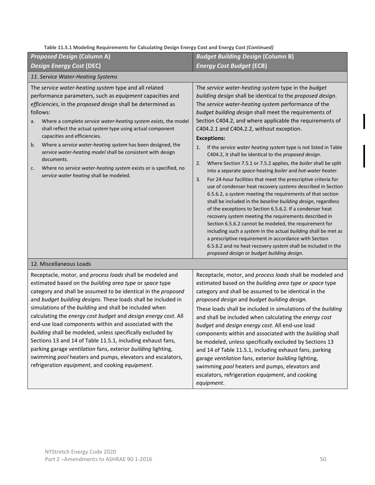| <b>Proposed Design (Column A)</b>                                                                                                                                                                                                                                                                                                                                                                                                                                                                                                                                                                                                                                                                                                                          | <b>Budget Building Design (Column B)</b>                                                                                                                                                                                                                                                                                                                                                                                                                                                                                                                                                                                                                                                                                                                                                                                                                                                                                                                                                                                                                                                                                                                                                                                                                                                                                                                                                                                                                                                                                                                                                                                                |  |  |  |
|------------------------------------------------------------------------------------------------------------------------------------------------------------------------------------------------------------------------------------------------------------------------------------------------------------------------------------------------------------------------------------------------------------------------------------------------------------------------------------------------------------------------------------------------------------------------------------------------------------------------------------------------------------------------------------------------------------------------------------------------------------|-----------------------------------------------------------------------------------------------------------------------------------------------------------------------------------------------------------------------------------------------------------------------------------------------------------------------------------------------------------------------------------------------------------------------------------------------------------------------------------------------------------------------------------------------------------------------------------------------------------------------------------------------------------------------------------------------------------------------------------------------------------------------------------------------------------------------------------------------------------------------------------------------------------------------------------------------------------------------------------------------------------------------------------------------------------------------------------------------------------------------------------------------------------------------------------------------------------------------------------------------------------------------------------------------------------------------------------------------------------------------------------------------------------------------------------------------------------------------------------------------------------------------------------------------------------------------------------------------------------------------------------------|--|--|--|
| <b>Design Energy Cost (DEC)</b>                                                                                                                                                                                                                                                                                                                                                                                                                                                                                                                                                                                                                                                                                                                            | <b>Energy Cost Budget (ECB)</b>                                                                                                                                                                                                                                                                                                                                                                                                                                                                                                                                                                                                                                                                                                                                                                                                                                                                                                                                                                                                                                                                                                                                                                                                                                                                                                                                                                                                                                                                                                                                                                                                         |  |  |  |
| 11. Service Water-Heating Systems                                                                                                                                                                                                                                                                                                                                                                                                                                                                                                                                                                                                                                                                                                                          |                                                                                                                                                                                                                                                                                                                                                                                                                                                                                                                                                                                                                                                                                                                                                                                                                                                                                                                                                                                                                                                                                                                                                                                                                                                                                                                                                                                                                                                                                                                                                                                                                                         |  |  |  |
| The service water-heating system type and all related<br>performance parameters, such as equipment capacities and<br>efficiencies, in the proposed design shall be determined as<br>follows:<br>Where a complete service water-heating system exists, the model<br>a.<br>shall reflect the actual system type using actual component<br>capacities and efficiencies.<br>Where a service water-heating system has been designed, the<br>b.<br>service water-heating model shall be consistent with design<br>documents.<br>Where no service water-heating system exists or is specified, no<br>c.<br>service water heating shall be modeled.                                                                                                                | The service water-heating system type in the budget<br>building design shall be identical to the proposed design.<br>The service water-heating system performance of the<br>budget building design shall meet the requirements of<br>Section C404.2, and where applicable the requirements of<br>C404.2.1 and C404.2.2, without exception.<br><b>Exceptions:</b><br>If the service water heating system type is not listed in Table<br>1.<br>C404.2, it shall be identical to the proposed design.<br>Where Section 7.5.1 or 7.5.2 applies, the boiler shall be split<br>2.<br>into a separate space-heating boiler and hot-water heater.<br>For 24-hour facilities that meet the prescriptive criteria for<br>3.<br>use of condenser heat recovery systems described in Section<br>6.5.6.2, a system meeting the requirements of that section<br>shall be included in the baseline building design, regardless<br>of the exceptions to Section 6.5.6.2. If a condenser heat<br>recovery system meeting the requirements described in<br>Section 6.5.6.2 cannot be modeled, the requirement for<br>including such a system in the actual building shall be met as<br>a prescriptive requirement in accordance with Section<br>6.5.6.2 and no heat recovery system shall be included in the<br>proposed design or budget building design.<br>Receptacle, motor, and process loads shall be modeled and<br>estimated based on the building area type or space type<br>category and shall be assumed to be identical in the<br>proposed design and budget building design.<br>These loads shall be included in simulations of the building |  |  |  |
| 12. Miscellaneous Loads                                                                                                                                                                                                                                                                                                                                                                                                                                                                                                                                                                                                                                                                                                                                    |                                                                                                                                                                                                                                                                                                                                                                                                                                                                                                                                                                                                                                                                                                                                                                                                                                                                                                                                                                                                                                                                                                                                                                                                                                                                                                                                                                                                                                                                                                                                                                                                                                         |  |  |  |
| Receptacle, motor, and process loads shall be modeled and<br>estimated based on the building area type or space type<br>category and shall be assumed to be identical in the proposed<br>and budget building designs. These loads shall be included in<br>simulations of the building and shall be included when<br>calculating the energy cost budget and design energy cost. All<br>end-use load components within and associated with the<br>building shall be modeled, unless specifically excluded by<br>Sections 13 and 14 of Table 11.5.1, including exhaust fans,<br>parking garage ventilation fans, exterior building lighting,<br>swimming pool heaters and pumps, elevators and escalators,<br>refrigeration equipment, and cooking equipment. | and shall be included when calculating the energy cost<br>budget and design energy cost. All end-use load<br>components within and associated with the building shall<br>be modeled, unless specifically excluded by Sections 13<br>and 14 of Table 11.5.1, including exhaust fans, parking<br>garage ventilation fans, exterior building lighting,<br>swimming pool heaters and pumps, elevators and<br>escalators, refrigeration equipment, and cooking<br>equipment.                                                                                                                                                                                                                                                                                                                                                                                                                                                                                                                                                                                                                                                                                                                                                                                                                                                                                                                                                                                                                                                                                                                                                                 |  |  |  |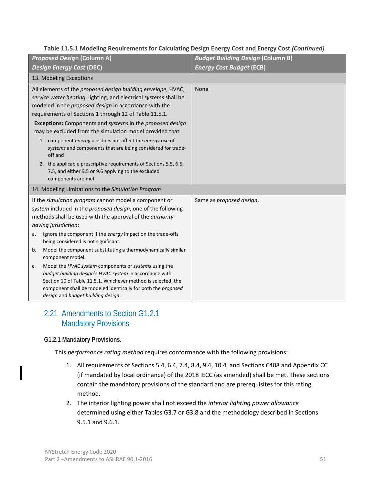| <b>Proposed Design (Column A)</b>          |                                                                                                                                                                                                                                                     | <b>Budget Building Design (Column B)</b> |
|--------------------------------------------|-----------------------------------------------------------------------------------------------------------------------------------------------------------------------------------------------------------------------------------------------------|------------------------------------------|
| <b>Design Energy Cost (DEC)</b>            |                                                                                                                                                                                                                                                     | <b>Energy Cost Budget (ECB)</b>          |
| 13. Modeling Exceptions                    |                                                                                                                                                                                                                                                     |                                          |
|                                            | All elements of the proposed design building envelope, HVAC,<br>service water heating, lighting, and electrical systems shall be<br>modeled in the proposed design in accordance with the<br>requirements of Sections 1 through 12 of Table 11.5.1. | None                                     |
| off and                                    | Exceptions: Components and systems in the proposed design<br>may be excluded from the simulation model provided that<br>1. component energy use does not affect the energy use of<br>systems and components that are being considered for trade-    |                                          |
| components are met.                        | 2. the applicable prescriptive requirements of Sections 5.5, 6.5,<br>7.5, and either 9.5 or 9.6 applying to the excluded                                                                                                                            |                                          |
|                                            | 14. Modeling Limitations to the Simulation Program                                                                                                                                                                                                  |                                          |
| having jurisdiction:                       | If the simulation program cannot model a component or<br>system included in the proposed design, one of the following<br>methods shall be used with the approval of the <i>authority</i>                                                            | Same as proposed design.                 |
| a.<br>being considered is not significant. | Ignore the component if the energy impact on the trade-offs                                                                                                                                                                                         |                                          |
| b.<br>component model.                     | Model the component substituting a thermodynamically similar                                                                                                                                                                                        |                                          |
| c.<br>design and budget building design.   | Model the HVAC system components or systems using the<br>budget building design's HVAC system in accordance with<br>Section 10 of Table 11.5.1. Whichever method is selected, the<br>component shall be modeled identically for both the proposed   |                                          |

# 2.21 Amendments to Section G1.2.1 Mandatory Provisions

#### **G1.2.1 Mandatory Provisions.**

This *performance rating method* requires conformance with the following provisions:

- 1. All requirements of Sections 5.4, 6.4, 7.4, 8.4, 9.4, 10.4, and Sections C408 and Appendix CC (if mandated by local ordinance) of the 2018 IECC (as amended) shall be met. These sections contain the mandatory provisions of the standard and are prerequisites for this rating method.
- 2. The interior lighting power shall not exceed the *interior lighting power allowance* determined using either Tables G3.7 or G3.8 and the methodology described in Sections 9.5.1 and 9.6.1.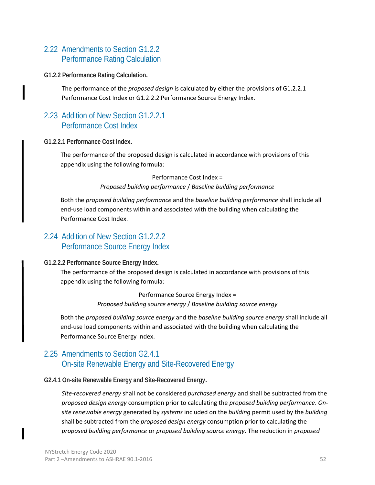# 2.22 Amendments to Section G1.2.2 Performance Rating Calculation

#### **G1.2.2 Performance Rating Calculation.**

The performance of the *proposed design* is calculated by either the provisions of G1.2.2.1 Performance Cost Index or G1.2.2.2 Performance Source Energy Index.

# 2.23 Addition of New Section G1.2.2.1 Performance Cost Index

#### **G1.2.2.1 Performance Cost Index.**

The performance of the proposed design is calculated in accordance with provisions of this appendix using the following formula:

Performance Cost Index =

*Proposed building performance* / *Baseline building performance*

Both the *proposed building performance* and the *baseline building performance* shall include all end-use load components within and associated with the building when calculating the Performance Cost Index.

#### 2.24 Addition of New Section G1.2.2.2 Performance Source Energy Index

#### **G1.2.2.2 Performance Source Energy Index.**

The performance of the proposed design is calculated in accordance with provisions of this appendix using the following formula:

> Performance Source Energy Index = *Proposed building source energy* / *Baseline building source energy*

Both the *proposed building source energy* and the *baseline building source energy* shall include all end-use load components within and associated with the building when calculating the Performance Source Energy Index.

# 2.25 Amendments to Section G2.4.1 On-site Renewable Energy and Site-Recovered Energy

#### **G2.4.1 On-site Renewable Energy and Site-Recovered Energy.**

*Site-recovered energy* shall not be considered *purchased energy* and shall be subtracted from the *proposed design energy* consumption prior to calculating the *proposed building performance*. *Onsite renewable energy* generated by *systems* included on the *building* permit used by the *building* shall be subtracted from the *proposed design energy* consumption prior to calculating the *proposed building performance* or *proposed building source energy*. The reduction in *proposed*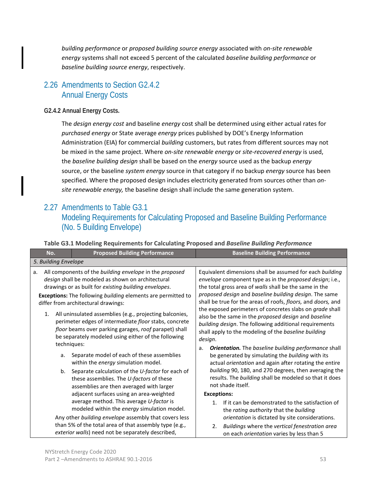*building performance* or *proposed building source energy* associated with *on-site renewable energy* systems shall not exceed 5 percent of the calculated *baseline building performance* or *baseline building source energy*, respectively.

# 2.26 Amendments to Section G2.4.2 Annual Energy Costs

#### **G2.4.2 Annual Energy Costs.**

The *design energy cost* and baseline *energy* cost shall be determined using either actual rates for *purchased energy* or State average *energy* prices published by DOE's Energy Information Administration (EIA) for commercial *building* customers, but rates from different sources may not be mixed in the same project. Where *on-site renewable energy* or *site-recovered energy* is used, the *baseline building design* shall be based on the *energy* source used as the backup *energy*  source, or the baseline *system energy* source in that category if no backup *energy* source has been specified. Where the proposed design includes electricity generated from sources other than *onsite renewable energy,* the baseline design shall include the same generation system.

# 2.27 Amendments to Table G3.1

# Modeling Requirements for Calculating Proposed and Baseline Building Performance (No. 5 Building Envelope)

| <b>Proposed Building Performance</b><br>No.                                                                                                                                                                                                                                                                                                                                                                                                                                                                                  | <b>Baseline Building Performance</b>                                                                                                                                                                                                                                                                                                                                                                                                                                                                                                                      |
|------------------------------------------------------------------------------------------------------------------------------------------------------------------------------------------------------------------------------------------------------------------------------------------------------------------------------------------------------------------------------------------------------------------------------------------------------------------------------------------------------------------------------|-----------------------------------------------------------------------------------------------------------------------------------------------------------------------------------------------------------------------------------------------------------------------------------------------------------------------------------------------------------------------------------------------------------------------------------------------------------------------------------------------------------------------------------------------------------|
| 5. Building Envelope                                                                                                                                                                                                                                                                                                                                                                                                                                                                                                         |                                                                                                                                                                                                                                                                                                                                                                                                                                                                                                                                                           |
| All components of the building envelope in the proposed<br>а.<br>design shall be modeled as shown on architectural<br>drawings or as built for existing building envelopes.<br>Exceptions: The following building elements are permitted to<br>differ from architectural drawings:<br>1.<br>All uninsulated assemblies (e.g., projecting balconies,<br>perimeter edges of intermediate floor stabs, concrete<br>floor beams over parking garages, roof parapet) shall<br>be separately modeled using either of the following | Equivalent dimensions shall be assumed for each building<br>envelope component type as in the proposed design; i.e.,<br>the total gross area of walls shall be the same in the<br>proposed design and baseline building design. The same<br>shall be true for the areas of roofs, floors, and doors, and<br>the exposed perimeters of concretes slabs on grade shall<br>also be the same in the proposed design and baseline<br>building design. The following additional requirements<br>shall apply to the modeling of the baseline building<br>design. |
| techniques:<br>Separate model of each of these assemblies<br>а.<br>within the energy simulation model.<br>Separate calculation of the U-factor for each of<br>b.                                                                                                                                                                                                                                                                                                                                                             | <b>Orientation.</b> The baseline building performance shall<br>a.<br>be generated by simulating the building with its<br>actual orientation and again after rotating the entire<br>building 90, 180, and 270 degrees, then averaging the                                                                                                                                                                                                                                                                                                                  |
| these assemblies. The U-factors of these<br>assemblies are then averaged with larger<br>adjacent surfaces using an area-weighted                                                                                                                                                                                                                                                                                                                                                                                             | results. The building shall be modeled so that it does<br>not shade itself.<br><b>Exceptions:</b>                                                                                                                                                                                                                                                                                                                                                                                                                                                         |
| average method. This average U-factor is<br>modeled within the energy simulation model.<br>Any other building envelope assembly that covers less                                                                                                                                                                                                                                                                                                                                                                             | If it can be demonstrated to the satisfaction of<br>$1_{-}$<br>the rating authority that the building<br>orientation is dictated by site considerations.                                                                                                                                                                                                                                                                                                                                                                                                  |
| than 5% of the total area of that assembly type (e.g.,<br>exterior walls) need not be separately described,                                                                                                                                                                                                                                                                                                                                                                                                                  | Buildings where the vertical fenestration area<br>2.<br>on each orientation varies by less than 5                                                                                                                                                                                                                                                                                                                                                                                                                                                         |

#### **Table G3.1 Modeling Requirements for Calculating Proposed and** *Baseline Building Performance*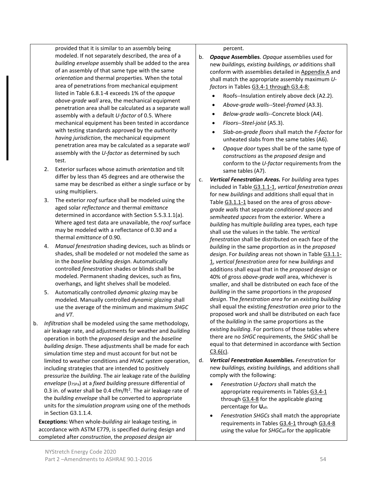provided that it is similar to an assembly being modeled. If not separately described, the area of a *building envelope* assembly shall be added to the area of an assembly of that same type with the same *orientation* and thermal properties. When the total area of penetrations from mechanical equipment listed in Table 6.8.1-4 exceeds 1% of the *opaque above-grade wall* area, the mechanical equipment penetration area shall be calculated as a separate wall assembly with a default *U-factor* of 0.5. Where mechanical equipment has been tested in accordance with testing standards approved by the *authority having jurisdiction*, the mechanical equipment penetration area may be calculated as a separate *wall* assembly with the *U-factor* as determined by such test.

- 2. Exterior surfaces whose azimuth *orientation* and tilt differ by less than 45 degrees and are otherwise the same may be described as either a single surface or by using multipliers.
- 3. The exterior *roof* surface shall be modeled using the aged solar *reflectance* and thermal *emittance* determined in accordance with Section 5.5.3.1.1(a). Where aged test data are unavailable, the *roof* surface may be modeled with a reflectance of 0.30 and a thermal *emittance* of 0.90.
- 4. *Manual fenestration* shading devices, such as blinds or shades, shall be modeled or not modeled the same as in the *baseline building design*. Automatically controlled *fenestration* shades or blinds shall be modeled. Permanent shading devices, such as fins, overhangs, and light shelves shall be modeled.
- 5. Automatically controlled *dynamic glazing* may be modeled. Manually controlled *dynamic glazing* shall use the average of the minimum and maximum *SHGC* and *VT*.
- b. *Infiltration* shall be modeled using the same methodology, air leakage rate, and adjustments for weather and *building* operation in both the *proposed design* and the *baseline building design*. These adjustments shall be made for each simulation time step and must account for but not be limited to weather conditions and *HVAC system* operation, including strategies that are intended to positively pressurize the *building*. The air leakage rate of the *building envelope* (I75Pa) at a *fixed building* pressure differential of 0.3 in. of water shall be 0.4 cfm/ft<sup>2</sup>. The air leakage rate of the *building envelope* shall be converted to appropriate units for the *simulation program* using one of the methods in Section G3.1.1.4.

**Exceptions:** When whole-*building* air leakage testing, in accordance with ASTM E779, is specified during design and completed after *construction*, the *proposed design* air

percent.

- b. *Opaque* **Assemblies**. *Opaque* assemblies used for new *buildings, existing buildings, or* additions shall conform with assemblies detailed in Appendix A and shall match the appropriate assembly maximum *Ufactors* in Tables G3.4-1 through G3.4-8:
	- Roofs--Insulation entirely above deck (A2.2).
	- *Above-grade walls*--Steel-*framed* (A3.3).
	- *Below*-*grade walls*--Concrete block (A4).
	- *Floors*--*Steel-joist* (A5.3).
	- *Slab*-*on-grade floors* shall match the *F-factor* for unheated slabs from the same tables (A6).
	- *Opaque door* types shall be of the same type of *constructions* as the *proposed design* and conform to the *U-factor* requirements from the same tables (A7).
- c. *Vertical Fenestration Areas.* For *building* area types included in Table G3.1.1-1, *vertical fenestration areas* for new *buildings* and additions shall equal that in Table G3.1.1-1 based on the area of gross *abovegrade walls* that separate *conditioned spaces* and *semiheated spaces* from the exterior. Where a *building* has multiple *building* area types, each type shall use the values in the table. The *vertical fenestration* shall be distributed on each face of the *building* in the same proportion as in the *proposed design*. For *building* areas not shown in Table G3.1.1- 1, *vertical fenestration area* for new *buildings* and additions shall equal that in the *proposed design* or 40% of gross *above-grade wall* area, whichever is smaller, and shall be distributed on each face of the *building* in the same proportions in the *proposed design*. The *fenestration area* for an *existing building* shall equal the existing *fenestration area* prior to the proposed work and shall be distributed on each face of the *building* in the same proportions as the *existing building*. For portions of those tables where there are no *SHGC* requirements, the *SHGC* shall be equal to that determined in accordance with Section  $C3.6(c)$ .
- d. *Vertical Fenestration* **Assemblies.** *Fenestration* for new *buildings, existing buildings,* and additions shall comply with the following:
	- *Fenestration U-factors* shall match the appropriate requirements in Tables G3.4-1 through G3.4-8 for the applicable glazing percentage for **U**all.
	- *Fenestration SHGCs* shall match the appropriate requirements in Tables G3.4-1 through G3.4-8 using the value for *SHGCall* for the applicable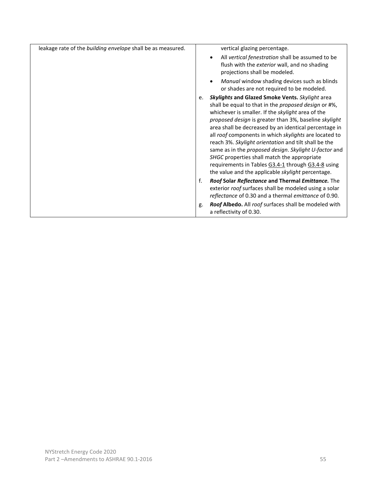| leakage rate of the building envelope shall be as measured. | vertical glazing percentage.<br>All vertical fenestration shall be assumed to be<br>$\bullet$<br>flush with the exterior wall, and no shading<br>projections shall be modeled.                                                                                                                                                                                                                                                                                                                                                                                                                                                  |
|-------------------------------------------------------------|---------------------------------------------------------------------------------------------------------------------------------------------------------------------------------------------------------------------------------------------------------------------------------------------------------------------------------------------------------------------------------------------------------------------------------------------------------------------------------------------------------------------------------------------------------------------------------------------------------------------------------|
|                                                             | Manual window shading devices such as blinds<br>or shades are not required to be modeled.                                                                                                                                                                                                                                                                                                                                                                                                                                                                                                                                       |
|                                                             | <b>Skylights and Glazed Smoke Vents.</b> Skylight area<br>e.<br>shall be equal to that in the proposed design or #%,<br>whichever is smaller. If the skylight area of the<br>proposed design is greater than 3%, baseline skylight<br>area shall be decreased by an identical percentage in<br>all roof components in which skylights are located to<br>reach 3%. Skylight orientation and tilt shall be the<br>same as in the proposed design. Skylight U-factor and<br>SHGC properties shall match the appropriate<br>requirements in Tables G3.4-1 through G3.4-8 using<br>the value and the applicable skylight percentage. |
|                                                             | Roof Solar Reflectance and Thermal Emittance. The<br>f.<br>exterior roof surfaces shall be modeled using a solar<br>reflectance of 0.30 and a thermal emittance of 0.90.                                                                                                                                                                                                                                                                                                                                                                                                                                                        |
|                                                             | Roof Albedo. All roof surfaces shall be modeled with<br>g.<br>a reflectivity of 0.30.                                                                                                                                                                                                                                                                                                                                                                                                                                                                                                                                           |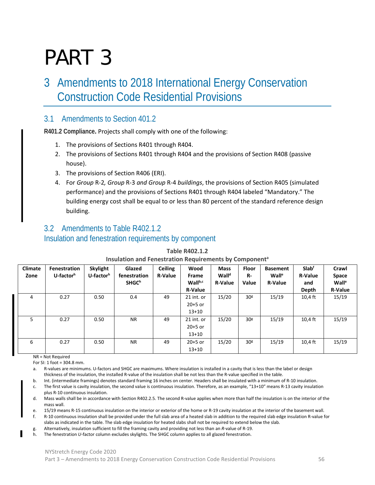# PART 3

# 3 Amendments to 2018 International Energy Conservation Construction Code Residential Provisions

### 3.1 Amendments to Section 401.2

**R401.2 Compliance.** Projects shall comply with one of the following:

- 1. The provisions of Sections R401 through R404.
- 2. The provisions of Sections R401 through R404 and the provisions of Section R408 (passive house).
- 3. The provisions of Section R406 (ERI).
- 4. For *Group* R-2*, Group* R-3 *and Group* R-4 *buildings*, the provisions of Section R405 (simulated performance) and the provisions of Sections R401 through R404 labeled "Mandatory." The building energy cost shall be equal to or less than 80 percent of the standard reference design building.

# 3.2 Amendments to Table R402.1.2 Insulation and fenestration requirements by component

| <b>Climate</b><br>Zone | Fenestration<br>U-factor <sup>h</sup> | <b>Skylight</b><br>U-factor <sup>h</sup> | Glazed<br>fenestration | <b>Ceiling</b><br><b>R-Value</b> | Wood<br>Frame  | <b>Mass</b><br>Wall <sup>d</sup> | <b>Floor</b><br>R- | <b>Basement</b><br>Wall <sup>e</sup> | <b>Slab</b> <sup>f</sup><br><b>R-Value</b> | Crawl<br>Space    |
|------------------------|---------------------------------------|------------------------------------------|------------------------|----------------------------------|----------------|----------------------------------|--------------------|--------------------------------------|--------------------------------------------|-------------------|
|                        |                                       |                                          | <b>SHGCh</b>           |                                  | Wallb,c        | <b>R-Value</b>                   | Value              | <b>R-Value</b>                       | and                                        | Wall <sup>e</sup> |
|                        |                                       |                                          |                        |                                  | <b>R-Value</b> |                                  |                    |                                      | Depth                                      | <b>R-Value</b>    |
| 4                      | 0.27                                  | 0.50                                     | 0.4                    | 49                               | 21 int. or     | 15/20                            | 30 <sup>g</sup>    | 15/19                                | $10,4$ ft                                  | 15/19             |
|                        |                                       |                                          |                        |                                  | $20+5$ or      |                                  |                    |                                      |                                            |                   |
|                        |                                       |                                          |                        |                                  | $13+10$        |                                  |                    |                                      |                                            |                   |
| 5.                     | 0.27                                  | 0.50                                     | <b>NR</b>              | 49                               | 21 int. or     | 15/20                            | 30 <sup>g</sup>    | 15/19                                | $10,4$ ft                                  | 15/19             |
|                        |                                       |                                          |                        |                                  | $20+5$ or      |                                  |                    |                                      |                                            |                   |
|                        |                                       |                                          |                        |                                  | $13+10$        |                                  |                    |                                      |                                            |                   |
| 6                      | 0.27                                  | 0.50                                     | <b>NR</b>              | 49                               | $20+5$ or      | 15/20                            | 30 <sup>g</sup>    | 15/19                                | $10,4$ ft                                  | 15/19             |
|                        |                                       |                                          |                        |                                  | $13+10$        |                                  |                    |                                      |                                            |                   |

#### **Table R402.1.2 Insulation and Fenestration Requirements by Component<sup>a</sup>**

NR = Not Required

For SI: 1 foot =  $304.8$  mm.

a. R-values are minimums. U-factors and SHGC are maximums. Where insulation is installed in a cavity that is less than the label or design thickness of the insulation, the installed R-value of the insulation shall be not less than the R-value specified in the table.

- b. Int. (intermediate framings) denotes standard framing 16 inches on center. Headers shall be insulated with a minimum of R-10 insulation.
- c. The first value is cavity insulation, the second value is continuous insulation. Therefore, as an example, "13+10" means R-13 cavity insulation plus R-10 continuous insulation.
- d. Mass walls shall be in accordance with Section R402.2.5. The second R-value applies when more than half the insulation is on the interior of the mass wall.

e. 15/19 means R-15 continuous insulation on the interior or exterior of the home or R-19 cavity insulation at the interior of the basement wall.

f. R-10 continuous insulation shall be provided under the full slab area of a heated slab in addition to the required slab edge insulation R-value for slabs as indicated in the table. The slab edge insulation for heated slabs shall not be required to extend below the slab.

- g. Alternatively, insulation sufficient to fill the framing cavity and providing not less than an *R*-value of R-19.
- h. The fenestration *U*-factor column excludes skylights. The SHGC column applies to all glazed fenestration.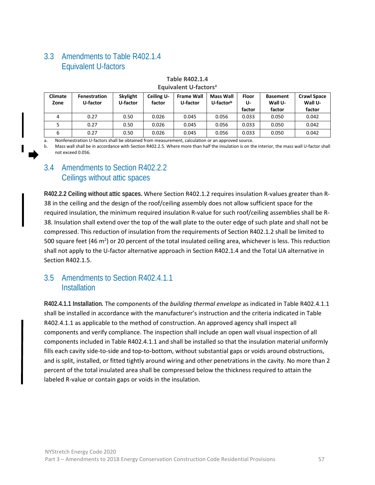# 3.3 Amendments to Table R402.1.4 Equivalent U-factors

| <b>Climate</b><br>Zone | <b>Fenestration</b><br>U-factor | <b>Skylight</b><br>U-factor | Ceiling U-<br>factor | <b>Frame Wall</b><br>U-factor | Mass Wall<br>U-factorb | Floor<br>U-<br>factor | <b>Basement</b><br>Wall U-<br>factor | <b>Crawl Space</b><br>Wall U-<br>factor |
|------------------------|---------------------------------|-----------------------------|----------------------|-------------------------------|------------------------|-----------------------|--------------------------------------|-----------------------------------------|
| 4                      | 0.27                            | 0.50                        | 0.026                | 0.045                         | 0.056                  | 0.033                 | 0.050                                | 0.042                                   |
|                        | 0.27                            | 0.50                        | 0.026                | 0.045                         | 0.056                  | 0.033                 | 0.050                                | 0.042                                   |
|                        | 0.27                            | 0.50                        | 0.026                | 0.045                         | 0.056                  | 0.033                 | 0.050                                | 0.042                                   |

#### **Table R402.1.4 Equivalent U-factorsa**

a. Nonfenestration U-factors shall be obtained from measurement, calculation or an approved source.

b. Mass wall shall be in accordance with Section R402.2.5. Where more than half the insulation is on the interior, the mass wall U-factor shall not exceed 0.056.

# 3.4 Amendments to Section R402.2.2 Ceilings without attic spaces

**R402.2.2 Ceiling without attic spaces.** Where Section R402.1.2 requires insulation R-values greater than R-38 in the ceiling and the design of the roof/ceiling assembly does not allow sufficient space for the required insulation, the minimum required insulation R-value for such roof/ceiling assemblies shall be R-38. Insulation shall extend over the top of the wall plate to the outer edge of such plate and shall not be compressed. This reduction of insulation from the requirements of Section R402.1.2 shall be limited to 500 square feet (46 m<sup>2</sup>) or 20 percent of the total insulated ceiling area, whichever is less. This reduction shall not apply to the U-factor alternative approach in Section R402.1.4 and the Total UA alternative in Section R402.1.5.

# 3.5 Amendments to Section R402.4.1.1 **Installation**

**R402.4.1.1 Installation.** The components of the *building thermal envelope* as indicated in Table R402.4.1.1 shall be installed in accordance with the manufacturer's instruction and the criteria indicated in Table R402.4.1.1 as applicable to the method of construction. An approved agency shall inspect all components and verify compliance. The inspection shall include an open wall visual inspection of all components included in Table R402.4.1.1 and shall be installed so that the insulation material uniformly fills each cavity side-to-side and top-to-bottom, without substantial gaps or voids around obstructions, and is split, installed, or fitted tightly around wiring and other penetrations in the cavity. No more than 2 percent of the total insulated area shall be compressed below the thickness required to attain the labeled R-value or contain gaps or voids in the insulation.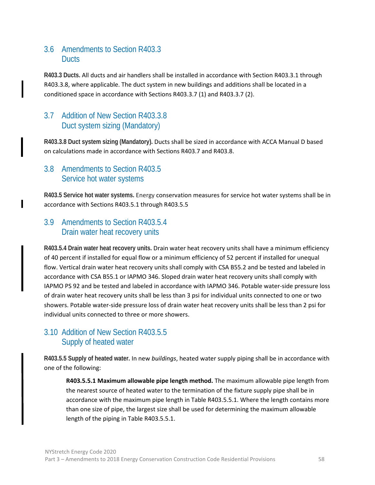# 3.6 Amendments to Section R403.3 **Ducts**

**R403.3 Ducts.** All ducts and air handlers shall be installed in accordance with Section R403.3.1 through R403.3.8, where applicable. The duct system in new buildings and additions shall be located in a conditioned space in accordance with Sections R403.3.7 (1) and R403.3.7 (2).

# 3.7 Addition of New Section R403.3.8 Duct system sizing (Mandatory)

**R403.3.8 Duct system sizing (Mandatory).** Ducts shall be sized in accordance with ACCA Manual D based on calculations made in accordance with Sections R403.7 and R403.8.

# 3.8 Amendments to Section R403.5 Service hot water systems

п

**R403.5 Service hot water systems.** Energy conservation measures for service hot water systems shall be in accordance with Sections R403.5.1 through R403.5.5

# 3.9 Amendments to Section R403.5.4 Drain water heat recovery units

**R403.5.4 Drain water heat recovery units.** Drain water heat recovery units shall have a minimum efficiency of 40 percent if installed for equal flow or a minimum efficiency of 52 percent if installed for unequal flow. Vertical drain water heat recovery units shall comply with CSA B55.2 and be tested and labeled in accordance with CSA B55.1 or IAPMO 346. Sloped drain water heat recovery units shall comply with IAPMO PS 92 and be tested and labeled in accordance with IAPMO 346. Potable water-side pressure loss of drain water heat recovery units shall be less than 3 psi for individual units connected to one or two showers. Potable water-side pressure loss of drain water heat recovery units shall be less than 2 psi for individual units connected to three or more showers.

# 3.10 Addition of New Section R403.5.5 Supply of heated water

**R403.5.5 Supply of heated water.** In new *buildings*, heated water supply piping shall be in accordance with one of the following:

**R403.5.5.1 Maximum allowable pipe length method.** The maximum allowable pipe length from the nearest source of heated water to the termination of the fixture supply pipe shall be in accordance with the maximum pipe length in Table R403.5.5.1. Where the length contains more than one size of pipe, the largest size shall be used for determining the maximum allowable length of the piping in Table R403.5.5.1.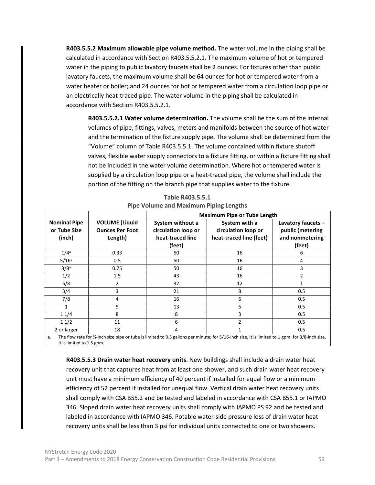**R403.5.5.2 Maximum allowable pipe volume method.** The water volume in the piping shall be calculated in accordance with Section R403.5.5.2.1. The maximum volume of hot or tempered water in the piping to public lavatory faucets shall be 2 ounces. For fixtures other than public lavatory faucets, the maximum volume shall be 64 ounces for hot or tempered water from a water heater or boiler; and 24 ounces for hot or tempered water from a circulation loop pipe or an electrically heat-traced pipe. The water volume in the piping shall be calculated in accordance with Section R403.5.5.2.1.

**R403.5.5.2.1 Water volume determination.** The volume shall be the sum of the internal volumes of pipe, fittings, valves, meters and manifolds between the source of hot water and the termination of the fixture supply pipe. The volume shall be determined from the "Volume" column of Table R403.5.5.1. The volume contained within fixture shutoff valves, flexible water supply connectors to a fixture fitting, or within a fixture fitting shall not be included in the water volume determination. Where hot or tempered water is supplied by a circulation loop pipe or a heat-traced pipe, the volume shall include the portion of the fitting on the branch pipe that supplies water to the fixture.

|                                               |                                                            | <b>Maximum Pipe or Tube Length</b>                                    |                                                                                                                                                 |                                                                       |  |  |  |  |
|-----------------------------------------------|------------------------------------------------------------|-----------------------------------------------------------------------|-------------------------------------------------------------------------------------------------------------------------------------------------|-----------------------------------------------------------------------|--|--|--|--|
| <b>Nominal Pipe</b><br>or Tube Size<br>(inch) | <b>VOLUME</b> (Liquid<br><b>Ounces Per Foot</b><br>Length) | System without a<br>circulation loop or<br>heat-traced line<br>(feet) | System with a<br>circulation loop or<br>heat-traced line (feet)                                                                                 | Lavatory faucets $-$<br>public (metering<br>and nonmetering<br>(feet) |  |  |  |  |
| 1/4 <sup>a</sup>                              | 0.33                                                       | 50                                                                    | 16                                                                                                                                              | b                                                                     |  |  |  |  |
| 5/16 <sup>a</sup>                             | 0.5                                                        | 50                                                                    | 16                                                                                                                                              | 4                                                                     |  |  |  |  |
| 3/8 <sup>a</sup>                              | 0.75                                                       | 50                                                                    | 16                                                                                                                                              | 3                                                                     |  |  |  |  |
| 1/2                                           | $1.5\,$                                                    | 43                                                                    | 16                                                                                                                                              | $\mathfrak{p}$                                                        |  |  |  |  |
| 5/8                                           | 2                                                          | 32                                                                    | 12                                                                                                                                              |                                                                       |  |  |  |  |
| 3/4                                           | 3                                                          | 21                                                                    | 8                                                                                                                                               | 0.5                                                                   |  |  |  |  |
| 7/8                                           | 4                                                          | 16                                                                    | 6                                                                                                                                               | 0.5                                                                   |  |  |  |  |
| 1                                             | 5                                                          | 13                                                                    | 5                                                                                                                                               | 0.5                                                                   |  |  |  |  |
| 11/4                                          | 8                                                          | 8                                                                     | 3                                                                                                                                               | 0.5                                                                   |  |  |  |  |
| 11/2                                          | 11                                                         | 6                                                                     |                                                                                                                                                 | 0.5                                                                   |  |  |  |  |
| 2 or larger                                   | 18                                                         | 4                                                                     |                                                                                                                                                 | 0.5                                                                   |  |  |  |  |
| a.                                            |                                                            |                                                                       | The flow rate for ¼-inch size pipe or tube is limited to 0.5 gallons per minute; for 5/16-inch size, it is limited to 1 gpm; for 3/8-inch size, |                                                                       |  |  |  |  |

**Table R403.5.5.1 Pipe Volume and Maximum Piping Lengths**

it is limited to 1.5 gpm.

**R403.5.5.3 Drain water heat recovery units**. New buildings shall include a drain water heat recovery unit that captures heat from at least one shower, and such drain water heat recovery unit must have a minimum efficiency of 40 percent if installed for equal flow or a minimum efficiency of 52 percent if installed for unequal flow. Vertical drain water heat recovery units shall comply with CSA B55.2 and be tested and labeled in accordance with CSA B55.1 or IAPMO 346. Sloped drain water heat recovery units shall comply with IAPMO PS 92 and be tested and labeled in accordance with IAPMO 346. Potable water-side pressure loss of drain water heat recovery units shall be less than 3 psi for individual units connected to one or two showers.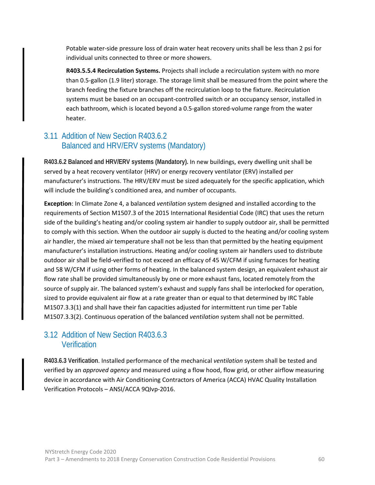Potable water-side pressure loss of drain water heat recovery units shall be less than 2 psi for individual units connected to three or more showers.

**R403.5.5.4 Recirculation Systems.** Projects shall include a recirculation system with no more than 0.5-gallon (1.9 liter) storage. The storage limit shall be measured from the point where the branch feeding the fixture branches off the recirculation loop to the fixture. Recirculation systems must be based on an occupant-controlled switch or an occupancy sensor, installed in each bathroom, which is located beyond a 0.5-gallon stored-volume range from the water heater.

# 3.11 Addition of New Section R403.6.2 Balanced and HRV/ERV systems (Mandatory)

**R403.6.2 Balanced and HRV/ERV systems (Mandatory).** In new buildings, every dwelling unit shall be served by a heat recovery ventilator (HRV) or energy recovery ventilator (ERV) installed per manufacturer's instructions. The HRV/ERV must be sized adequately for the specific application, which will include the building's conditioned area, and number of occupants.

**Exception**: In Climate Zone 4, a balanced *ventilation* system designed and installed according to the requirements of Section M1507.3 of the 2015 International Residential Code (IRC) that uses the return side of the building's heating and/or cooling system air handler to supply outdoor air, shall be permitted to comply with this section. When the outdoor air supply is ducted to the heating and/or cooling system air handler, the mixed air temperature shall not be less than that permitted by the heating equipment manufacturer's installation instructions. Heating and/or cooling system air handlers used to distribute outdoor air shall be field-verified to not exceed an efficacy of 45 W/CFM if using furnaces for heating and 58 W/CFM if using other forms of heating. In the balanced system design, an equivalent exhaust air flow rate shall be provided simultaneously by one or more exhaust fans, located remotely from the source of supply air. The balanced system's exhaust and supply fans shall be interlocked for operation, sized to provide equivalent air flow at a rate greater than or equal to that determined by IRC Table M1507.3.3(1) and shall have their fan capacities adjusted for intermittent run time per Table M1507.3.3(2). Continuous operation of the balanced *ventilation* system shall not be permitted.

# 3.12 Addition of New Section R403.6.3 **Verification**

**R403.6.3 Verification**. Installed performance of the mechanical *ventilation* system shall be tested and verified by an *approved agency* and measured using a flow hood, flow grid, or other airflow measuring device in accordance with Air Conditioning Contractors of America (ACCA) HVAC Quality Installation Verification Protocols – ANSI/ACCA 9QIvp-2016.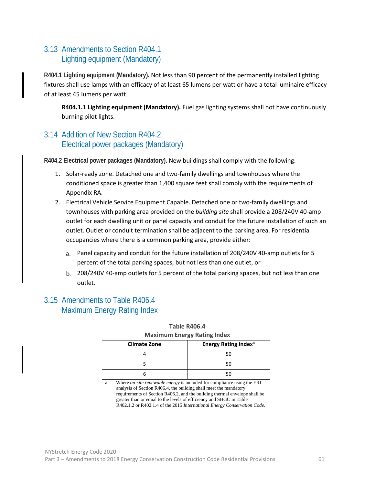# 3.13 Amendments to Section R404.1 Lighting equipment (Mandatory)

**R404.1 Lighting equipment (Mandatory).** Not less than 90 percent of the permanently installed lighting fixtures shall use lamps with an efficacy of at least 65 lumens per watt or have a total luminaire efficacy of at least 45 lumens per watt.

**R404.1.1 Lighting equipment (Mandatory).** Fuel gas lighting systems shall not have continuously burning pilot lights.

# 3.14 Addition of New Section R404.2 Electrical power packages (Mandatory)

**R404.2 Electrical power packages (Mandatory).** New buildings shall comply with the following:

- 1. Solar-ready zone. Detached one and two-family dwellings and townhouses where the conditioned space is greater than 1,400 square feet shall comply with the requirements of Appendix RA.
- 2. Electrical Vehicle Service Equipment Capable. Detached one or two-family dwellings and townhouses with parking area provided on the *building site* shall provide a 208/240V 40-amp outlet for each dwelling unit or panel capacity and conduit for the future installation of such an outlet. Outlet or conduit termination shall be adjacent to the parking area. For residential occupancies where there is a common parking area, provide either:
	- Panel capacity and conduit for the future installation of 208/240V 40-amp outlets for 5 percent of the total parking spaces, but not less than one outlet, or
	- 208/240V 40-amp outlets for 5 percent of the total parking spaces, but not less than one outlet.

# 3.15 Amendments to Table R406.4 Maximum Energy Rating Index

| <b>Climate Zone</b>                                                                                                                                                                                                                                                                                                                                                                        | <b>Energy Rating Index<sup>a</sup></b> |
|--------------------------------------------------------------------------------------------------------------------------------------------------------------------------------------------------------------------------------------------------------------------------------------------------------------------------------------------------------------------------------------------|----------------------------------------|
| 4                                                                                                                                                                                                                                                                                                                                                                                          | 50                                     |
| 5                                                                                                                                                                                                                                                                                                                                                                                          | 50                                     |
| 6                                                                                                                                                                                                                                                                                                                                                                                          | 50                                     |
| Where <i>on-site renewable energy</i> is included for compliance using the ERI<br>a.<br>analysis of Section R406.4, the building shall meet the mandatory<br>requirements of Section R406.2, and the building thermal envelope shall be<br>greater than or equal to the levels of efficiency and SHGC in Table<br>R402.1.2 or R402.1.4 of the 2015 International Energy Conservation Code. |                                        |

#### **Table R406.4 Maximum Energy Rating Index**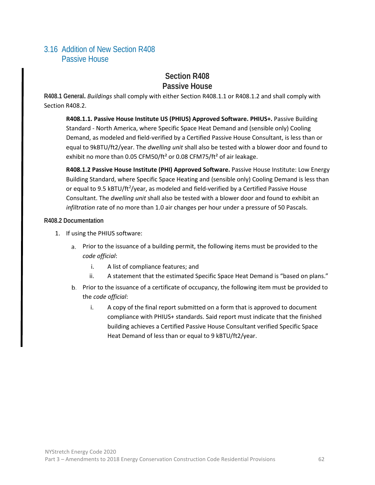# 3.16 Addition of New Section R408 Passive House

# **Section R408 Passive House**

**R408.1 General.** *Buildings* shall comply with either Section R408.1.1 or R408.1.2 and shall comply with Section R408.2.

**R408.1.1. Passive House Institute US (PHIUS) Approved Software. PHIUS+.** Passive Building Standard - North America, where Specific Space Heat Demand and (sensible only) Cooling Demand, as modeled and field-verified by a Certified Passive House Consultant, is less than or equal to 9kBTU/ft2/year. The *dwelling unit* shall also be tested with a blower door and found to exhibit no more than 0.05 CFM50/ft<sup>2</sup> or 0.08 CFM75/ft<sup>2</sup> of air leakage.

**R408.1.2 Passive House Institute (PHI) Approved Software.** Passive House Institute: Low Energy Building Standard, where Specific Space Heating and (sensible only) Cooling Demand is less than or equal to 9.5 kBTU/ft<sup>2</sup>/year, as modeled and field-verified by a Certified Passive House Consultant. The *dwelling unit* shall also be tested with a blower door and found to exhibit an *infiltration* rate of no more than 1.0 air changes per hour under a pressure of 50 Pascals.

**R408.2 Documentation**

- 1. If using the PHIUS software:
	- Prior to the issuance of a building permit, the following items must be provided to the *code official*:
		- i. A list of compliance features; and
		- ii. A statement that the estimated Specific Space Heat Demand is "based on plans."
	- Prior to the issuance of a certificate of occupancy, the following item must be provided to the *code official*:
		- i. A copy of the final report submitted on a form that is approved to document compliance with PHIUS+ standards. Said report must indicate that the finished building achieves a Certified Passive House Consultant verified Specific Space Heat Demand of less than or equal to 9 kBTU/ft2/year.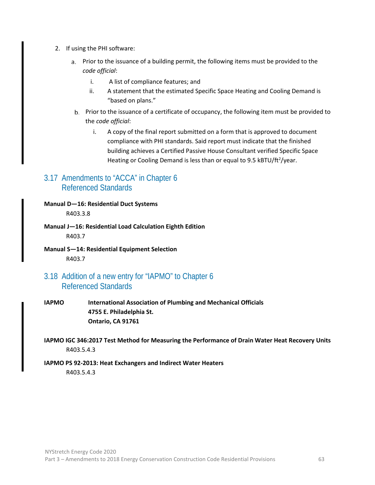- 2. If using the PHI software:
	- Prior to the issuance of a building permit, the following items must be provided to the *code official*:
		- i. A list of compliance features; and
		- ii. A statement that the estimated Specific Space Heating and Cooling Demand is "based on plans."
	- Prior to the issuance of a certificate of occupancy, the following item must be provided to the *code official*:
		- i. A copy of the final report submitted on a form that is approved to document compliance with PHI standards. Said report must indicate that the finished building achieves a Certified Passive House Consultant verified Specific Space Heating or Cooling Demand is less than or equal to 9.5 kBTU/ft<sup>2</sup>/year.

### 3.17 Amendments to "ACCA" in Chapter 6 Referenced Standards

**Manual D—16: Residential Duct Systems**  R403.3.8

- **Manual J—16: Residential Load Calculation Eighth Edition**  R403.7
- **Manual S—14: Residential Equipment Selection** R403.7

#### 3.18 Addition of a new entry for "IAPMO" to Chapter 6 Referenced Standards

- **IAPMO International Association of Plumbing and Mechanical Officials 4755 E. Philadelphia St. Ontario, CA 91761**
- **IAPMO IGC 346:2017 Test Method for Measuring the Performance of Drain Water Heat Recovery Units** R403.5.4.3

#### **IAPMO PS 92-2013: Heat Exchangers and Indirect Water Heaters** R403.5.4.3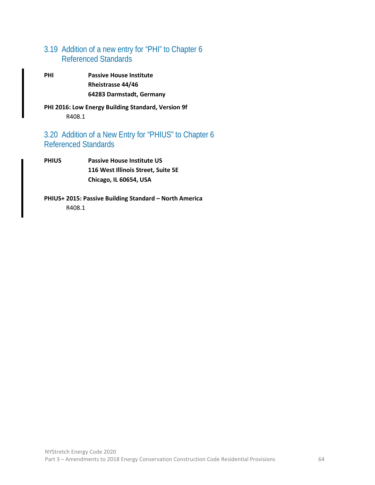# 3.19 Addition of a new entry for "PHI" to Chapter 6 Referenced Standards

**PHI Passive House Institute Rheistrasse 44/46 64283 Darmstadt, Germany**

**PHI 2016: Low Energy Building Standard, Version 9f** R408.1

# 3.20 Addition of a New Entry for "PHIUS" to Chapter 6 Referenced Standards

**PHIUS Passive House Institute US 116 West Illinois Street, Suite 5E Chicago, IL 60654, USA**

**PHIUS+ 2015: Passive Building Standard – North America**  R408.1